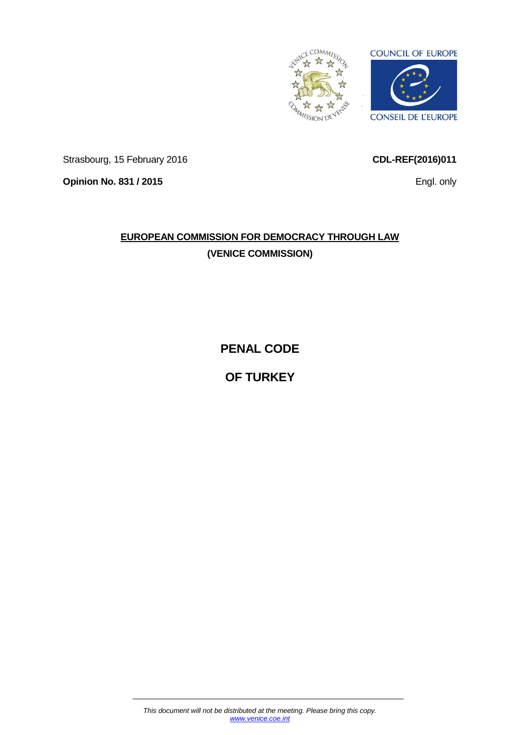

Strasbourg, 15 February 2016

**CDL-REF(2016)011**

Engl. only

**Opinion No. 831 / 2015**

# **EUROPEAN COMMISSION FOR DEMOCRACY THROUGH LAW (VENICE COMMISSION)**

**PENAL CODE**

**OF TURKEY**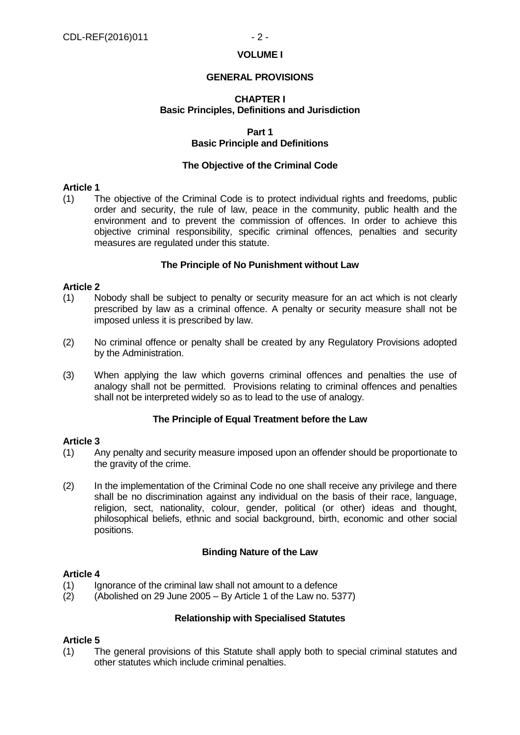### **VOLUME I**

#### **GENERAL PROVISIONS**

#### **CHAPTER I Basic Principles, Definitions and Jurisdiction**

#### **Part 1**

### **Basic Principle and Definitions**

#### **The Objective of the Criminal Code**

### **Article 1**

(1) The objective of the Criminal Code is to protect individual rights and freedoms, public order and security, the rule of law, peace in the community, public health and the environment and to prevent the commission of offences. In order to achieve this objective criminal responsibility, specific criminal offences, penalties and security measures are regulated under this statute.

#### **The Principle of No Punishment without Law**

#### **Article 2**

- (1) Nobody shall be subject to penalty or security measure for an act which is not clearly prescribed by law as a criminal offence. A penalty or security measure shall not be imposed unless it is prescribed by law.
- (2) No criminal offence or penalty shall be created by any Regulatory Provisions adopted by the Administration.
- (3) When applying the law which governs criminal offences and penalties the use of analogy shall not be permitted. Provisions relating to criminal offences and penalties shall not be interpreted widely so as to lead to the use of analogy.

### **The Principle of Equal Treatment before the Law**

#### **Article 3**

- (1) Any penalty and security measure imposed upon an offender should be proportionate to the gravity of the crime.
- (2) In the implementation of the Criminal Code no one shall receive any privilege and there shall be no discrimination against any individual on the basis of their race, language, religion, sect, nationality, colour, gender, political (or other) ideas and thought, philosophical beliefs, ethnic and social background, birth, economic and other social positions.

### **Binding Nature of the Law**

#### **Article 4**

- (1) Ignorance of the criminal law shall not amount to a defence
- (2) (Abolished on 29 June 2005 By Article 1 of the Law no. 5377)

### **Relationship with Specialised Statutes**

### **Article 5**

(1) The general provisions of this Statute shall apply both to special criminal statutes and other statutes which include criminal penalties.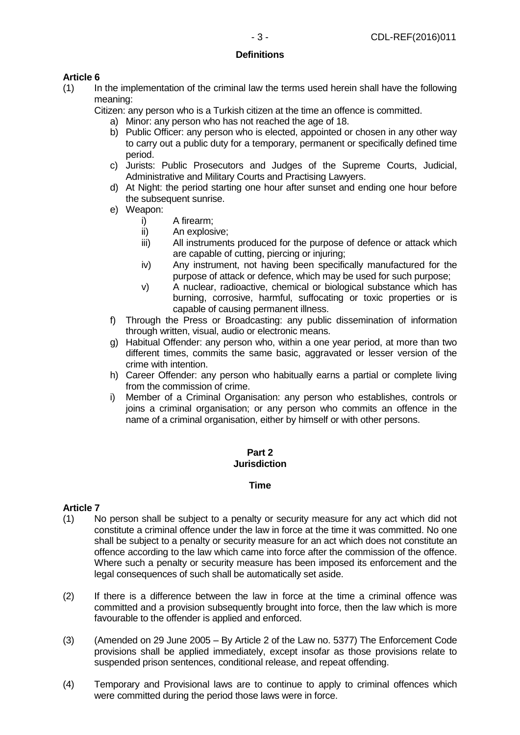### **Definitions**

## **Article 6**

(1) In the implementation of the criminal law the terms used herein shall have the following meaning:

Citizen: any person who is a Turkish citizen at the time an offence is committed.

- a) Minor: any person who has not reached the age of 18.
- b) Public Officer: any person who is elected, appointed or chosen in any other way to carry out a public duty for a temporary, permanent or specifically defined time period.
- c) Jurists: Public Prosecutors and Judges of the Supreme Courts, Judicial, Administrative and Military Courts and Practising Lawyers.
- d) At Night: the period starting one hour after sunset and ending one hour before the subsequent sunrise.
- e) Weapon:
	- i) A firearm;
	- ii) An explosive;
	- iii) All instruments produced for the purpose of defence or attack which are capable of cutting, piercing or injuring;
	- iv) Any instrument, not having been specifically manufactured for the purpose of attack or defence, which may be used for such purpose;
	- v) A nuclear, radioactive, chemical or biological substance which has burning, corrosive, harmful, suffocating or toxic properties or is capable of causing permanent illness.
- f) Through the Press or Broadcasting: any public dissemination of information through written, visual, audio or electronic means.
- g) Habitual Offender: any person who, within a one year period, at more than two different times, commits the same basic, aggravated or lesser version of the crime with intention.
- h) Career Offender: any person who habitually earns a partial or complete living from the commission of crime.
- i) Member of a Criminal Organisation: any person who establishes, controls or joins a criminal organisation; or any person who commits an offence in the name of a criminal organisation, either by himself or with other persons.

#### **Part 2 Jurisdiction**

### **Time**

- (1) No person shall be subject to a penalty or security measure for any act which did not constitute a criminal offence under the law in force at the time it was committed. No one shall be subject to a penalty or security measure for an act which does not constitute an offence according to the law which came into force after the commission of the offence. Where such a penalty or security measure has been imposed its enforcement and the legal consequences of such shall be automatically set aside.
- (2) If there is a difference between the law in force at the time a criminal offence was committed and a provision subsequently brought into force, then the law which is more favourable to the offender is applied and enforced.
- (3) (Amended on 29 June 2005 By Article 2 of the Law no. 5377) The Enforcement Code provisions shall be applied immediately, except insofar as those provisions relate to suspended prison sentences, conditional release, and repeat offending.
- (4) Temporary and Provisional laws are to continue to apply to criminal offences which were committed during the period those laws were in force.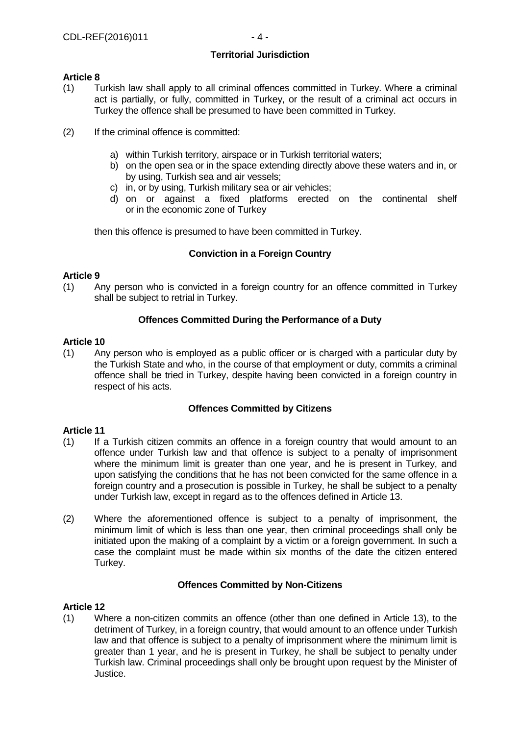## **Territorial Jurisdiction**

## **Article 8**

- (1) Turkish law shall apply to all criminal offences committed in Turkey. Where a criminal act is partially, or fully, committed in Turkey, or the result of a criminal act occurs in Turkey the offence shall be presumed to have been committed in Turkey.
- (2) If the criminal offence is committed:
	- a) within Turkish territory, airspace or in Turkish territorial waters;
	- b) on the open sea or in the space extending directly above these waters and in, or by using, Turkish sea and air vessels;
	- c) in, or by using, Turkish military sea or air vehicles;
	- d) on or against a fixed platforms erected on the continental shelf or in the economic zone of Turkey

then this offence is presumed to have been committed in Turkey.

## **Conviction in a Foreign Country**

## **Article 9**

(1) Any person who is convicted in a foreign country for an offence committed in Turkey shall be subject to retrial in Turkey.

## **Offences Committed During the Performance of a Duty**

### **Article 10**

(1) Any person who is employed as a public officer or is charged with a particular duty by the Turkish State and who, in the course of that employment or duty, commits a criminal offence shall be tried in Turkey, despite having been convicted in a foreign country in respect of his acts.

### **Offences Committed by Citizens**

### **Article 11**

- (1) If a Turkish citizen commits an offence in a foreign country that would amount to an offence under Turkish law and that offence is subject to a penalty of imprisonment where the minimum limit is greater than one year, and he is present in Turkey, and upon satisfying the conditions that he has not been convicted for the same offence in a foreign country and a prosecution is possible in Turkey, he shall be subject to a penalty under Turkish law, except in regard as to the offences defined in Article 13.
- (2) Where the aforementioned offence is subject to a penalty of imprisonment, the minimum limit of which is less than one year, then criminal proceedings shall only be initiated upon the making of a complaint by a victim or a foreign government. In such a case the complaint must be made within six months of the date the citizen entered Turkey.

### **Offences Committed by Non-Citizens**

### **Article 12**

(1) Where a non-citizen commits an offence (other than one defined in Article 13), to the detriment of Turkey, in a foreign country, that would amount to an offence under Turkish law and that offence is subject to a penalty of imprisonment where the minimum limit is greater than 1 year, and he is present in Turkey, he shall be subject to penalty under Turkish law. Criminal proceedings shall only be brought upon request by the Minister of Justice.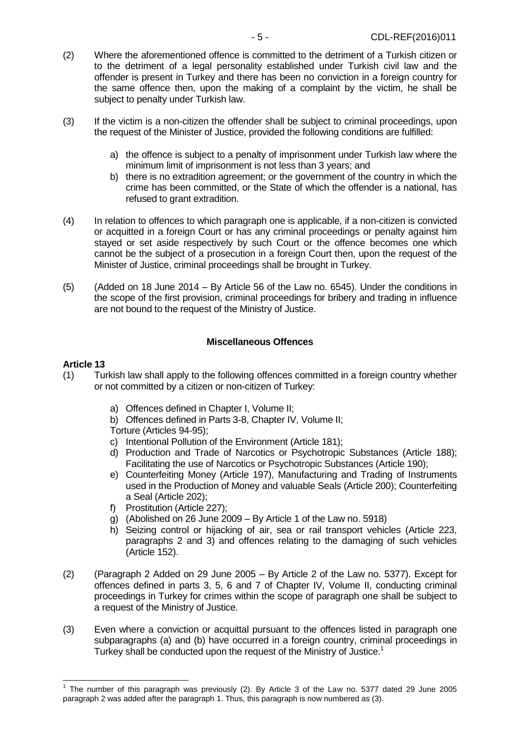- (2) Where the aforementioned offence is committed to the detriment of a Turkish citizen or to the detriment of a legal personality established under Turkish civil law and the offender is present in Turkey and there has been no conviction in a foreign country for the same offence then, upon the making of a complaint by the victim, he shall be subject to penalty under Turkish law.
- (3) If the victim is a non-citizen the offender shall be subject to criminal proceedings, upon the request of the Minister of Justice, provided the following conditions are fulfilled:
	- a) the offence is subject to a penalty of imprisonment under Turkish law where the minimum limit of imprisonment is not less than 3 years; and
	- b) there is no extradition agreement; or the government of the country in which the crime has been committed, or the State of which the offender is a national, has refused to grant extradition.
- (4) In relation to offences to which paragraph one is applicable, if a non-citizen is convicted or acquitted in a foreign Court or has any criminal proceedings or penalty against him stayed or set aside respectively by such Court or the offence becomes one which cannot be the subject of a prosecution in a foreign Court then, upon the request of the Minister of Justice, criminal proceedings shall be brought in Turkey.
- (5) (Added on 18 June 2014 By Article 56 of the Law no. 6545). Under the conditions in the scope of the first provision, criminal proceedings for bribery and trading in influence are not bound to the request of the Ministry of Justice.

### **Miscellaneous Offences**

#### **Article 13**

-

- (1) Turkish law shall apply to the following offences committed in a foreign country whether or not committed by a citizen or non-citizen of Turkey:
	- a) Offences defined in Chapter I, Volume II;
	- b) Offences defined in Parts 3-8, Chapter IV, Volume II;
	- Torture (Articles 94-95);
	- c) Intentional Pollution of the Environment (Article 181);
	- d) Production and Trade of Narcotics or Psychotropic Substances (Article 188); Facilitating the use of Narcotics or Psychotropic Substances (Article 190);
	- e) Counterfeiting Money (Article 197), Manufacturing and Trading of Instruments used in the Production of Money and valuable Seals (Article 200); Counterfeiting a Seal (Article 202);
	- f) Prostitution (Article 227);
	- g) (Abolished on 26 June 2009 By Article 1 of the Law no. 5918)
	- h) Seizing control or hijacking of air, sea or rail transport vehicles (Article 223, paragraphs 2 and 3) and offences relating to the damaging of such vehicles (Article 152).
- (2) (Paragraph 2 Added on 29 June 2005 By Article 2 of the Law no. 5377). Except for offences defined in parts 3, 5, 6 and 7 of Chapter IV, Volume II, conducting criminal proceedings in Turkey for crimes within the scope of paragraph one shall be subject to a request of the Ministry of Justice.
- (3) Even where a conviction or acquittal pursuant to the offences listed in paragraph one subparagraphs (a) and (b) have occurred in a foreign country, criminal proceedings in Turkey shall be conducted upon the request of the Ministry of Justice.<sup>1</sup>

<sup>1</sup> The number of this paragraph was previously (2). By Article 3 of the Law no. 5377 dated 29 June 2005 paragraph 2 was added after the paragraph 1. Thus, this paragraph is now numbered as (3).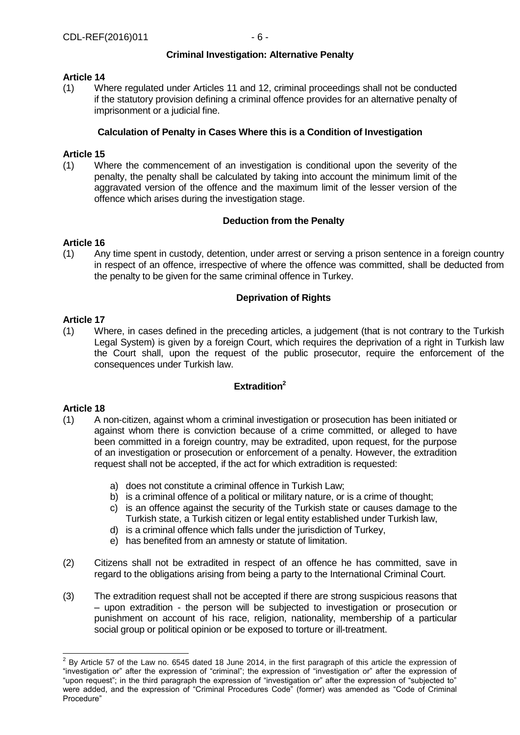### **Criminal Investigation: Alternative Penalty**

### **Article 14**

(1) Where regulated under Articles 11 and 12, criminal proceedings shall not be conducted if the statutory provision defining a criminal offence provides for an alternative penalty of imprisonment or a judicial fine.

## **Calculation of Penalty in Cases Where this is a Condition of Investigation**

### **Article 15**

(1) Where the commencement of an investigation is conditional upon the severity of the penalty, the penalty shall be calculated by taking into account the minimum limit of the aggravated version of the offence and the maximum limit of the lesser version of the offence which arises during the investigation stage.

## **Deduction from the Penalty**

## **Article 16**

(1) Any time spent in custody, detention, under arrest or serving a prison sentence in a foreign country in respect of an offence, irrespective of where the offence was committed, shall be deducted from the penalty to be given for the same criminal offence in Turkey.

## **Deprivation of Rights**

## **Article 17**

(1) Where, in cases defined in the preceding articles, a judgement (that is not contrary to the Turkish Legal System) is given by a foreign Court, which requires the deprivation of a right in Turkish law the Court shall, upon the request of the public prosecutor, require the enforcement of the consequences under Turkish law.

### **Extradition<sup>2</sup>**

- (1) A non-citizen, against whom a criminal investigation or prosecution has been initiated or against whom there is conviction because of a crime committed, or alleged to have been committed in a foreign country, may be extradited, upon request, for the purpose of an investigation or prosecution or enforcement of a penalty. However, the extradition request shall not be accepted, if the act for which extradition is requested:
	- a) does not constitute a criminal offence in Turkish Law;
	- b) is a criminal offence of a political or military nature, or is a crime of thought;
	- c) is an offence against the security of the Turkish state or causes damage to the Turkish state, a Turkish citizen or legal entity established under Turkish law,
	- d) is a criminal offence which falls under the jurisdiction of Turkey,
	- e) has benefited from an amnesty or statute of limitation.
- (2) Citizens shall not be extradited in respect of an offence he has committed, save in regard to the obligations arising from being a party to the International Criminal Court.
- (3) The extradition request shall not be accepted if there are strong suspicious reasons that – upon extradition - the person will be subjected to investigation or prosecution or punishment on account of his race, religion, nationality, membership of a particular social group or political opinion or be exposed to torture or ill-treatment.

 2 By Article 57 of the Law no. 6545 dated 18 June 2014, in the first paragraph of this article the expression of "investigation or" after the expression of "criminal"; the expression of "investigation or" after the expression of "upon request"; in the third paragraph the expression of "investigation or" after the expression of "subjected to" were added, and the expression of "Criminal Procedures Code" (former) was amended as "Code of Criminal Procedure"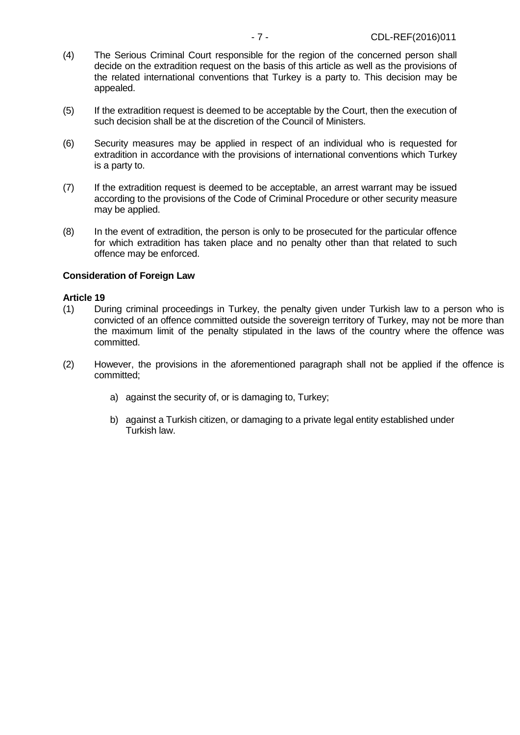- (4) The Serious Criminal Court responsible for the region of the concerned person shall decide on the extradition request on the basis of this article as well as the provisions of the related international conventions that Turkey is a party to. This decision may be appealed.
- (5) If the extradition request is deemed to be acceptable by the Court, then the execution of such decision shall be at the discretion of the Council of Ministers.
- (6) Security measures may be applied in respect of an individual who is requested for extradition in accordance with the provisions of international conventions which Turkey is a party to.
- (7) If the extradition request is deemed to be acceptable, an arrest warrant may be issued according to the provisions of the Code of Criminal Procedure or other security measure may be applied.
- (8) In the event of extradition, the person is only to be prosecuted for the particular offence for which extradition has taken place and no penalty other than that related to such offence may be enforced.

#### **Consideration of Foreign Law**

- (1) During criminal proceedings in Turkey, the penalty given under Turkish law to a person who is convicted of an offence committed outside the sovereign territory of Turkey, may not be more than the maximum limit of the penalty stipulated in the laws of the country where the offence was committed.
- (2) However, the provisions in the aforementioned paragraph shall not be applied if the offence is committed;
	- a) against the security of, or is damaging to, Turkey;
	- b) against a Turkish citizen, or damaging to a private legal entity established under Turkish law.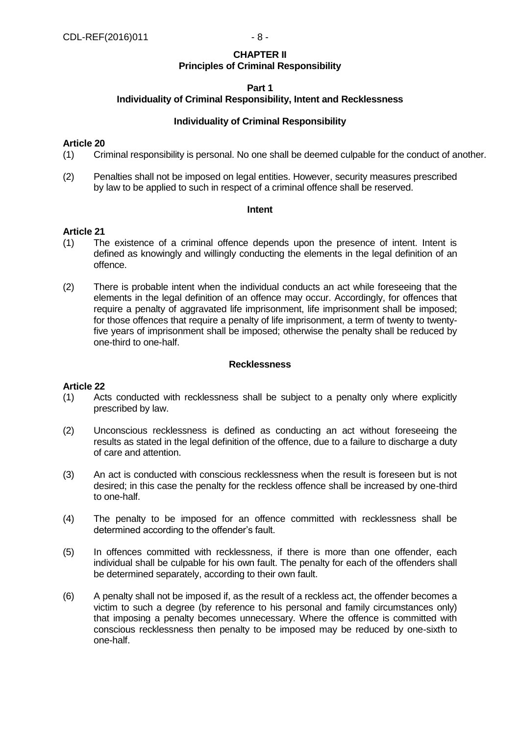## **CHAPTER II**

## **Principles of Criminal Responsibility**

### **Part 1**

### **Individuality of Criminal Responsibility, Intent and Recklessness**

### **Individuality of Criminal Responsibility**

### **Article 20**

- (1) Criminal responsibility is personal. No one shall be deemed culpable for the conduct of another.
- (2) Penalties shall not be imposed on legal entities. However, security measures prescribed by law to be applied to such in respect of a criminal offence shall be reserved.

#### **Intent**

## **Article 21**

- (1) The existence of a criminal offence depends upon the presence of intent. Intent is defined as knowingly and willingly conducting the elements in the legal definition of an offence.
- (2) There is probable intent when the individual conducts an act while foreseeing that the elements in the legal definition of an offence may occur. Accordingly, for offences that require a penalty of aggravated life imprisonment, life imprisonment shall be imposed; for those offences that require a penalty of life imprisonment, a term of twenty to twentyfive years of imprisonment shall be imposed; otherwise the penalty shall be reduced by one-third to one-half.

### **Recklessness**

- (1) Acts conducted with recklessness shall be subject to a penalty only where explicitly prescribed by law.
- (2) Unconscious recklessness is defined as conducting an act without foreseeing the results as stated in the legal definition of the offence, due to a failure to discharge a duty of care and attention.
- (3) An act is conducted with conscious recklessness when the result is foreseen but is not desired; in this case the penalty for the reckless offence shall be increased by one-third to one-half.
- (4) The penalty to be imposed for an offence committed with recklessness shall be determined according to the offender's fault.
- (5) In offences committed with recklessness, if there is more than one offender, each individual shall be culpable for his own fault. The penalty for each of the offenders shall be determined separately, according to their own fault.
- (6) A penalty shall not be imposed if, as the result of a reckless act, the offender becomes a victim to such a degree (by reference to his personal and family circumstances only) that imposing a penalty becomes unnecessary. Where the offence is committed with conscious recklessness then penalty to be imposed may be reduced by one-sixth to one-half.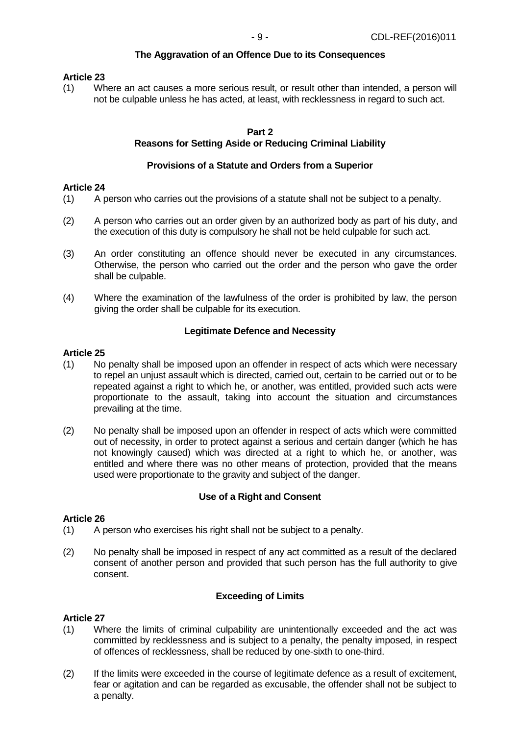#### **The Aggravation of an Offence Due to its Consequences**

### **Article 23**

(1) Where an act causes a more serious result, or result other than intended, a person will not be culpable unless he has acted, at least, with recklessness in regard to such act.

#### **Part 2 Reasons for Setting Aside or Reducing Criminal Liability**

### **Provisions of a Statute and Orders from a Superior**

#### **Article 24**

- (1) A person who carries out the provisions of a statute shall not be subject to a penalty.
- (2) A person who carries out an order given by an authorized body as part of his duty, and the execution of this duty is compulsory he shall not be held culpable for such act.
- (3) An order constituting an offence should never be executed in any circumstances. Otherwise, the person who carried out the order and the person who gave the order shall be culpable.
- (4) Where the examination of the lawfulness of the order is prohibited by law, the person giving the order shall be culpable for its execution.

#### **Legitimate Defence and Necessity**

#### **Article 25**

- (1) No penalty shall be imposed upon an offender in respect of acts which were necessary to repel an unjust assault which is directed, carried out, certain to be carried out or to be repeated against a right to which he, or another, was entitled, provided such acts were proportionate to the assault, taking into account the situation and circumstances prevailing at the time.
- (2) No penalty shall be imposed upon an offender in respect of acts which were committed out of necessity, in order to protect against a serious and certain danger (which he has not knowingly caused) which was directed at a right to which he, or another, was entitled and where there was no other means of protection, provided that the means used were proportionate to the gravity and subject of the danger.

### **Use of a Right and Consent**

### **Article 26**

- (1) A person who exercises his right shall not be subject to a penalty.
- (2) No penalty shall be imposed in respect of any act committed as a result of the declared consent of another person and provided that such person has the full authority to give consent.

### **Exceeding of Limits**

- (1) Where the limits of criminal culpability are unintentionally exceeded and the act was committed by recklessness and is subject to a penalty, the penalty imposed, in respect of offences of recklessness, shall be reduced by one-sixth to one-third.
- (2) If the limits were exceeded in the course of legitimate defence as a result of excitement, fear or agitation and can be regarded as excusable, the offender shall not be subject to a penalty.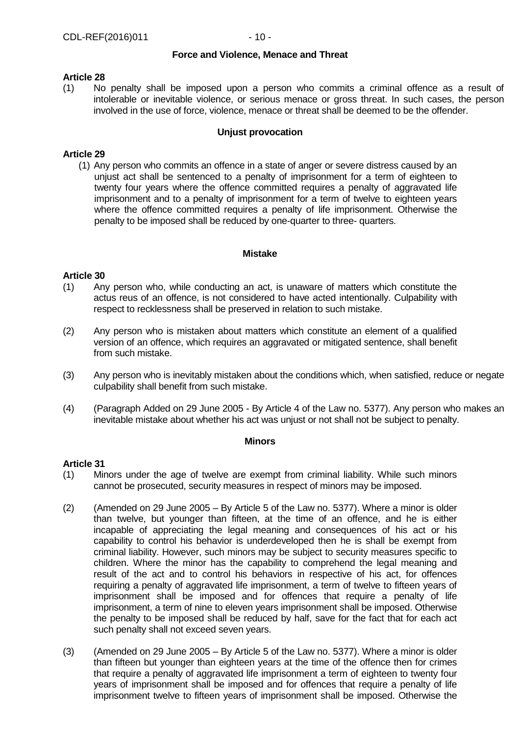#### **Force and Violence, Menace and Threat**

#### **Article 28**

(1) No penalty shall be imposed upon a person who commits a criminal offence as a result of intolerable or inevitable violence, or serious menace or gross threat. In such cases, the person involved in the use of force, violence, menace or threat shall be deemed to be the offender.

#### **Unjust provocation**

#### **Article 29**

(1) Any person who commits an offence in a state of anger or severe distress caused by an unjust act shall be sentenced to a penalty of imprisonment for a term of eighteen to twenty four years where the offence committed requires a penalty of aggravated life imprisonment and to a penalty of imprisonment for a term of twelve to eighteen years where the offence committed requires a penalty of life imprisonment. Otherwise the penalty to be imposed shall be reduced by one-quarter to three- quarters.

#### **Mistake**

#### **Article 30**

- (1) Any person who, while conducting an act, is unaware of matters which constitute the actus reus of an offence, is not considered to have acted intentionally. Culpability with respect to recklessness shall be preserved in relation to such mistake.
- (2) Any person who is mistaken about matters which constitute an element of a qualified version of an offence, which requires an aggravated or mitigated sentence, shall benefit from such mistake.
- (3) Any person who is inevitably mistaken about the conditions which, when satisfied, reduce or negate culpability shall benefit from such mistake.
- (4) (Paragraph Added on 29 June 2005 By Article 4 of the Law no. 5377). Any person who makes an inevitable mistake about whether his act was unjust or not shall not be subject to penalty.

#### **Minors**

- (1) Minors under the age of twelve are exempt from criminal liability. While such minors cannot be prosecuted, security measures in respect of minors may be imposed.
- (2) (Amended on 29 June 2005 By Article 5 of the Law no. 5377). Where a minor is older than twelve, but younger than fifteen, at the time of an offence, and he is either incapable of appreciating the legal meaning and consequences of his act or his capability to control his behavior is underdeveloped then he is shall be exempt from criminal liability. However, such minors may be subject to security measures specific to children. Where the minor has the capability to comprehend the legal meaning and result of the act and to control his behaviors in respective of his act, for offences requiring a penalty of aggravated life imprisonment, a term of twelve to fifteen years of imprisonment shall be imposed and for offences that require a penalty of life imprisonment, a term of nine to eleven years imprisonment shall be imposed. Otherwise the penalty to be imposed shall be reduced by half, save for the fact that for each act such penalty shall not exceed seven years.
- (3) (Amended on 29 June 2005 By Article 5 of the Law no. 5377). Where a minor is older than fifteen but younger than eighteen years at the time of the offence then for crimes that require a penalty of aggravated life imprisonment a term of eighteen to twenty four years of imprisonment shall be imposed and for offences that require a penalty of life imprisonment twelve to fifteen years of imprisonment shall be imposed. Otherwise the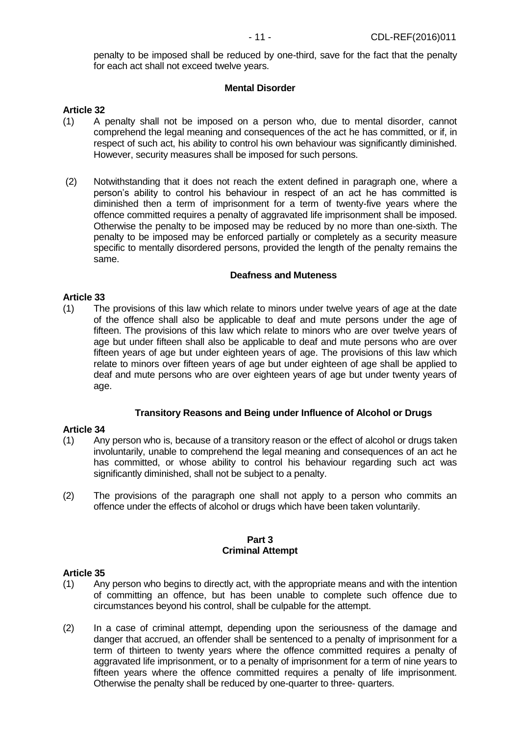penalty to be imposed shall be reduced by one-third, save for the fact that the penalty for each act shall not exceed twelve years.

### **Mental Disorder**

### **Article 32**

- (1) A penalty shall not be imposed on a person who, due to mental disorder, cannot comprehend the legal meaning and consequences of the act he has committed, or if, in respect of such act, his ability to control his own behaviour was significantly diminished. However, security measures shall be imposed for such persons.
- (2) Notwithstanding that it does not reach the extent defined in paragraph one, where a person's ability to control his behaviour in respect of an act he has committed is diminished then a term of imprisonment for a term of twenty-five years where the offence committed requires a penalty of aggravated life imprisonment shall be imposed. Otherwise the penalty to be imposed may be reduced by no more than one-sixth. The penalty to be imposed may be enforced partially or completely as a security measure specific to mentally disordered persons, provided the length of the penalty remains the same.

#### **Deafness and Muteness**

## **Article 33**

(1) The provisions of this law which relate to minors under twelve years of age at the date of the offence shall also be applicable to deaf and mute persons under the age of fifteen. The provisions of this law which relate to minors who are over twelve years of age but under fifteen shall also be applicable to deaf and mute persons who are over fifteen years of age but under eighteen years of age. The provisions of this law which relate to minors over fifteen years of age but under eighteen of age shall be applied to deaf and mute persons who are over eighteen years of age but under twenty years of age.

### **Transitory Reasons and Being under Influence of Alcohol or Drugs**

#### **Article 34**

- (1) Any person who is, because of a transitory reason or the effect of alcohol or drugs taken involuntarily, unable to comprehend the legal meaning and consequences of an act he has committed, or whose ability to control his behaviour regarding such act was significantly diminished, shall not be subject to a penalty.
- (2) The provisions of the paragraph one shall not apply to a person who commits an offence under the effects of alcohol or drugs which have been taken voluntarily.

#### **Part 3 Criminal Attempt**

- (1) Any person who begins to directly act, with the appropriate means and with the intention of committing an offence, but has been unable to complete such offence due to circumstances beyond his control, shall be culpable for the attempt.
- (2) In a case of criminal attempt, depending upon the seriousness of the damage and danger that accrued, an offender shall be sentenced to a penalty of imprisonment for a term of thirteen to twenty years where the offence committed requires a penalty of aggravated life imprisonment, or to a penalty of imprisonment for a term of nine years to fifteen years where the offence committed requires a penalty of life imprisonment. Otherwise the penalty shall be reduced by one-quarter to three- quarters.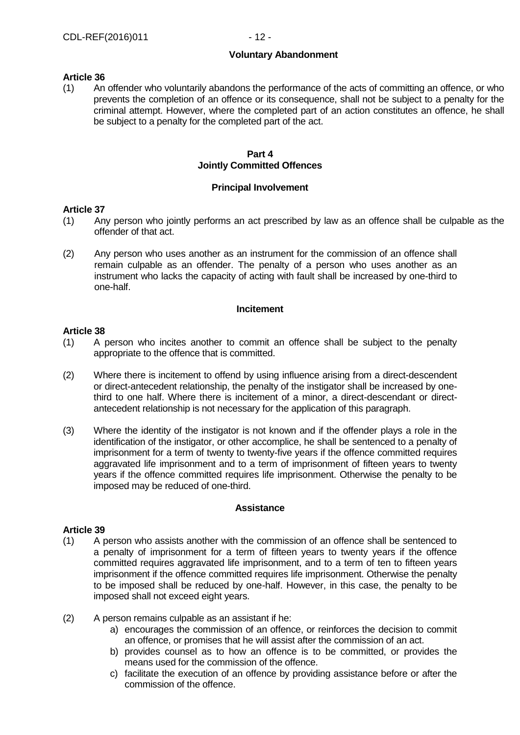#### **Voluntary Abandonment**

### **Article 36**

(1) An offender who voluntarily abandons the performance of the acts of committing an offence, or who prevents the completion of an offence or its consequence, shall not be subject to a penalty for the criminal attempt. However, where the completed part of an action constitutes an offence, he shall be subject to a penalty for the completed part of the act.

### **Part 4 Jointly Committed Offences**

### **Principal Involvement**

### **Article 37**

- (1) Any person who jointly performs an act prescribed by law as an offence shall be culpable as the offender of that act.
- (2) Any person who uses another as an instrument for the commission of an offence shall remain culpable as an offender. The penalty of a person who uses another as an instrument who lacks the capacity of acting with fault shall be increased by one-third to one-half.

#### **Incitement**

### **Article 38**

- (1) A person who incites another to commit an offence shall be subject to the penalty appropriate to the offence that is committed.
- (2) Where there is incitement to offend by using influence arising from a direct-descendent or direct-antecedent relationship, the penalty of the instigator shall be increased by onethird to one half. Where there is incitement of a minor, a direct-descendant or directantecedent relationship is not necessary for the application of this paragraph.
- (3) Where the identity of the instigator is not known and if the offender plays a role in the identification of the instigator, or other accomplice, he shall be sentenced to a penalty of imprisonment for a term of twenty to twenty-five years if the offence committed requires aggravated life imprisonment and to a term of imprisonment of fifteen years to twenty years if the offence committed requires life imprisonment. Otherwise the penalty to be imposed may be reduced of one-third.

#### **Assistance**

- (1) A person who assists another with the commission of an offence shall be sentenced to a penalty of imprisonment for a term of fifteen years to twenty years if the offence committed requires aggravated life imprisonment, and to a term of ten to fifteen years imprisonment if the offence committed requires life imprisonment. Otherwise the penalty to be imposed shall be reduced by one-half. However, in this case, the penalty to be imposed shall not exceed eight years.
- (2) A person remains culpable as an assistant if he:
	- a) encourages the commission of an offence, or reinforces the decision to commit an offence, or promises that he will assist after the commission of an act.
	- b) provides counsel as to how an offence is to be committed, or provides the means used for the commission of the offence.
	- c) facilitate the execution of an offence by providing assistance before or after the commission of the offence.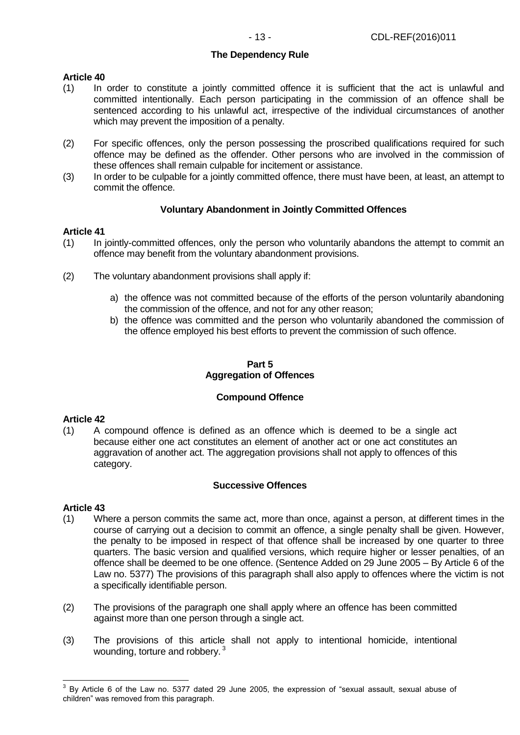## **The Dependency Rule**

### **Article 40**

- (1) In order to constitute a jointly committed offence it is sufficient that the act is unlawful and committed intentionally. Each person participating in the commission of an offence shall be sentenced according to his unlawful act, irrespective of the individual circumstances of another which may prevent the imposition of a penalty.
- (2) For specific offences, only the person possessing the proscribed qualifications required for such offence may be defined as the offender. Other persons who are involved in the commission of these offences shall remain culpable for incitement or assistance.
- (3) In order to be culpable for a jointly committed offence, there must have been, at least, an attempt to commit the offence.

### **Voluntary Abandonment in Jointly Committed Offences**

#### **Article 41**

- (1) In jointly-committed offences, only the person who voluntarily abandons the attempt to commit an offence may benefit from the voluntary abandonment provisions.
- (2) The voluntary abandonment provisions shall apply if:
	- a) the offence was not committed because of the efforts of the person voluntarily abandoning the commission of the offence, and not for any other reason;
	- b) the offence was committed and the person who voluntarily abandoned the commission of the offence employed his best efforts to prevent the commission of such offence.

### **Part 5 Aggregation of Offences**

### **Compound Offence**

### **Article 42**

(1) A compound offence is defined as an offence which is deemed to be a single act because either one act constitutes an element of another act or one act constitutes an aggravation of another act. The aggregation provisions shall not apply to offences of this category.

### **Successive Offences**

- (1) Where a person commits the same act, more than once, against a person, at different times in the course of carrying out a decision to commit an offence, a single penalty shall be given. However, the penalty to be imposed in respect of that offence shall be increased by one quarter to three quarters. The basic version and qualified versions, which require higher or lesser penalties, of an offence shall be deemed to be one offence. (Sentence Added on 29 June 2005 – By Article 6 of the Law no. 5377) The provisions of this paragraph shall also apply to offences where the victim is not a specifically identifiable person.
- (2) The provisions of the paragraph one shall apply where an offence has been committed against more than one person through a single act.
- (3) The provisions of this article shall not apply to intentional homicide, intentional wounding, torture and robbery.<sup>3</sup>

 $\frac{1}{3}$ By Article 6 of the Law no. 5377 dated 29 June 2005, the expression of "sexual assault, sexual abuse of children" was removed from this paragraph.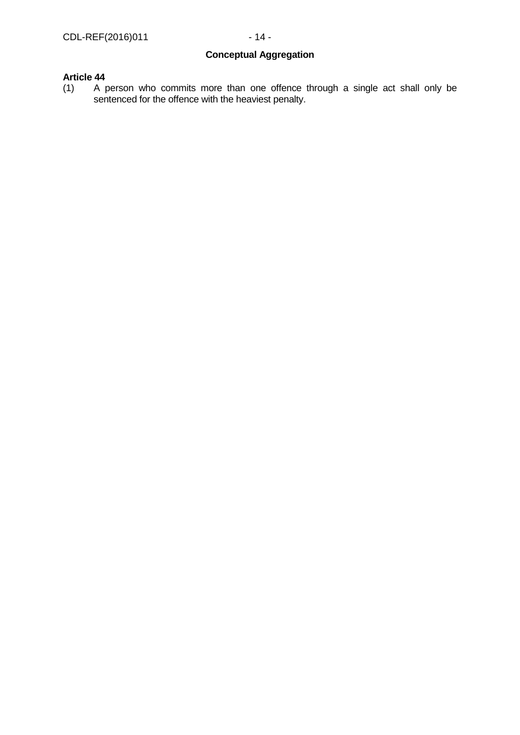## **Conceptual Aggregation**

### **Article 44**

(1) A person who commits more than one offence through a single act shall only be sentenced for the offence with the heaviest penalty.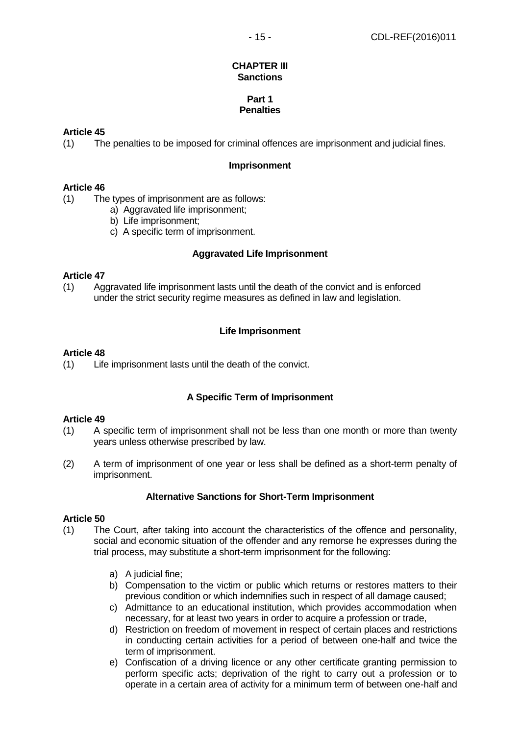#### **CHAPTER III Sanctions**

## **Part 1 Penalties**

## **Article 45**

(1) The penalties to be imposed for criminal offences are imprisonment and judicial fines.

### **Imprisonment**

#### **Article 46**

- (1) The types of imprisonment are as follows:
	- a) Aggravated life imprisonment:
	- b) Life imprisonment;
	- c) A specific term of imprisonment.

### **Aggravated Life Imprisonment**

#### **Article 47**

(1) Aggravated life imprisonment lasts until the death of the convict and is enforced under the strict security regime measures as defined in law and legislation.

#### **Life Imprisonment**

#### **Article 48**

(1) Life imprisonment lasts until the death of the convict.

### **A Specific Term of Imprisonment**

#### **Article 49**

- (1) A specific term of imprisonment shall not be less than one month or more than twenty years unless otherwise prescribed by law.
- (2) A term of imprisonment of one year or less shall be defined as a short-term penalty of imprisonment.

#### **Alternative Sanctions for Short-Term Imprisonment**

- (1) The Court, after taking into account the characteristics of the offence and personality, social and economic situation of the offender and any remorse he expresses during the trial process, may substitute a short-term imprisonment for the following:
	- a) A judicial fine;
	- b) Compensation to the victim or public which returns or restores matters to their previous condition or which indemnifies such in respect of all damage caused;
	- c) Admittance to an educational institution, which provides accommodation when necessary, for at least two years in order to acquire a profession or trade,
	- d) Restriction on freedom of movement in respect of certain places and restrictions in conducting certain activities for a period of between one-half and twice the term of imprisonment.
	- e) Confiscation of a driving licence or any other certificate granting permission to perform specific acts; deprivation of the right to carry out a profession or to operate in a certain area of activity for a minimum term of between one-half and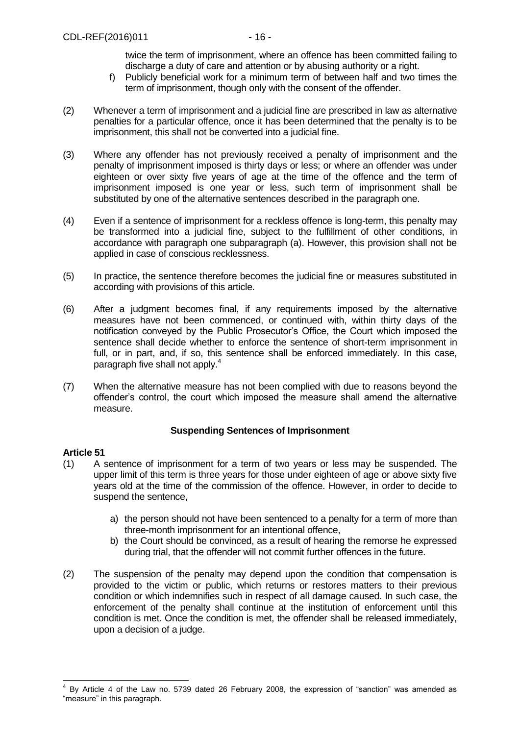twice the term of imprisonment, where an offence has been committed failing to discharge a duty of care and attention or by abusing authority or a right.

- f) Publicly beneficial work for a minimum term of between half and two times the term of imprisonment, though only with the consent of the offender.
- (2) Whenever a term of imprisonment and a judicial fine are prescribed in law as alternative penalties for a particular offence, once it has been determined that the penalty is to be imprisonment, this shall not be converted into a judicial fine.
- (3) Where any offender has not previously received a penalty of imprisonment and the penalty of imprisonment imposed is thirty days or less; or where an offender was under eighteen or over sixty five years of age at the time of the offence and the term of imprisonment imposed is one year or less, such term of imprisonment shall be substituted by one of the alternative sentences described in the paragraph one.
- (4) Even if a sentence of imprisonment for a reckless offence is long-term, this penalty may be transformed into a judicial fine, subject to the fulfillment of other conditions, in accordance with paragraph one subparagraph (a). However, this provision shall not be applied in case of conscious recklessness.
- (5) In practice, the sentence therefore becomes the judicial fine or measures substituted in according with provisions of this article.
- (6) After a judgment becomes final, if any requirements imposed by the alternative measures have not been commenced, or continued with, within thirty days of the notification conveyed by the Public Prosecutor's Office, the Court which imposed the sentence shall decide whether to enforce the sentence of short-term imprisonment in full, or in part, and, if so, this sentence shall be enforced immediately. In this case, paragraph five shall not apply.<sup>4</sup>
- (7) When the alternative measure has not been complied with due to reasons beyond the offender's control, the court which imposed the measure shall amend the alternative measure.

### **Suspending Sentences of Imprisonment**

### **Article 51**

-

- (1) A sentence of imprisonment for a term of two years or less may be suspended. The upper limit of this term is three years for those under eighteen of age or above sixty five years old at the time of the commission of the offence. However, in order to decide to suspend the sentence,
	- a) the person should not have been sentenced to a penalty for a term of more than three-month imprisonment for an intentional offence,
	- b) the Court should be convinced, as a result of hearing the remorse he expressed during trial, that the offender will not commit further offences in the future.
- (2) The suspension of the penalty may depend upon the condition that compensation is provided to the victim or public, which returns or restores matters to their previous condition or which indemnifies such in respect of all damage caused. In such case, the enforcement of the penalty shall continue at the institution of enforcement until this condition is met. Once the condition is met, the offender shall be released immediately, upon a decision of a judge.

<sup>4</sup> By Article 4 of the Law no. 5739 dated 26 February 2008, the expression of "sanction" was amended as "measure" in this paragraph.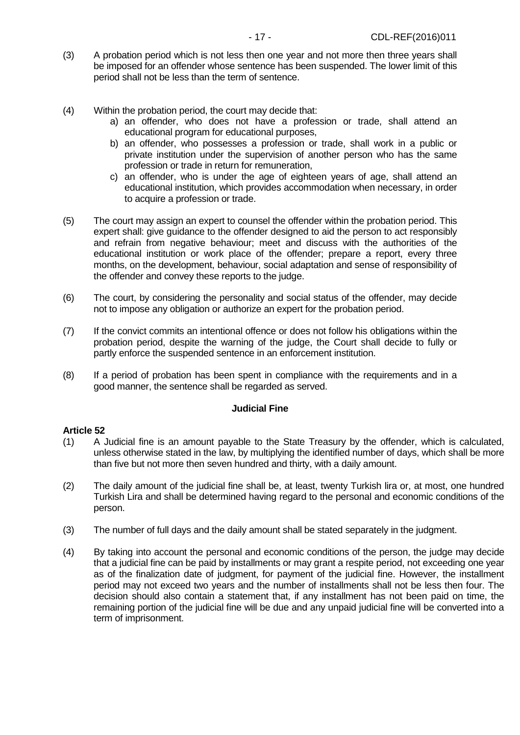- (3) A probation period which is not less then one year and not more then three years shall be imposed for an offender whose sentence has been suspended. The lower limit of this period shall not be less than the term of sentence.
- (4) Within the probation period, the court may decide that:
	- a) an offender, who does not have a profession or trade, shall attend an educational program for educational purposes,
	- b) an offender, who possesses a profession or trade, shall work in a public or private institution under the supervision of another person who has the same profession or trade in return for remuneration,
	- c) an offender, who is under the age of eighteen years of age, shall attend an educational institution, which provides accommodation when necessary, in order to acquire a profession or trade.
- (5) The court may assign an expert to counsel the offender within the probation period. This expert shall: give guidance to the offender designed to aid the person to act responsibly and refrain from negative behaviour; meet and discuss with the authorities of the educational institution or work place of the offender; prepare a report, every three months, on the development, behaviour, social adaptation and sense of responsibility of the offender and convey these reports to the judge.
- (6) The court, by considering the personality and social status of the offender, may decide not to impose any obligation or authorize an expert for the probation period.
- (7) If the convict commits an intentional offence or does not follow his obligations within the probation period, despite the warning of the judge, the Court shall decide to fully or partly enforce the suspended sentence in an enforcement institution.
- (8) If a period of probation has been spent in compliance with the requirements and in a good manner, the sentence shall be regarded as served.

#### **Judicial Fine**

- (1) A Judicial fine is an amount payable to the State Treasury by the offender, which is calculated, unless otherwise stated in the law, by multiplying the identified number of days, which shall be more than five but not more then seven hundred and thirty, with a daily amount.
- (2) The daily amount of the judicial fine shall be, at least, twenty Turkish lira or, at most, one hundred Turkish Lira and shall be determined having regard to the personal and economic conditions of the person.
- (3) The number of full days and the daily amount shall be stated separately in the judgment.
- (4) By taking into account the personal and economic conditions of the person, the judge may decide that a judicial fine can be paid by installments or may grant a respite period, not exceeding one year as of the finalization date of judgment, for payment of the judicial fine. However, the installment period may not exceed two years and the number of installments shall not be less then four. The decision should also contain a statement that, if any installment has not been paid on time, the remaining portion of the judicial fine will be due and any unpaid judicial fine will be converted into a term of imprisonment.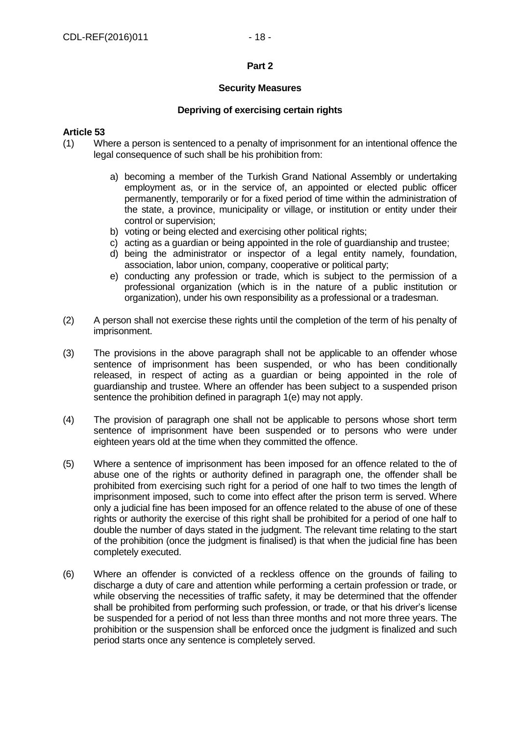### **Part 2**

#### **Security Measures**

### **Depriving of exercising certain rights**

- (1) Where a person is sentenced to a penalty of imprisonment for an intentional offence the legal consequence of such shall be his prohibition from:
	- a) becoming a member of the Turkish Grand National Assembly or undertaking employment as, or in the service of, an appointed or elected public officer permanently, temporarily or for a fixed period of time within the administration of the state, a province, municipality or village, or institution or entity under their control or supervision;
	- b) voting or being elected and exercising other political rights;
	- c) acting as a guardian or being appointed in the role of guardianship and trustee;
	- d) being the administrator or inspector of a legal entity namely, foundation, association, labor union, company, cooperative or political party;
	- e) conducting any profession or trade, which is subject to the permission of a professional organization (which is in the nature of a public institution or organization), under his own responsibility as a professional or a tradesman.
- (2) A person shall not exercise these rights until the completion of the term of his penalty of imprisonment.
- (3) The provisions in the above paragraph shall not be applicable to an offender whose sentence of imprisonment has been suspended, or who has been conditionally released, in respect of acting as a guardian or being appointed in the role of guardianship and trustee. Where an offender has been subject to a suspended prison sentence the prohibition defined in paragraph 1(e) may not apply.
- (4) The provision of paragraph one shall not be applicable to persons whose short term sentence of imprisonment have been suspended or to persons who were under eighteen years old at the time when they committed the offence.
- (5) Where a sentence of imprisonment has been imposed for an offence related to the of abuse one of the rights or authority defined in paragraph one, the offender shall be prohibited from exercising such right for a period of one half to two times the length of imprisonment imposed, such to come into effect after the prison term is served. Where only a judicial fine has been imposed for an offence related to the abuse of one of these rights or authority the exercise of this right shall be prohibited for a period of one half to double the number of days stated in the judgment. The relevant time relating to the start of the prohibition (once the judgment is finalised) is that when the judicial fine has been completely executed.
- (6) Where an offender is convicted of a reckless offence on the grounds of failing to discharge a duty of care and attention while performing a certain profession or trade, or while observing the necessities of traffic safety, it may be determined that the offender shall be prohibited from performing such profession, or trade, or that his driver's license be suspended for a period of not less than three months and not more three years. The prohibition or the suspension shall be enforced once the judgment is finalized and such period starts once any sentence is completely served.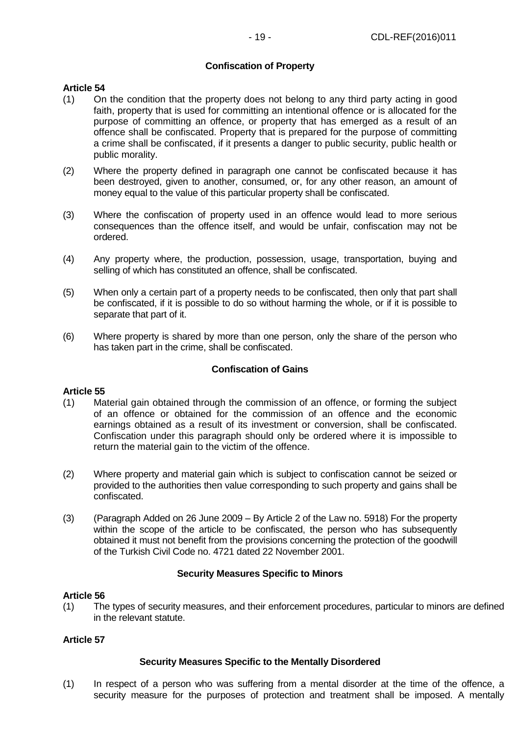### **Confiscation of Property**

### **Article 54**

- (1) On the condition that the property does not belong to any third party acting in good faith, property that is used for committing an intentional offence or is allocated for the purpose of committing an offence, or property that has emerged as a result of an offence shall be confiscated. Property that is prepared for the purpose of committing a crime shall be confiscated, if it presents a danger to public security, public health or public morality.
- (2) Where the property defined in paragraph one cannot be confiscated because it has been destroyed, given to another, consumed, or, for any other reason, an amount of money equal to the value of this particular property shall be confiscated.
- (3) Where the confiscation of property used in an offence would lead to more serious consequences than the offence itself, and would be unfair, confiscation may not be ordered.
- (4) Any property where, the production, possession, usage, transportation, buying and selling of which has constituted an offence, shall be confiscated.
- (5) When only a certain part of a property needs to be confiscated, then only that part shall be confiscated, if it is possible to do so without harming the whole, or if it is possible to separate that part of it.
- (6) Where property is shared by more than one person, only the share of the person who has taken part in the crime, shall be confiscated.

### **Confiscation of Gains**

### **Article 55**

- (1) Material gain obtained through the commission of an offence, or forming the subject of an offence or obtained for the commission of an offence and the economic earnings obtained as a result of its investment or conversion, shall be confiscated. Confiscation under this paragraph should only be ordered where it is impossible to return the material gain to the victim of the offence.
- (2) Where property and material gain which is subject to confiscation cannot be seized or provided to the authorities then value corresponding to such property and gains shall be confiscated.
- (3) (Paragraph Added on 26 June 2009 By Article 2 of the Law no. 5918) For the property within the scope of the article to be confiscated, the person who has subsequently obtained it must not benefit from the provisions concerning the protection of the goodwill of the Turkish Civil Code no. 4721 dated 22 November 2001.

### **Security Measures Specific to Minors**

### **Article 56**

(1) The types of security measures, and their enforcement procedures, particular to minors are defined in the relevant statute.

### **Article 57**

### **Security Measures Specific to the Mentally Disordered**

(1) In respect of a person who was suffering from a mental disorder at the time of the offence, a security measure for the purposes of protection and treatment shall be imposed. A mentally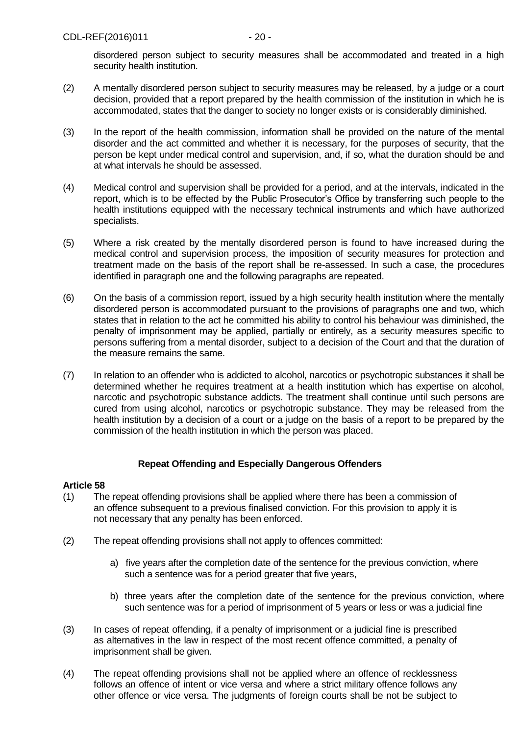disordered person subject to security measures shall be accommodated and treated in a high security health institution.

- (2) A mentally disordered person subject to security measures may be released, by a judge or a court decision, provided that a report prepared by the health commission of the institution in which he is accommodated, states that the danger to society no longer exists or is considerably diminished.
- (3) In the report of the health commission, information shall be provided on the nature of the mental disorder and the act committed and whether it is necessary, for the purposes of security, that the person be kept under medical control and supervision, and, if so, what the duration should be and at what intervals he should be assessed.
- (4) Medical control and supervision shall be provided for a period, and at the intervals, indicated in the report, which is to be effected by the Public Prosecutor's Office by transferring such people to the health institutions equipped with the necessary technical instruments and which have authorized specialists.
- (5) Where a risk created by the mentally disordered person is found to have increased during the medical control and supervision process, the imposition of security measures for protection and treatment made on the basis of the report shall be re-assessed. In such a case, the procedures identified in paragraph one and the following paragraphs are repeated.
- (6) On the basis of a commission report, issued by a high security health institution where the mentally disordered person is accommodated pursuant to the provisions of paragraphs one and two, which states that in relation to the act he committed his ability to control his behaviour was diminished, the penalty of imprisonment may be applied, partially or entirely, as a security measures specific to persons suffering from a mental disorder, subject to a decision of the Court and that the duration of the measure remains the same.
- (7) In relation to an offender who is addicted to alcohol, narcotics or psychotropic substances it shall be determined whether he requires treatment at a health institution which has expertise on alcohol, narcotic and psychotropic substance addicts. The treatment shall continue until such persons are cured from using alcohol, narcotics or psychotropic substance. They may be released from the health institution by a decision of a court or a judge on the basis of a report to be prepared by the commission of the health institution in which the person was placed.

### **Repeat Offending and Especially Dangerous Offenders**

- (1) The repeat offending provisions shall be applied where there has been a commission of an offence subsequent to a previous finalised conviction. For this provision to apply it is not necessary that any penalty has been enforced.
- (2) The repeat offending provisions shall not apply to offences committed:
	- a) five years after the completion date of the sentence for the previous conviction, where such a sentence was for a period greater that five years,
	- b) three years after the completion date of the sentence for the previous conviction, where such sentence was for a period of imprisonment of 5 years or less or was a judicial fine
- (3) In cases of repeat offending, if a penalty of imprisonment or a judicial fine is prescribed as alternatives in the law in respect of the most recent offence committed, a penalty of imprisonment shall be given.
- (4) The repeat offending provisions shall not be applied where an offence of recklessness follows an offence of intent or vice versa and where a strict military offence follows any other offence or vice versa. The judgments of foreign courts shall be not be subject to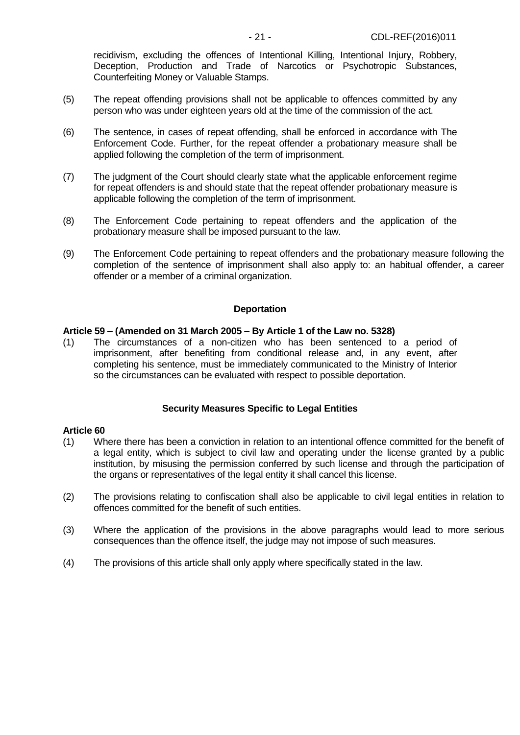recidivism, excluding the offences of Intentional Killing, Intentional Injury, Robbery, Deception, Production and Trade of Narcotics or Psychotropic Substances, Counterfeiting Money or Valuable Stamps.

- (5) The repeat offending provisions shall not be applicable to offences committed by any person who was under eighteen years old at the time of the commission of the act.
- (6) The sentence, in cases of repeat offending, shall be enforced in accordance with The Enforcement Code. Further, for the repeat offender a probationary measure shall be applied following the completion of the term of imprisonment.
- (7) The judgment of the Court should clearly state what the applicable enforcement regime for repeat offenders is and should state that the repeat offender probationary measure is applicable following the completion of the term of imprisonment.
- (8) The Enforcement Code pertaining to repeat offenders and the application of the probationary measure shall be imposed pursuant to the law.
- (9) The Enforcement Code pertaining to repeat offenders and the probationary measure following the completion of the sentence of imprisonment shall also apply to: an habitual offender, a career offender or a member of a criminal organization.

#### **Deportation**

#### **Article 59 – (Amended on 31 March 2005 – By Article 1 of the Law no. 5328)**

(1) The circumstances of a non-citizen who has been sentenced to a period of imprisonment, after benefiting from conditional release and, in any event, after completing his sentence, must be immediately communicated to the Ministry of Interior so the circumstances can be evaluated with respect to possible deportation.

### **Security Measures Specific to Legal Entities**

- (1) Where there has been a conviction in relation to an intentional offence committed for the benefit of a legal entity, which is subject to civil law and operating under the license granted by a public institution, by misusing the permission conferred by such license and through the participation of the organs or representatives of the legal entity it shall cancel this license.
- (2) The provisions relating to confiscation shall also be applicable to civil legal entities in relation to offences committed for the benefit of such entities.
- (3) Where the application of the provisions in the above paragraphs would lead to more serious consequences than the offence itself, the judge may not impose of such measures.
- (4) The provisions of this article shall only apply where specifically stated in the law.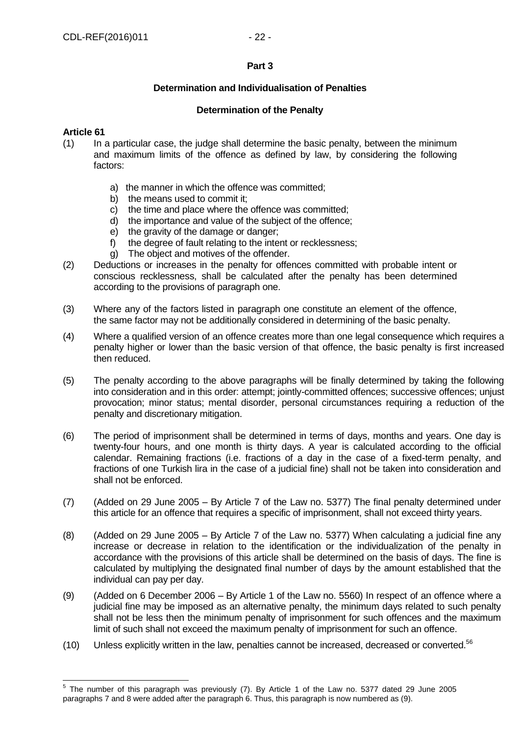### **Part 3**

### **Determination and Individualisation of Penalties**

#### **Determination of the Penalty**

- (1) In a particular case, the judge shall determine the basic penalty, between the minimum and maximum limits of the offence as defined by law, by considering the following factors:
	- a) the manner in which the offence was committed;
	- b) the means used to commit it:
	- c) the time and place where the offence was committed;
	- d) the importance and value of the subject of the offence;
	- e) the gravity of the damage or danger;
	- f) the degree of fault relating to the intent or recklessness;
	- g) The object and motives of the offender.
- (2) Deductions or increases in the penalty for offences committed with probable intent or conscious recklessness, shall be calculated after the penalty has been determined according to the provisions of paragraph one.
- (3) Where any of the factors listed in paragraph one constitute an element of the offence, the same factor may not be additionally considered in determining of the basic penalty.
- (4) Where a qualified version of an offence creates more than one legal consequence which requires a penalty higher or lower than the basic version of that offence, the basic penalty is first increased then reduced.
- (5) The penalty according to the above paragraphs will be finally determined by taking the following into consideration and in this order: attempt; jointly-committed offences; successive offences; unjust provocation; minor status; mental disorder, personal circumstances requiring a reduction of the penalty and discretionary mitigation.
- (6) The period of imprisonment shall be determined in terms of days, months and years. One day is twenty-four hours, and one month is thirty days. A year is calculated according to the official calendar. Remaining fractions (i.e. fractions of a day in the case of a fixed-term penalty, and fractions of one Turkish lira in the case of a judicial fine) shall not be taken into consideration and shall not be enforced.
- (7) (Added on 29 June 2005 By Article 7 of the Law no. 5377) The final penalty determined under this article for an offence that requires a specific of imprisonment, shall not exceed thirty years.
- (8) (Added on 29 June 2005 By Article 7 of the Law no. 5377) When calculating a judicial fine any increase or decrease in relation to the identification or the individualization of the penalty in accordance with the provisions of this article shall be determined on the basis of days. The fine is calculated by multiplying the designated final number of days by the amount established that the individual can pay per day.
- (9) (Added on 6 December 2006 By Article 1 of the Law no. 5560) In respect of an offence where a judicial fine may be imposed as an alternative penalty, the minimum days related to such penalty shall not be less then the minimum penalty of imprisonment for such offences and the maximum limit of such shall not exceed the maximum penalty of imprisonment for such an offence.
- (10) Unless explicitly written in the law, penalties cannot be increased, decreased or converted.<sup>56</sup>

 5 The number of this paragraph was previously (7). By Article 1 of the Law no. 5377 dated 29 June 2005 paragraphs 7 and 8 were added after the paragraph 6. Thus, this paragraph is now numbered as (9).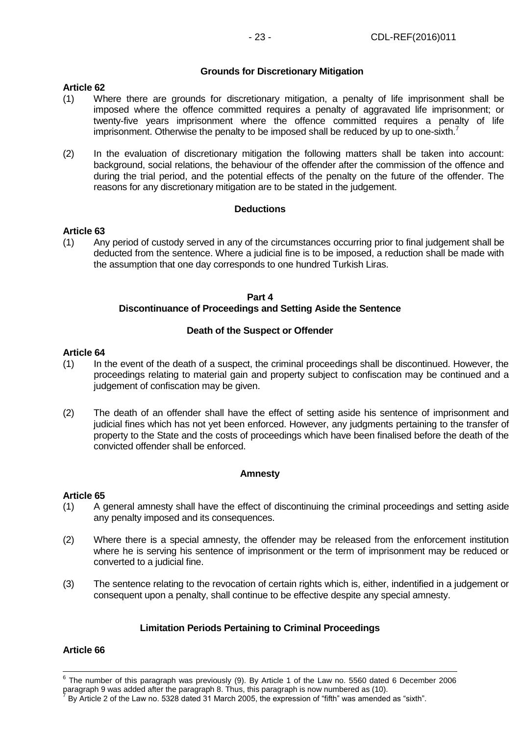### **Grounds for Discretionary Mitigation**

### **Article 62**

- (1) Where there are grounds for discretionary mitigation, a penalty of life imprisonment shall be imposed where the offence committed requires a penalty of aggravated life imprisonment; or twenty-five years imprisonment where the offence committed requires a penalty of life imprisonment. Otherwise the penalty to be imposed shall be reduced by up to one-sixth.<sup>7</sup>
- (2) In the evaluation of discretionary mitigation the following matters shall be taken into account: background, social relations, the behaviour of the offender after the commission of the offence and during the trial period, and the potential effects of the penalty on the future of the offender. The reasons for any discretionary mitigation are to be stated in the judgement.

### **Deductions**

### **Article 63**

(1) Any period of custody served in any of the circumstances occurring prior to final judgement shall be deducted from the sentence. Where a judicial fine is to be imposed, a reduction shall be made with the assumption that one day corresponds to one hundred Turkish Liras.

### **Part 4 Discontinuance of Proceedings and Setting Aside the Sentence**

## **Death of the Suspect or Offender**

### **Article 64**

- (1) In the event of the death of a suspect, the criminal proceedings shall be discontinued. However, the proceedings relating to material gain and property subject to confiscation may be continued and a judgement of confiscation may be given.
- (2) The death of an offender shall have the effect of setting aside his sentence of imprisonment and judicial fines which has not yet been enforced. However, any judgments pertaining to the transfer of property to the State and the costs of proceedings which have been finalised before the death of the convicted offender shall be enforced.

### **Amnesty**

### **Article 65**

- (1) A general amnesty shall have the effect of discontinuing the criminal proceedings and setting aside any penalty imposed and its consequences.
- (2) Where there is a special amnesty, the offender may be released from the enforcement institution where he is serving his sentence of imprisonment or the term of imprisonment may be reduced or converted to a judicial fine.
- (3) The sentence relating to the revocation of certain rights which is, either, indentified in a judgement or consequent upon a penalty, shall continue to be effective despite any special amnesty.

## **Limitation Periods Pertaining to Criminal Proceedings**

 6 The number of this paragraph was previously (9). By Article 1 of the Law no. 5560 dated 6 December 2006 paragraph 9 was added after the paragraph 8. Thus, this paragraph is now numbered as (10).<br>[By Article 2 of the Law no. 5228 dated 21 March 2005, the expression of "fifth" was amondo

By Article 2 of the Law no. 5328 dated 31 March 2005, the expression of "fifth" was amended as "sixth".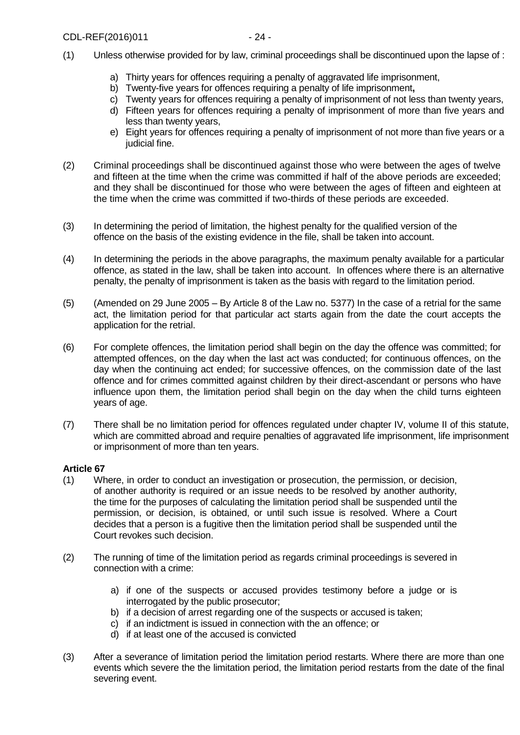- (1) Unless otherwise provided for by law, criminal proceedings shall be discontinued upon the lapse of :
	- a) Thirty years for offences requiring a penalty of aggravated life imprisonment,
	- b) Twenty-five years for offences requiring a penalty of life imprisonment**,**
	- c) Twenty years for offences requiring a penalty of imprisonment of not less than twenty years,
	- d) Fifteen years for offences requiring a penalty of imprisonment of more than five years and less than twenty years,
	- e) Eight years for offences requiring a penalty of imprisonment of not more than five years or a judicial fine.
- (2) Criminal proceedings shall be discontinued against those who were between the ages of twelve and fifteen at the time when the crime was committed if half of the above periods are exceeded; and they shall be discontinued for those who were between the ages of fifteen and eighteen at the time when the crime was committed if two-thirds of these periods are exceeded.
- (3) In determining the period of limitation, the highest penalty for the qualified version of the offence on the basis of the existing evidence in the file, shall be taken into account.
- (4) In determining the periods in the above paragraphs, the maximum penalty available for a particular offence, as stated in the law, shall be taken into account. In offences where there is an alternative penalty, the penalty of imprisonment is taken as the basis with regard to the limitation period.
- (5) (Amended on 29 June 2005 By Article 8 of the Law no. 5377) In the case of a retrial for the same act, the limitation period for that particular act starts again from the date the court accepts the application for the retrial.
- (6) For complete offences, the limitation period shall begin on the day the offence was committed; for attempted offences, on the day when the last act was conducted; for continuous offences, on the day when the continuing act ended; for successive offences, on the commission date of the last offence and for crimes committed against children by their direct-ascendant or persons who have influence upon them, the limitation period shall begin on the day when the child turns eighteen years of age.
- (7) There shall be no limitation period for offences regulated under chapter IV, volume II of this statute, which are committed abroad and require penalties of aggravated life imprisonment, life imprisonment or imprisonment of more than ten years.

- (1) Where, in order to conduct an investigation or prosecution, the permission, or decision, of another authority is required or an issue needs to be resolved by another authority, the time for the purposes of calculating the limitation period shall be suspended until the permission, or decision, is obtained, or until such issue is resolved. Where a Court decides that a person is a fugitive then the limitation period shall be suspended until the Court revokes such decision.
- (2) The running of time of the limitation period as regards criminal proceedings is severed in connection with a crime:
	- a) if one of the suspects or accused provides testimony before a judge or is interrogated by the public prosecutor;
	- b) if a decision of arrest regarding one of the suspects or accused is taken;
	- c) if an indictment is issued in connection with the an offence; or
	- d) if at least one of the accused is convicted
- (3) After a severance of limitation period the limitation period restarts. Where there are more than one events which severe the the limitation period, the limitation period restarts from the date of the final severing event.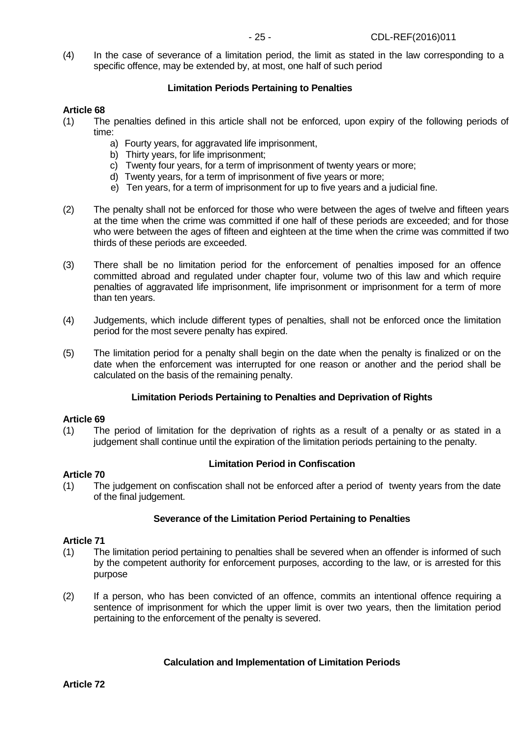(4) In the case of severance of a limitation period, the limit as stated in the law corresponding to a specific offence, may be extended by, at most, one half of such period

## **Limitation Periods Pertaining to Penalties**

### **Article 68**

- (1) The penalties defined in this article shall not be enforced, upon expiry of the following periods of time:
	- a) Fourty years, for aggravated life imprisonment,
	- b) Thirty years, for life imprisonment;
	- c) Twenty four years, for a term of imprisonment of twenty years or more;
	- d) Twenty years, for a term of imprisonment of five years or more;
	- e) Ten years, for a term of imprisonment for up to five years and a judicial fine.
- (2) The penalty shall not be enforced for those who were between the ages of twelve and fifteen years at the time when the crime was committed if one half of these periods are exceeded; and for those who were between the ages of fifteen and eighteen at the time when the crime was committed if two thirds of these periods are exceeded.
- (3) There shall be no limitation period for the enforcement of penalties imposed for an offence committed abroad and regulated under chapter four, volume two of this law and which require penalties of aggravated life imprisonment, life imprisonment or imprisonment for a term of more than ten years.
- (4) Judgements, which include different types of penalties, shall not be enforced once the limitation period for the most severe penalty has expired.
- (5) The limitation period for a penalty shall begin on the date when the penalty is finalized or on the date when the enforcement was interrupted for one reason or another and the period shall be calculated on the basis of the remaining penalty.

### **Limitation Periods Pertaining to Penalties and Deprivation of Rights**

### **Article 69**

(1) The period of limitation for the deprivation of rights as a result of a penalty or as stated in a judgement shall continue until the expiration of the limitation periods pertaining to the penalty.

### **Limitation Period in Confiscation**

### **Article 70**

(1) The judgement on confiscation shall not be enforced after a period of twenty years from the date of the final judgement.

### **Severance of the Limitation Period Pertaining to Penalties**

### **Article 71**

- (1) The limitation period pertaining to penalties shall be severed when an offender is informed of such by the competent authority for enforcement purposes, according to the law, or is arrested for this purpose
- (2) If a person, who has been convicted of an offence, commits an intentional offence requiring a sentence of imprisonment for which the upper limit is over two years, then the limitation period pertaining to the enforcement of the penalty is severed.

### **Calculation and Implementation of Limitation Periods**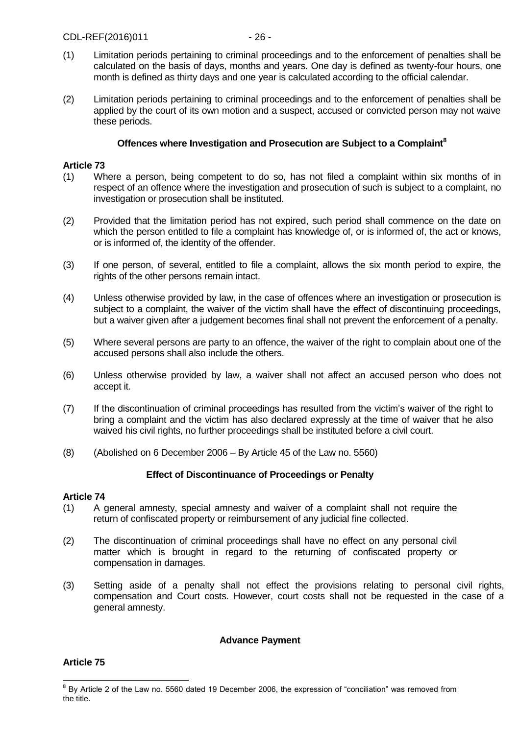- (1) Limitation periods pertaining to criminal proceedings and to the enforcement of penalties shall be calculated on the basis of days, months and years. One day is defined as twenty-four hours, one month is defined as thirty days and one year is calculated according to the official calendar.
- (2) Limitation periods pertaining to criminal proceedings and to the enforcement of penalties shall be applied by the court of its own motion and a suspect, accused or convicted person may not waive these periods.

### **Offences where Investigation and Prosecution are Subject to a Complaint<sup>8</sup>**

### **Article 73**

- (1) Where a person, being competent to do so, has not filed a complaint within six months of in respect of an offence where the investigation and prosecution of such is subject to a complaint, no investigation or prosecution shall be instituted.
- (2) Provided that the limitation period has not expired, such period shall commence on the date on which the person entitled to file a complaint has knowledge of, or is informed of, the act or knows, or is informed of, the identity of the offender.
- (3) If one person, of several, entitled to file a complaint, allows the six month period to expire, the rights of the other persons remain intact.
- (4) Unless otherwise provided by law, in the case of offences where an investigation or prosecution is subject to a complaint, the waiver of the victim shall have the effect of discontinuing proceedings, but a waiver given after a judgement becomes final shall not prevent the enforcement of a penalty.
- (5) Where several persons are party to an offence, the waiver of the right to complain about one of the accused persons shall also include the others.
- (6) Unless otherwise provided by law, a waiver shall not affect an accused person who does not accept it.
- (7) If the discontinuation of criminal proceedings has resulted from the victim's waiver of the right to bring a complaint and the victim has also declared expressly at the time of waiver that he also waived his civil rights, no further proceedings shall be instituted before a civil court.
- (8) (Abolished on 6 December 2006 By Article 45 of the Law no. 5560)

#### **Effect of Discontinuance of Proceedings or Penalty**

#### **Article 74**

- (1) A general amnesty, special amnesty and waiver of a complaint shall not require the return of confiscated property or reimbursement of any judicial fine collected.
- (2) The discontinuation of criminal proceedings shall have no effect on any personal civil matter which is brought in regard to the returning of confiscated property or compensation in damages.
- (3) Setting aside of a penalty shall not effect the provisions relating to personal civil rights, compensation and Court costs. However, court costs shall not be requested in the case of a general amnesty.

### **Advance Payment**

 8 By Article 2 of the Law no. 5560 dated 19 December 2006, the expression of "conciliation" was removed from the title.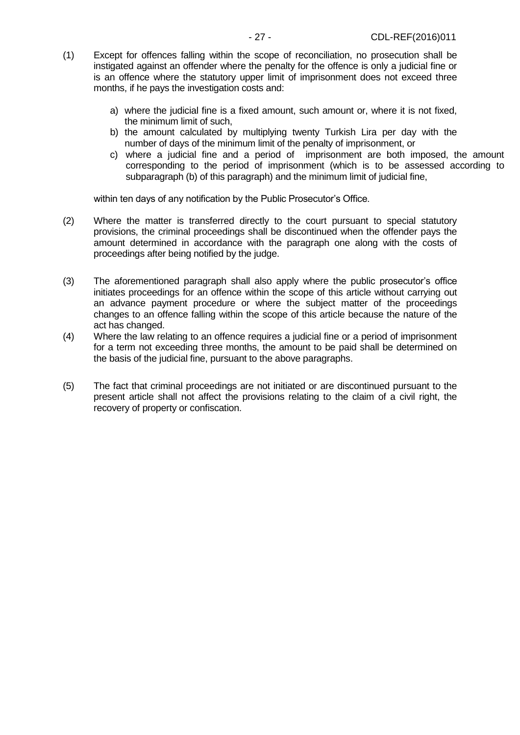- (1) Except for offences falling within the scope of reconciliation, no prosecution shall be instigated against an offender where the penalty for the offence is only a judicial fine or is an offence where the statutory upper limit of imprisonment does not exceed three months, if he pays the investigation costs and:
	- a) where the judicial fine is a fixed amount, such amount or, where it is not fixed, the minimum limit of such,
	- b) the amount calculated by multiplying twenty Turkish Lira per day with the number of days of the minimum limit of the penalty of imprisonment, or
	- c) where a judicial fine and a period of imprisonment are both imposed, the amount corresponding to the period of imprisonment (which is to be assessed according to subparagraph (b) of this paragraph) and the minimum limit of judicial fine,

within ten days of any notification by the Public Prosecutor's Office.

- (2) Where the matter is transferred directly to the court pursuant to special statutory provisions, the criminal proceedings shall be discontinued when the offender pays the amount determined in accordance with the paragraph one along with the costs of proceedings after being notified by the judge.
- (3) The aforementioned paragraph shall also apply where the public prosecutor's office initiates proceedings for an offence within the scope of this article without carrying out an advance payment procedure or where the subject matter of the proceedings changes to an offence falling within the scope of this article because the nature of the act has changed.
- (4) Where the law relating to an offence requires a judicial fine or a period of imprisonment for a term not exceeding three months, the amount to be paid shall be determined on the basis of the judicial fine, pursuant to the above paragraphs.
- (5) The fact that criminal proceedings are not initiated or are discontinued pursuant to the present article shall not affect the provisions relating to the claim of a civil right, the recovery of property or confiscation.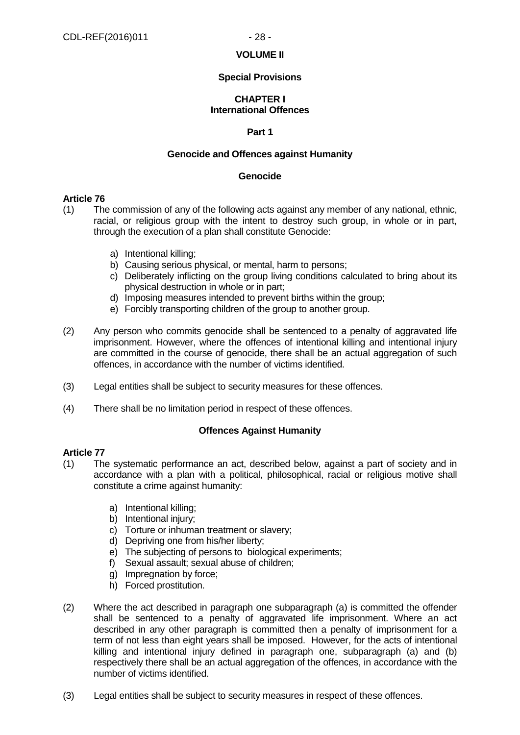### **VOLUME II**

#### **Special Provisions**

#### **CHAPTER I International Offences**

#### **Part 1**

#### **Genocide and Offences against Humanity**

#### **Genocide**

#### **Article 76**

- (1) The commission of any of the following acts against any member of any national, ethnic, racial, or religious group with the intent to destroy such group, in whole or in part, through the execution of a plan shall constitute Genocide:
	- a) Intentional killing;
	- b) Causing serious physical, or mental, harm to persons;
	- c) Deliberately inflicting on the group living conditions calculated to bring about its physical destruction in whole or in part;
	- d) Imposing measures intended to prevent births within the group;
	- e) Forcibly transporting children of the group to another group.
- (2) Any person who commits genocide shall be sentenced to a penalty of aggravated life imprisonment. However, where the offences of intentional killing and intentional injury are committed in the course of genocide, there shall be an actual aggregation of such offences, in accordance with the number of victims identified.
- (3) Legal entities shall be subject to security measures for these offences.
- (4) There shall be no limitation period in respect of these offences.

#### **Offences Against Humanity**

- (1) The systematic performance an act, described below, against a part of society and in accordance with a plan with a political, philosophical, racial or religious motive shall constitute a crime against humanity:
	- a) Intentional killing;
	- b) Intentional injury;
	- c) Torture or inhuman treatment or slavery;
	- d) Depriving one from his/her liberty;
	- e) The subjecting of persons to biological experiments;
	- f) Sexual assault; sexual abuse of children;
	- g) Impregnation by force;
	- h) Forced prostitution.
- (2) Where the act described in paragraph one subparagraph (a) is committed the offender shall be sentenced to a penalty of aggravated life imprisonment. Where an act described in any other paragraph is committed then a penalty of imprisonment for a term of not less than eight years shall be imposed. However, for the acts of intentional killing and intentional injury defined in paragraph one, subparagraph (a) and (b) respectively there shall be an actual aggregation of the offences, in accordance with the number of victims identified.
- (3) Legal entities shall be subject to security measures in respect of these offences.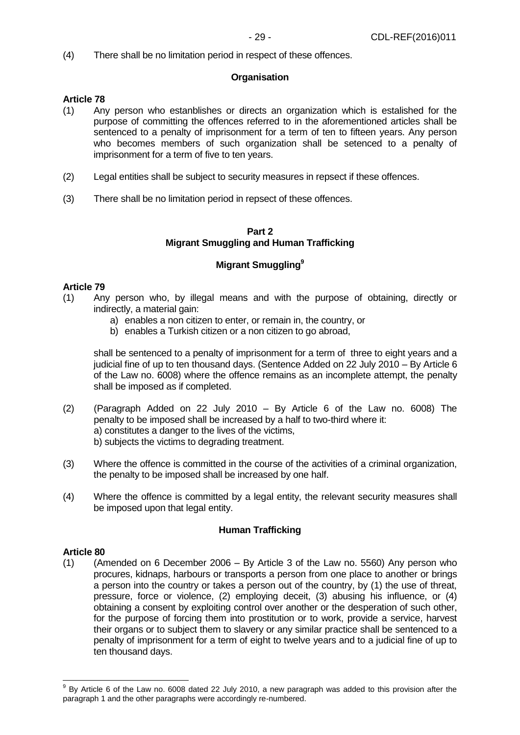(4) There shall be no limitation period in respect of these offences.

### **Organisation**

### **Article 78**

- (1) Any person who estanblishes or directs an organization which is estalished for the purpose of committing the offences referred to in the aforementioned articles shall be sentenced to a penalty of imprisonment for a term of ten to fifteen years. Any person who becomes members of such organization shall be setenced to a penalty of imprisonment for a term of five to ten years.
- (2) Legal entities shall be subject to security measures in repsect if these offences.
- (3) There shall be no limitation period in repsect of these offences.

### **Part 2 Migrant Smuggling and Human Trafficking**

## **Migrant Smuggling 9**

## **Article 79**

- (1) Any person who, by illegal means and with the purpose of obtaining, directly or indirectly, a material gain:
	- a) enables a non citizen to enter, or remain in, the country, or
	- b) enables a Turkish citizen or a non citizen to go abroad,

shall be sentenced to a penalty of imprisonment for a term of three to eight years and a judicial fine of up to ten thousand days. (Sentence Added on 22 July 2010 – By Article 6 of the Law no. 6008) where the offence remains as an incomplete attempt, the penalty shall be imposed as if completed.

- (2) (Paragraph Added on 22 July 2010 By Article 6 of the Law no. 6008) The penalty to be imposed shall be increased by a half to two-third where it: a) constitutes a danger to the lives of the victims, b) subjects the victims to degrading treatment.
- (3) Where the offence is committed in the course of the activities of a criminal organization, the penalty to be imposed shall be increased by one half.
- (4) Where the offence is committed by a legal entity, the relevant security measures shall be imposed upon that legal entity.

### **Human Trafficking**

### **Article 80**

(1) (Amended on 6 December 2006 – By Article 3 of the Law no. 5560) Any person who procures, kidnaps, harbours or transports a person from one place to another or brings a person into the country or takes a person out of the country, by (1) the use of threat, pressure, force or violence, (2) employing deceit, (3) abusing his influence, or (4) obtaining a consent by exploiting control over another or the desperation of such other, for the purpose of forcing them into prostitution or to work, provide a service, harvest their organs or to subject them to slavery or any similar practice shall be sentenced to a penalty of imprisonment for a term of eight to twelve years and to a judicial fine of up to ten thousand days.

<sup>–&</sup>lt;br>9 By Article 6 of the Law no. 6008 dated 22 July 2010, a new paragraph was added to this provision after the paragraph 1 and the other paragraphs were accordingly re-numbered.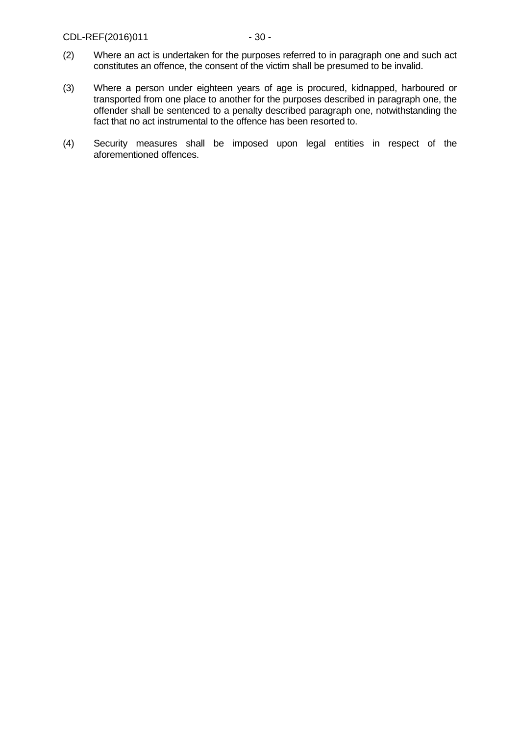- (2) Where an act is undertaken for the purposes referred to in paragraph one and such act constitutes an offence, the consent of the victim shall be presumed to be invalid.
- (3) Where a person under eighteen years of age is procured, kidnapped, harboured or transported from one place to another for the purposes described in paragraph one, the offender shall be sentenced to a penalty described paragraph one, notwithstanding the fact that no act instrumental to the offence has been resorted to.
- (4) Security measures shall be imposed upon legal entities in respect of the aforementioned offences.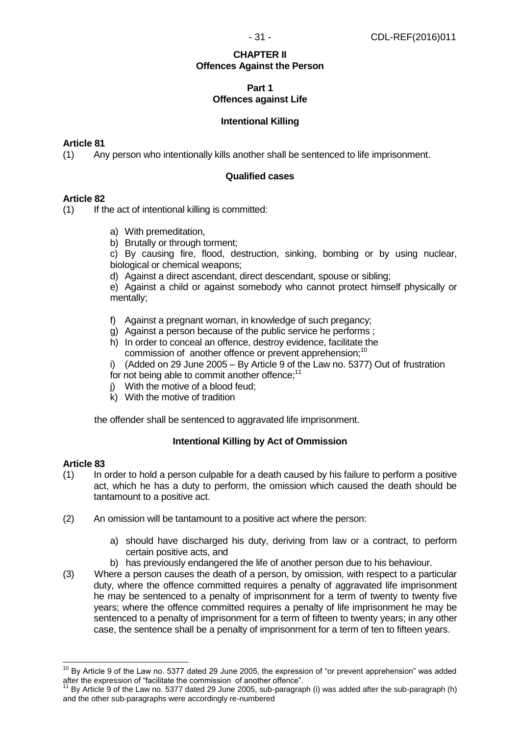### **CHAPTER II Offences Against the Person**

#### **Part 1**

## **Offences against Life**

### **Intentional Killing**

## **Article 81**

(1) Any person who intentionally kills another shall be sentenced to life imprisonment.

### **Qualified cases**

## **Article 82**

(1) If the act of intentional killing is committed:

- a) With premeditation,
- b) Brutally or through torment;

 c) By causing fire, flood, destruction, sinking, bombing or by using nuclear, biological or chemical weapons;

d) Against a direct ascendant, direct descendant, spouse or sibling;

e) Against a child or against somebody who cannot protect himself physically or mentally;

- f) Against a pregnant woman, in knowledge of such pregancy;
- g) Against a person because of the public service he performs ;
- h) In order to conceal an offence, destroy evidence, facilitate the commission of another offence or prevent apprehension;<sup>10</sup>

i) (Added on 29 June 2005 – By Article 9 of the Law no. 5377) Out of frustration

- for not being able to commit another offence; $11$
- j) With the motive of a blood feud;
- k) With the motive of tradition

the offender shall be sentenced to aggravated life imprisonment.

### **Intentional Killing by Act of Ommission**

### **Article 83**

-

- (1) In order to hold a person culpable for a death caused by his failure to perform a positive act, which he has a duty to perform, the omission which caused the death should be tantamount to a positive act.
- (2) An omission will be tantamount to a positive act where the person:
	- a) should have discharged his duty, deriving from law or a contract, to perform certain positive acts, and
	- b) has previously endangered the life of another person due to his behaviour.
- (3) Where a person causes the death of a person, by omission, with respect to a particular duty, where the offence committed requires a penalty of aggravated life imprisonment he may be sentenced to a penalty of imprisonment for a term of twenty to twenty five years; where the offence committed requires a penalty of life imprisonment he may be sentenced to a penalty of imprisonment for a term of fifteen to twenty years; in any other case, the sentence shall be a penalty of imprisonment for a term of ten to fifteen years.

<sup>&</sup>lt;sup>10</sup> By Article 9 of the Law no. 5377 dated 29 June 2005, the expression of "or prevent apprehension" was added after the expression of "facilitate the commission of another offence".

<sup>11</sup> By Article 9 of the Law no. 5377 dated 29 June 2005, sub-paragraph (i) was added after the sub-paragraph (h) and the other sub-paragraphs were accordingly re-numbered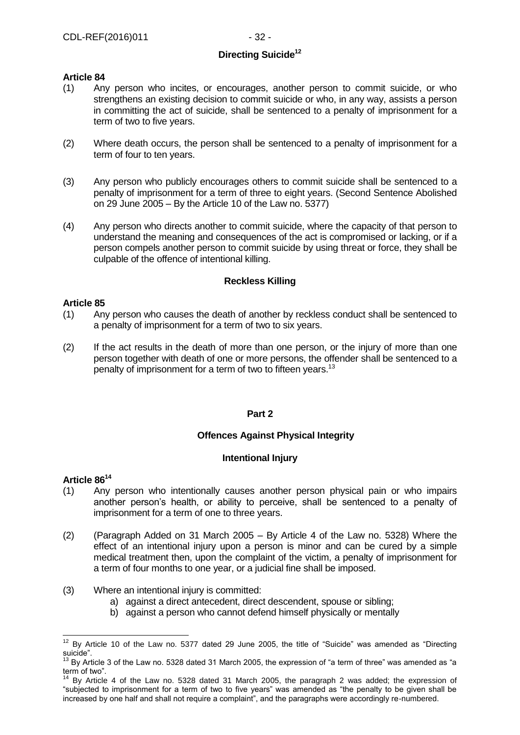## **Directing Suicide<sup>12</sup>**

### **Article 84**

- (1) Any person who incites, or encourages, another person to commit suicide, or who strengthens an existing decision to commit suicide or who, in any way, assists a person in committing the act of suicide, shall be sentenced to a penalty of imprisonment for a term of two to five years.
- (2) Where death occurs, the person shall be sentenced to a penalty of imprisonment for a term of four to ten years.
- (3) Any person who publicly encourages others to commit suicide shall be sentenced to a penalty of imprisonment for a term of three to eight years. (Second Sentence Abolished on 29 June 2005 – By the Article 10 of the Law no. 5377)
- (4) Any person who directs another to commit suicide, where the capacity of that person to understand the meaning and consequences of the act is compromised or lacking, or if a person compels another person to commit suicide by using threat or force, they shall be culpable of the offence of intentional killing.

### **Reckless Killing**

#### **Article 85**

- (1) Any person who causes the death of another by reckless conduct shall be sentenced to a penalty of imprisonment for a term of two to six years.
- (2) If the act results in the death of more than one person, or the injury of more than one person together with death of one or more persons, the offender shall be sentenced to a penalty of imprisonment for a term of two to fifteen years.<sup>13</sup>

### **Part 2**

### **Offences Against Physical Integrity**

### **Intentional Injury**

- (1) Any person who intentionally causes another person physical pain or who impairs another person's health, or ability to perceive, shall be sentenced to a penalty of imprisonment for a term of one to three years.
- (2) (Paragraph Added on 31 March 2005 By Article 4 of the Law no. 5328) Where the effect of an intentional injury upon a person is minor and can be cured by a simple medical treatment then, upon the complaint of the victim, a penalty of imprisonment for a term of four months to one year, or a judicial fine shall be imposed.
- (3) Where an intentional injury is committed:
	- a) against a direct antecedent, direct descendent, spouse or sibling;
	- b) against a person who cannot defend himself physically or mentally

 $12$ <sup>12</sup> By Article 10 of the Law no. 5377 dated 29 June 2005, the title of "Suicide" was amended as "Directing suicide".

 $13$  By Article 3 of the Law no. 5328 dated 31 March 2005, the expression of "a term of three" was amended as "a term of two".

 $14$  By Article 4 of the Law no. 5328 dated 31 March 2005, the paragraph 2 was added; the expression of "subjected to imprisonment for a term of two to five years" was amended as "the penalty to be given shall be increased by one half and shall not require a complaint", and the paragraphs were accordingly re-numbered.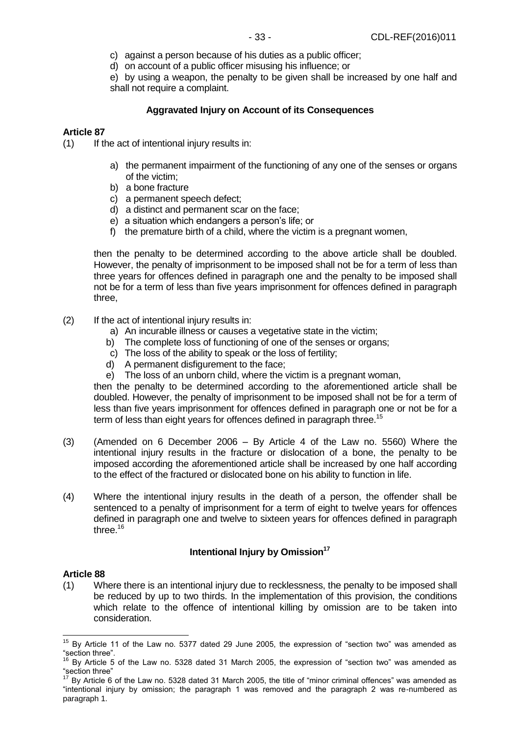- c) against a person because of his duties as a public officer;
- d) on account of a public officer misusing his influence; or

e) by using a weapon, the penalty to be given shall be increased by one half and shall not require a complaint.

### **Aggravated Injury on Account of its Consequences**

### **Article 87**

 $(1)$  If the act of intentional injury results in:

- a) the permanent impairment of the functioning of any one of the senses or organs of the victim;
- b) a bone fracture
- c) a permanent speech defect;
- d) a distinct and permanent scar on the face;
- e) a situation which endangers a person's life; or
- f) the premature birth of a child, where the victim is a pregnant women,

then the penalty to be determined according to the above article shall be doubled. However, the penalty of imprisonment to be imposed shall not be for a term of less than three years for offences defined in paragraph one and the penalty to be imposed shall not be for a term of less than five years imprisonment for offences defined in paragraph three,

- (2) If the act of intentional injury results in:
	- a) An incurable illness or causes a vegetative state in the victim;
	- b) The complete loss of functioning of one of the senses or organs;
	- c) The loss of the ability to speak or the loss of fertility;
	- d) A permanent disfigurement to the face;
	- e) The loss of an unborn child, where the victim is a pregnant woman,

then the penalty to be determined according to the aforementioned article shall be doubled. However, the penalty of imprisonment to be imposed shall not be for a term of less than five years imprisonment for offences defined in paragraph one or not be for a term of less than eight years for offences defined in paragraph three.<sup>15</sup>

- (3) (Amended on 6 December 2006 By Article 4 of the Law no. 5560) Where the intentional injury results in the fracture or dislocation of a bone, the penalty to be imposed according the aforementioned article shall be increased by one half according to the effect of the fractured or dislocated bone on his ability to function in life.
- (4) Where the intentional injury results in the death of a person, the offender shall be sentenced to a penalty of imprisonment for a term of eight to twelve years for offences defined in paragraph one and twelve to sixteen years for offences defined in paragraph three.<sup>16</sup>

### **Intentional Injury by Omission<sup>17</sup>**

#### **Article 88**

(1) Where there is an intentional injury due to recklessness, the penalty to be imposed shall be reduced by up to two thirds. In the implementation of this provision, the conditions which relate to the offence of intentional killing by omission are to be taken into consideration.

<sup>15</sup> <sup>15</sup> By Article 11 of the Law no. 5377 dated 29 June 2005, the expression of "section two" was amended as "section three".<br><sup>16</sup> By Article 5

<sup>16</sup> By Article 5 of the Law no. 5328 dated 31 March 2005, the expression of "section two" was amended as "section three"

 $17$  By Article 6 of the Law no. 5328 dated 31 March 2005, the title of "minor criminal offences" was amended as "intentional injury by omission; the paragraph 1 was removed and the paragraph 2 was re-numbered as paragraph 1.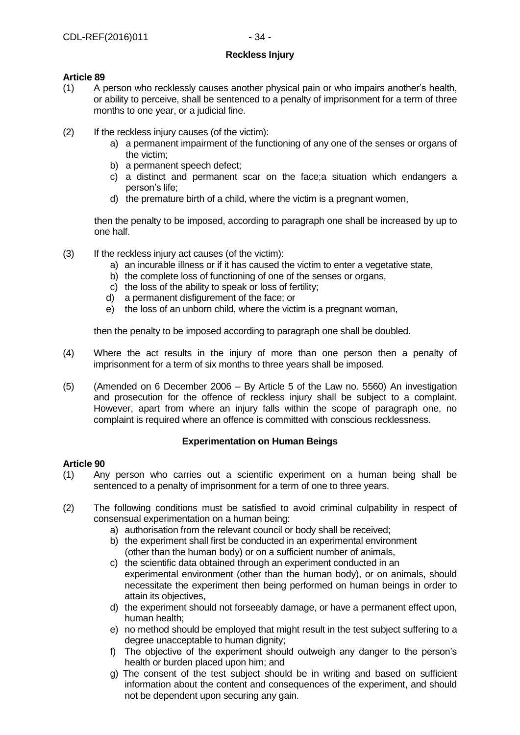### **Reckless Injury**

## **Article 89**

- (1) A person who recklessly causes another physical pain or who impairs another's health, or ability to perceive, shall be sentenced to a penalty of imprisonment for a term of three months to one year, or a judicial fine.
- (2) If the reckless injury causes (of the victim):
	- a) a permanent impairment of the functioning of any one of the senses or organs of the victim;
	- b) a permanent speech defect;
	- c) a distinct and permanent scar on the face;a situation which endangers a person's life;
	- d) the premature birth of a child, where the victim is a pregnant women,

then the penalty to be imposed, according to paragraph one shall be increased by up to one half.

- (3) If the reckless injury act causes (of the victim):
	- a) an incurable illness or if it has caused the victim to enter a vegetative state,
	- b) the complete loss of functioning of one of the senses or organs,
	- c) the loss of the ability to speak or loss of fertility;
	- d) a permanent disfigurement of the face; or
	- e) the loss of an unborn child, where the victim is a pregnant woman,

then the penalty to be imposed according to paragraph one shall be doubled.

- (4) Where the act results in the injury of more than one person then a penalty of imprisonment for a term of six months to three years shall be imposed.
- (5) (Amended on 6 December 2006 By Article 5 of the Law no. 5560) An investigation and prosecution for the offence of reckless injury shall be subject to a complaint. However, apart from where an injury falls within the scope of paragraph one, no complaint is required where an offence is committed with conscious recklessness.

## **Experimentation on Human Beings**

- (1) Any person who carries out a scientific experiment on a human being shall be sentenced to a penalty of imprisonment for a term of one to three years.
- (2) The following conditions must be satisfied to avoid criminal culpability in respect of consensual experimentation on a human being:
	- a) authorisation from the relevant council or body shall be received;
	- b) the experiment shall first be conducted in an experimental environment (other than the human body) or on a sufficient number of animals,
	- c) the scientific data obtained through an experiment conducted in an experimental environment (other than the human body), or on animals, should necessitate the experiment then being performed on human beings in order to attain its objectives,
	- d) the experiment should not forseeably damage, or have a permanent effect upon, human health;
	- e) no method should be employed that might result in the test subject suffering to a degree unacceptable to human dignity;
	- f) The objective of the experiment should outweigh any danger to the person's health or burden placed upon him; and
	- g) The consent of the test subject should be in writing and based on sufficient information about the content and consequences of the experiment, and should not be dependent upon securing any gain.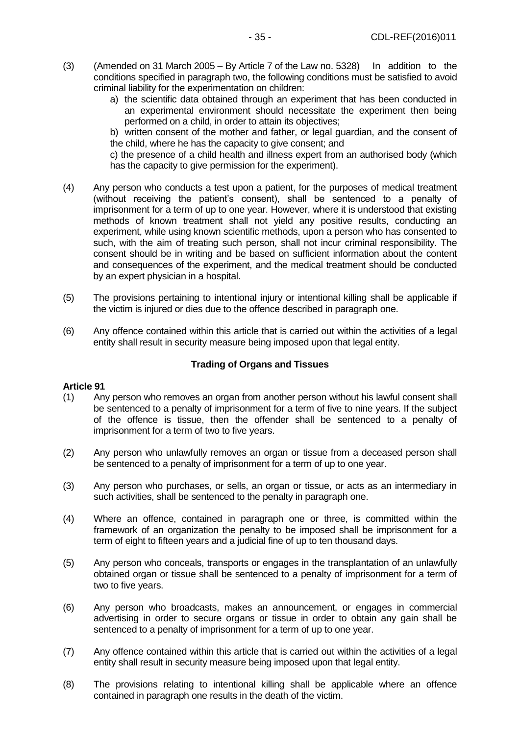- (3) (Amended on 31 March 2005 By Article 7 of the Law no. 5328) In addition to the conditions specified in paragraph two, the following conditions must be satisfied to avoid criminal liability for the experimentation on children:
	- a) the scientific data obtained through an experiment that has been conducted in an experimental environment should necessitate the experiment then being performed on a child, in order to attain its objectives;

b) written consent of the mother and father, or legal guardian, and the consent of the child, where he has the capacity to give consent; and

c) the presence of a child health and illness expert from an authorised body (which has the capacity to give permission for the experiment).

- (4) Any person who conducts a test upon a patient, for the purposes of medical treatment (without receiving the patient's consent), shall be sentenced to a penalty of imprisonment for a term of up to one year. However, where it is understood that existing methods of known treatment shall not yield any positive results, conducting an experiment, while using known scientific methods, upon a person who has consented to such, with the aim of treating such person, shall not incur criminal responsibility. The consent should be in writing and be based on sufficient information about the content and consequences of the experiment, and the medical treatment should be conducted by an expert physician in a hospital.
- (5) The provisions pertaining to intentional injury or intentional killing shall be applicable if the victim is injured or dies due to the offence described in paragraph one.
- (6) Any offence contained within this article that is carried out within the activities of a legal entity shall result in security measure being imposed upon that legal entity.

### **Trading of Organs and Tissues**

- (1) Any person who removes an organ from another person without his lawful consent shall be sentenced to a penalty of imprisonment for a term of five to nine years. If the subject of the offence is tissue, then the offender shall be sentenced to a penalty of imprisonment for a term of two to five years.
- (2) Any person who unlawfully removes an organ or tissue from a deceased person shall be sentenced to a penalty of imprisonment for a term of up to one year.
- (3) Any person who purchases, or sells, an organ or tissue, or acts as an intermediary in such activities, shall be sentenced to the penalty in paragraph one.
- (4) Where an offence, contained in paragraph one or three, is committed within the framework of an organization the penalty to be imposed shall be imprisonment for a term of eight to fifteen years and a judicial fine of up to ten thousand days.
- (5) Any person who conceals, transports or engages in the transplantation of an unlawfully obtained organ or tissue shall be sentenced to a penalty of imprisonment for a term of two to five years.
- (6) Any person who broadcasts, makes an announcement, or engages in commercial advertising in order to secure organs or tissue in order to obtain any gain shall be sentenced to a penalty of imprisonment for a term of up to one year.
- (7) Any offence contained within this article that is carried out within the activities of a legal entity shall result in security measure being imposed upon that legal entity.
- (8) The provisions relating to intentional killing shall be applicable where an offence contained in paragraph one results in the death of the victim.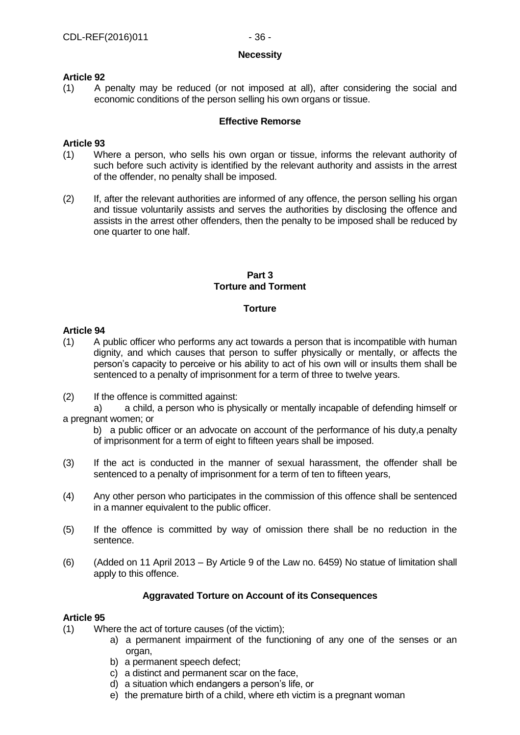### **Necessity**

## **Article 92**

(1) A penalty may be reduced (or not imposed at all), after considering the social and economic conditions of the person selling his own organs or tissue.

## **Effective Remorse**

## **Article 93**

- (1) Where a person, who sells his own organ or tissue, informs the relevant authority of such before such activity is identified by the relevant authority and assists in the arrest of the offender, no penalty shall be imposed.
- (2) If, after the relevant authorities are informed of any offence, the person selling his organ and tissue voluntarily assists and serves the authorities by disclosing the offence and assists in the arrest other offenders, then the penalty to be imposed shall be reduced by one quarter to one half.

#### **Part 3 Torture and Torment**

## **Torture**

## **Article 94**

- (1) A public officer who performs any act towards a person that is incompatible with human dignity, and which causes that person to suffer physically or mentally, or affects the person's capacity to perceive or his ability to act of his own will or insults them shall be sentenced to a penalty of imprisonment for a term of three to twelve years.
- (2) If the offence is committed against:

 a) a child, a person who is physically or mentally incapable of defending himself or a pregnant women; or

 b) a public officer or an advocate on account of the performance of his duty,a penalty of imprisonment for a term of eight to fifteen years shall be imposed.

- (3) If the act is conducted in the manner of sexual harassment, the offender shall be sentenced to a penalty of imprisonment for a term of ten to fifteen years,
- (4) Any other person who participates in the commission of this offence shall be sentenced in a manner equivalent to the public officer.
- (5) If the offence is committed by way of omission there shall be no reduction in the sentence.
- (6) (Added on 11 April 2013 By Article 9 of the Law no. 6459) No statue of limitation shall apply to this offence.

## **Aggravated Torture on Account of its Consequences**

- (1) Where the act of torture causes (of the victim);
	- a) a permanent impairment of the functioning of any one of the senses or an organ,
	- b) a permanent speech defect;
	- c) a distinct and permanent scar on the face,
	- d) a situation which endangers a person's life, or
	- e) the premature birth of a child, where eth victim is a pregnant woman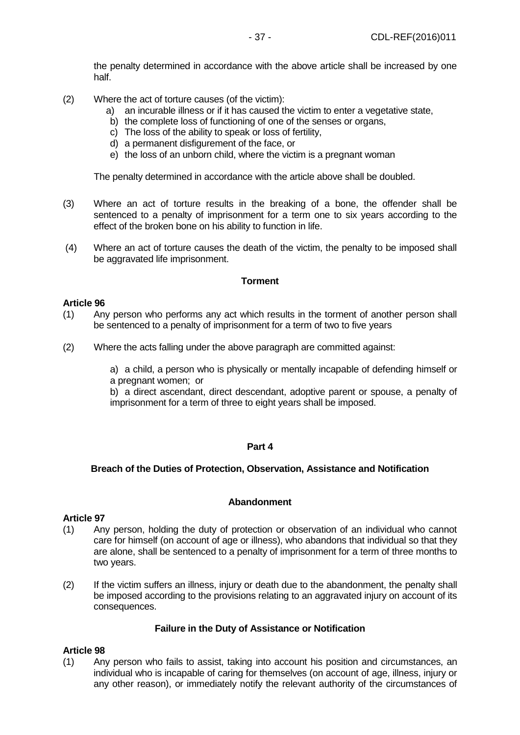the penalty determined in accordance with the above article shall be increased by one half.

- (2) Where the act of torture causes (of the victim):
	- a) an incurable illness or if it has caused the victim to enter a vegetative state,
	- b) the complete loss of functioning of one of the senses or organs,
	- c) The loss of the ability to speak or loss of fertility,
	- d) a permanent disfigurement of the face, or
	- e) the loss of an unborn child, where the victim is a pregnant woman

The penalty determined in accordance with the article above shall be doubled.

- (3) Where an act of torture results in the breaking of a bone, the offender shall be sentenced to a penalty of imprisonment for a term one to six years according to the effect of the broken bone on his ability to function in life.
- (4) Where an act of torture causes the death of the victim, the penalty to be imposed shall be aggravated life imprisonment.

#### **Torment**

#### **Article 96**

- (1) Any person who performs any act which results in the torment of another person shall be sentenced to a penalty of imprisonment for a term of two to five years
- (2) Where the acts falling under the above paragraph are committed against:

a) a child, a person who is physically or mentally incapable of defending himself or a pregnant women; or

b) a direct ascendant, direct descendant, adoptive parent or spouse, a penalty of imprisonment for a term of three to eight years shall be imposed.

#### **Part 4**

#### **Breach of the Duties of Protection, Observation, Assistance and Notification**

#### **Abandonment**

#### **Article 97**

- (1) Any person, holding the duty of protection or observation of an individual who cannot care for himself (on account of age or illness), who abandons that individual so that they are alone, shall be sentenced to a penalty of imprisonment for a term of three months to two years.
- (2) If the victim suffers an illness, injury or death due to the abandonment, the penalty shall be imposed according to the provisions relating to an aggravated injury on account of its consequences.

#### **Failure in the Duty of Assistance or Notification**

#### **Article 98**

(1) Any person who fails to assist, taking into account his position and circumstances, an individual who is incapable of caring for themselves (on account of age, illness, injury or any other reason), or immediately notify the relevant authority of the circumstances of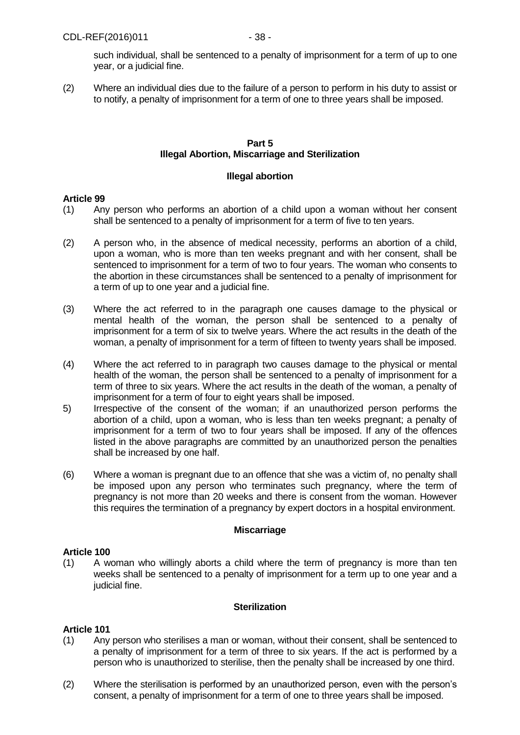such individual, shall be sentenced to a penalty of imprisonment for a term of up to one year, or a judicial fine.

(2) Where an individual dies due to the failure of a person to perform in his duty to assist or to notify, a penalty of imprisonment for a term of one to three years shall be imposed.

#### **Part 5 Illegal Abortion, Miscarriage and Sterilization**

# **Illegal abortion**

### **Article 99**

- (1) Any person who performs an abortion of a child upon a woman without her consent shall be sentenced to a penalty of imprisonment for a term of five to ten years.
- (2) A person who, in the absence of medical necessity, performs an abortion of a child, upon a woman, who is more than ten weeks pregnant and with her consent, shall be sentenced to imprisonment for a term of two to four years. The woman who consents to the abortion in these circumstances shall be sentenced to a penalty of imprisonment for a term of up to one year and a judicial fine.
- (3) Where the act referred to in the paragraph one causes damage to the physical or mental health of the woman, the person shall be sentenced to a penalty of imprisonment for a term of six to twelve years. Where the act results in the death of the woman, a penalty of imprisonment for a term of fifteen to twenty years shall be imposed.
- (4) Where the act referred to in paragraph two causes damage to the physical or mental health of the woman, the person shall be sentenced to a penalty of imprisonment for a term of three to six years. Where the act results in the death of the woman, a penalty of imprisonment for a term of four to eight years shall be imposed.
- 5) Irrespective of the consent of the woman; if an unauthorized person performs the abortion of a child, upon a woman, who is less than ten weeks pregnant; a penalty of imprisonment for a term of two to four years shall be imposed. If any of the offences listed in the above paragraphs are committed by an unauthorized person the penalties shall be increased by one half.
- (6) Where a woman is pregnant due to an offence that she was a victim of, no penalty shall be imposed upon any person who terminates such pregnancy, where the term of pregnancy is not more than 20 weeks and there is consent from the woman. However this requires the termination of a pregnancy by expert doctors in a hospital environment.

#### **Miscarriage**

# **Article 100**

(1) A woman who willingly aborts a child where the term of pregnancy is more than ten weeks shall be sentenced to a penalty of imprisonment for a term up to one year and a judicial fine.

### **Sterilization**

- (1) Any person who sterilises a man or woman, without their consent, shall be sentenced to a penalty of imprisonment for a term of three to six years. If the act is performed by a person who is unauthorized to sterilise, then the penalty shall be increased by one third.
- (2) Where the sterilisation is performed by an unauthorized person, even with the person's consent, a penalty of imprisonment for a term of one to three years shall be imposed.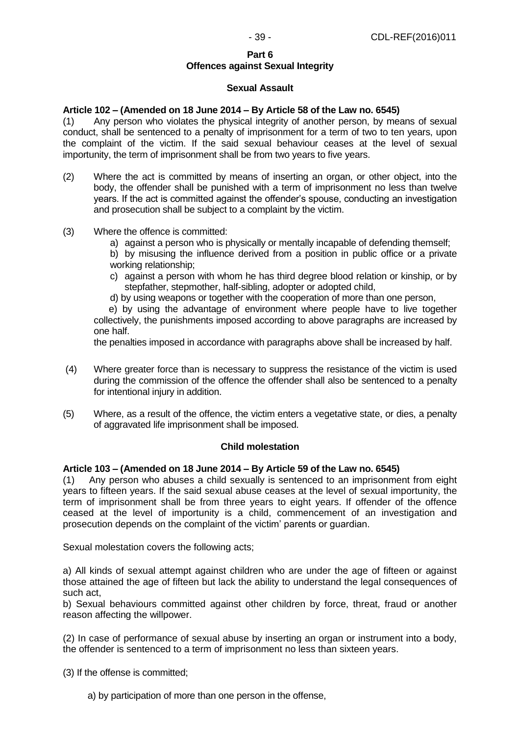# **Part 6 Offences against Sexual Integrity**

### **Sexual Assault**

# **Article 102 – (Amended on 18 June 2014 – By Article 58 of the Law no. 6545)**

(1) Any person who violates the physical integrity of another person, by means of sexual conduct, shall be sentenced to a penalty of imprisonment for a term of two to ten years, upon the complaint of the victim. If the said sexual behaviour ceases at the level of sexual importunity, the term of imprisonment shall be from two years to five years.

- (2) Where the act is committed by means of inserting an organ, or other object, into the body, the offender shall be punished with a term of imprisonment no less than twelve years. If the act is committed against the offender's spouse, conducting an investigation and prosecution shall be subject to a complaint by the victim.
- (3) Where the offence is committed:
	- a) against a person who is physically or mentally incapable of defending themself;
	- b) by misusing the influence derived from a position in public office or a private working relationship;
	- c) against a person with whom he has third degree blood relation or kinship, or by stepfather, stepmother, half-sibling, adopter or adopted child,
	- d) by using weapons or together with the cooperation of more than one person,

 e) by using the advantage of environment where people have to live together collectively, the punishments imposed according to above paragraphs are increased by one half.

the penalties imposed in accordance with paragraphs above shall be increased by half.

- (4) Where greater force than is necessary to suppress the resistance of the victim is used during the commission of the offence the offender shall also be sentenced to a penalty for intentional injury in addition.
- (5) Where, as a result of the offence, the victim enters a vegetative state, or dies, a penalty of aggravated life imprisonment shall be imposed.

# **Child molestation**

#### **Article 103 – (Amended on 18 June 2014 – By Article 59 of the Law no. 6545)**

(1) Any person who abuses a child sexually is sentenced to an imprisonment from eight years to fifteen years. If the said sexual abuse ceases at the level of sexual importunity, the term of imprisonment shall be from three years to eight years. If offender of the offence ceased at the level of importunity is a child, commencement of an investigation and prosecution depends on the complaint of the victim' parents or guardian.

Sexual molestation covers the following acts;

a) All kinds of sexual attempt against children who are under the age of fifteen or against those attained the age of fifteen but lack the ability to understand the legal consequences of such act,

b) Sexual behaviours committed against other children by force, threat, fraud or another reason affecting the willpower.

(2) In case of performance of sexual abuse by inserting an organ or instrument into a body, the offender is sentenced to a term of imprisonment no less than sixteen years.

(3) If the offense is committed;

a) by participation of more than one person in the offense,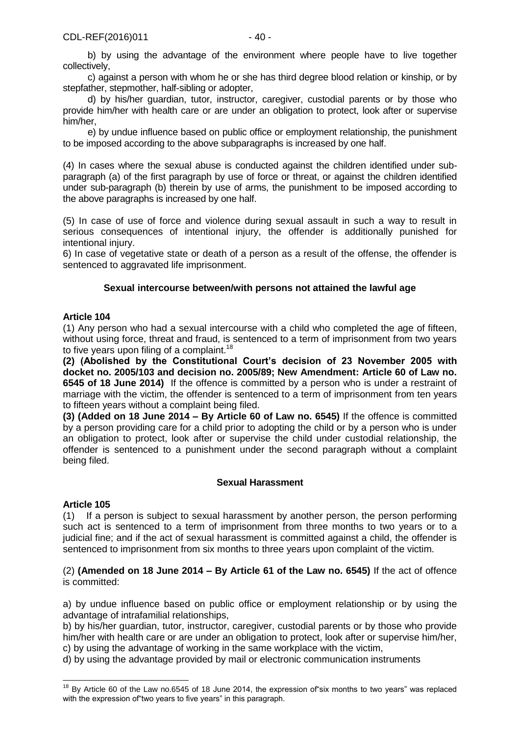b) by using the advantage of the environment where people have to live together collectively,

c) against a person with whom he or she has third degree blood relation or kinship, or by stepfather, stepmother, half-sibling or adopter,

d) by his/her guardian, tutor, instructor, caregiver, custodial parents or by those who provide him/her with health care or are under an obligation to protect, look after or supervise him/her,

e) by undue influence based on public office or employment relationship, the punishment to be imposed according to the above subparagraphs is increased by one half.

(4) In cases where the sexual abuse is conducted against the children identified under subparagraph (a) of the first paragraph by use of force or threat, or against the children identified under sub-paragraph (b) therein by use of arms, the punishment to be imposed according to the above paragraphs is increased by one half.

(5) In case of use of force and violence during sexual assault in such a way to result in serious consequences of intentional injury, the offender is additionally punished for intentional injury.

6) In case of vegetative state or death of a person as a result of the offense, the offender is sentenced to aggravated life imprisonment.

# **Sexual intercourse between/with persons not attained the lawful age**

# **Article 104**

(1) Any person who had a sexual intercourse with a child who completed the age of fifteen, without using force, threat and fraud, is sentenced to a term of imprisonment from two vears to five years upon filing of a complaint.<sup>18</sup>

**(2) (Abolished by the Constitutional Court's decision of 23 November 2005 with docket no. 2005/103 and decision no. 2005/89; New Amendment: Article 60 of Law no. 6545 of 18 June 2014)** If the offence is committed by a person who is under a restraint of marriage with the victim, the offender is sentenced to a term of imprisonment from ten years to fifteen years without a complaint being filed.

**(3) (Added on 18 June 2014 – By Article 60 of Law no. 6545)** If the offence is committed by a person providing care for a child prior to adopting the child or by a person who is under an obligation to protect, look after or supervise the child under custodial relationship, the offender is sentenced to a punishment under the second paragraph without a complaint being filed.

#### **Sexual Harassment**

# **Article 105**

(1) If a person is subject to sexual harassment by another person, the person performing such act is sentenced to a term of imprisonment from three months to two years or to a judicial fine; and if the act of sexual harassment is committed against a child, the offender is sentenced to imprisonment from six months to three years upon complaint of the victim.

## (2) **(Amended on 18 June 2014 – By Article 61 of the Law no. 6545)** If the act of offence is committed:

a) by undue influence based on public office or employment relationship or by using the advantage of intrafamilial relationships,

b) by his/her guardian, tutor, instructor, caregiver, custodial parents or by those who provide him/her with health care or are under an obligation to protect, look after or supervise him/her, c) by using the advantage of working in the same workplace with the victim,

d) by using the advantage provided by mail or electronic communication instruments

<sup>18</sup> By Article 60 of the Law no.6545 of 18 June 2014, the expression of six months to two years" was replaced with the expression of"two years to five years" in this paragraph.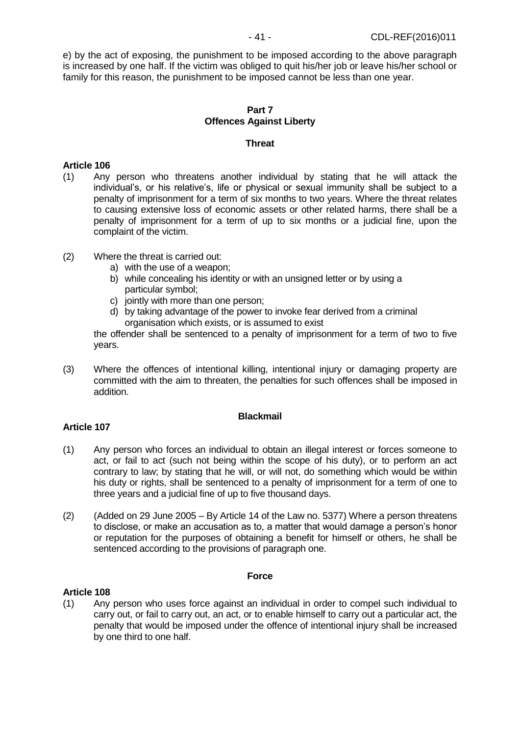e) by the act of exposing, the punishment to be imposed according to the above paragraph is increased by one half. If the victim was obliged to quit his/her job or leave his/her school or family for this reason, the punishment to be imposed cannot be less than one year.

#### **Part 7 Offences Against Liberty**

#### **Threat**

# **Article 106**

- (1) Any person who threatens another individual by stating that he will attack the individual's, or his relative's, life or physical or sexual immunity shall be subject to a penalty of imprisonment for a term of six months to two years. Where the threat relates to causing extensive loss of economic assets or other related harms, there shall be a penalty of imprisonment for a term of up to six months or a judicial fine, upon the complaint of the victim.
- (2) Where the threat is carried out:
	- a) with the use of a weapon;
	- b) while concealing his identity or with an unsigned letter or by using a particular symbol;
	- c) jointly with more than one person;
	- d) by taking advantage of the power to invoke fear derived from a criminal organisation which exists, or is assumed to exist

the offender shall be sentenced to a penalty of imprisonment for a term of two to five years.

(3) Where the offences of intentional killing, intentional injury or damaging property are committed with the aim to threaten, the penalties for such offences shall be imposed in addition.

#### **Blackmail**

# **Article 107**

- (1) Any person who forces an individual to obtain an illegal interest or forces someone to act, or fail to act (such not being within the scope of his duty), or to perform an act contrary to law; by stating that he will, or will not, do something which would be within his duty or rights, shall be sentenced to a penalty of imprisonment for a term of one to three years and a judicial fine of up to five thousand days.
- (2) (Added on 29 June 2005 By Article 14 of the Law no. 5377) Where a person threatens to disclose, or make an accusation as to, a matter that would damage a person's honor or reputation for the purposes of obtaining a benefit for himself or others, he shall be sentenced according to the provisions of paragraph one.

#### **Force**

#### **Article 108**

(1) Any person who uses force against an individual in order to compel such individual to carry out, or fail to carry out, an act, or to enable himself to carry out a particular act, the penalty that would be imposed under the offence of intentional injury shall be increased by one third to one half.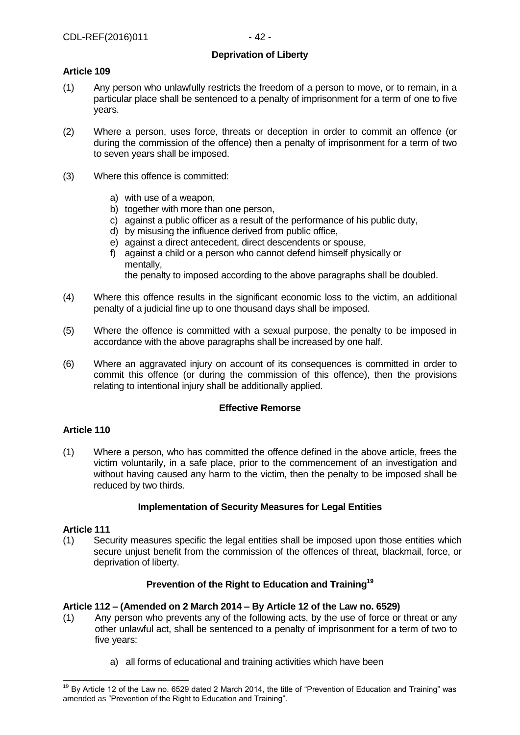# **Deprivation of Liberty**

# **Article 109**

- (1) Any person who unlawfully restricts the freedom of a person to move, or to remain, in a particular place shall be sentenced to a penalty of imprisonment for a term of one to five years.
- (2) Where a person, uses force, threats or deception in order to commit an offence (or during the commission of the offence) then a penalty of imprisonment for a term of two to seven years shall be imposed.
- (3) Where this offence is committed:
	- a) with use of a weapon,
	- b) together with more than one person,
	- c) against a public officer as a result of the performance of his public duty,
	- d) by misusing the influence derived from public office,
	- e) against a direct antecedent, direct descendents or spouse,
	- f) against a child or a person who cannot defend himself physically or mentally,

the penalty to imposed according to the above paragraphs shall be doubled.

- (4) Where this offence results in the significant economic loss to the victim, an additional penalty of a judicial fine up to one thousand days shall be imposed.
- (5) Where the offence is committed with a sexual purpose, the penalty to be imposed in accordance with the above paragraphs shall be increased by one half.
- (6) Where an aggravated injury on account of its consequences is committed in order to commit this offence (or during the commission of this offence), then the provisions relating to intentional injury shall be additionally applied.

# **Effective Remorse**

# **Article 110**

(1) Where a person, who has committed the offence defined in the above article, frees the victim voluntarily, in a safe place, prior to the commencement of an investigation and without having caused any harm to the victim, then the penalty to be imposed shall be reduced by two thirds.

#### **Implementation of Security Measures for Legal Entities**

#### **Article 111**

(1) Security measures specific the legal entities shall be imposed upon those entities which secure unjust benefit from the commission of the offences of threat, blackmail, force, or deprivation of liberty.

# **Prevention of the Right to Education and Training<sup>19</sup>**

#### **Article 112 – (Amended on 2 March 2014 – By Article 12 of the Law no. 6529)**

- (1) Any person who prevents any of the following acts, by the use of force or threat or any other unlawful act, shall be sentenced to a penalty of imprisonment for a term of two to five years:
	- a) all forms of educational and training activities which have been

<sup>-</sup> $19$  By Article 12 of the Law no. 6529 dated 2 March 2014, the title of "Prevention of Education and Training" was amended as "Prevention of the Right to Education and Training".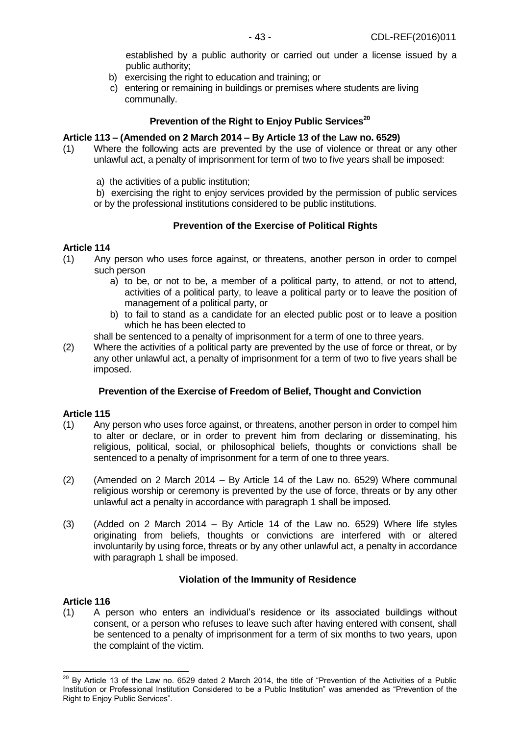established by a public authority or carried out under a license issued by a public authority;

- b) exercising the right to education and training; or
- c) entering or remaining in buildings or premises where students are living communally.

# **Prevention of the Right to Enjoy Public Services<sup>20</sup>**

#### **Article 113 – (Amended on 2 March 2014 – By Article 13 of the Law no. 6529)**

- (1) Where the following acts are prevented by the use of violence or threat or any other unlawful act, a penalty of imprisonment for term of two to five years shall be imposed:
	- a) the activities of a public institution;

b) exercising the right to enjoy services provided by the permission of public services or by the professional institutions considered to be public institutions.

# **Prevention of the Exercise of Political Rights**

### **Article 114**

- (1) Any person who uses force against, or threatens, another person in order to compel such person
	- a) to be, or not to be, a member of a political party, to attend, or not to attend, activities of a political party, to leave a political party or to leave the position of management of a political party, or
	- b) to fail to stand as a candidate for an elected public post or to leave a position which he has been elected to
	- shall be sentenced to a penalty of imprisonment for a term of one to three years.
- (2) Where the activities of a political party are prevented by the use of force or threat, or by any other unlawful act, a penalty of imprisonment for a term of two to five years shall be imposed.

#### **Prevention of the Exercise of Freedom of Belief, Thought and Conviction**

#### **Article 115**

- (1) Any person who uses force against, or threatens, another person in order to compel him to alter or declare, or in order to prevent him from declaring or disseminating, his religious, political, social, or philosophical beliefs, thoughts or convictions shall be sentenced to a penalty of imprisonment for a term of one to three years.
- (2) (Amended on 2 March 2014 By Article 14 of the Law no. 6529) Where communal religious worship or ceremony is prevented by the use of force, threats or by any other unlawful act a penalty in accordance with paragraph 1 shall be imposed.
- (3) (Added on 2 March 2014 By Article 14 of the Law no. 6529) Where life styles originating from beliefs, thoughts or convictions are interfered with or altered involuntarily by using force, threats or by any other unlawful act, a penalty in accordance with paragraph 1 shall be imposed.

# **Violation of the Immunity of Residence**

#### **Article 116**

 $\overline{a}$ 

(1) A person who enters an individual's residence or its associated buildings without consent, or a person who refuses to leave such after having entered with consent, shall be sentenced to a penalty of imprisonment for a term of six months to two years, upon the complaint of the victim.

 $^{20}$  By Article 13 of the Law no. 6529 dated 2 March 2014, the title of "Prevention of the Activities of a Public Institution or Professional Institution Considered to be a Public Institution" was amended as "Prevention of the Right to Enjoy Public Services".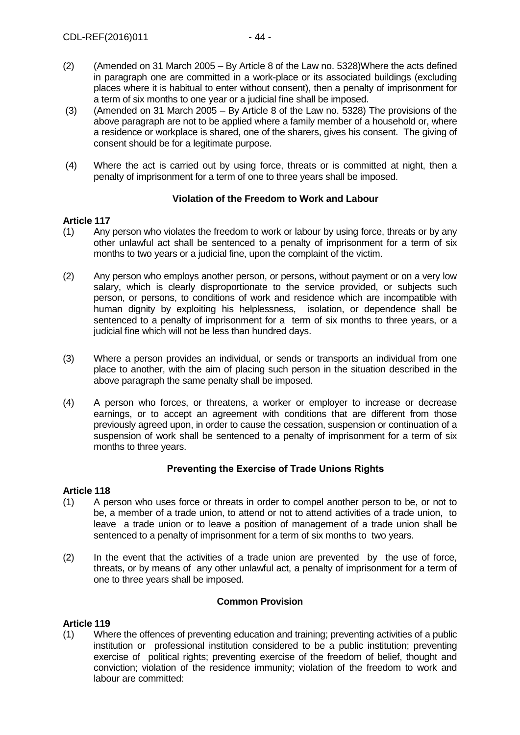- (2) (Amended on 31 March 2005 By Article 8 of the Law no. 5328)Where the acts defined in paragraph one are committed in a work-place or its associated buildings (excluding places where it is habitual to enter without consent), then a penalty of imprisonment for a term of six months to one year or a judicial fine shall be imposed.
- (3) (Amended on 31 March 2005 By Article 8 of the Law no. 5328) The provisions of the above paragraph are not to be applied where a family member of a household or, where a residence or workplace is shared, one of the sharers, gives his consent. The giving of consent should be for a legitimate purpose.
- (4) Where the act is carried out by using force, threats or is committed at night, then a penalty of imprisonment for a term of one to three years shall be imposed.

# **Violation of the Freedom to Work and Labour**

### **Article 117**

- (1) Any person who violates the freedom to work or labour by using force, threats or by any other unlawful act shall be sentenced to a penalty of imprisonment for a term of six months to two years or a judicial fine, upon the complaint of the victim.
- (2) Any person who employs another person, or persons, without payment or on a very low salary, which is clearly disproportionate to the service provided, or subjects such person, or persons, to conditions of work and residence which are incompatible with human dignity by exploiting his helplessness, isolation, or dependence shall be sentenced to a penalty of imprisonment for a term of six months to three years, or a judicial fine which will not be less than hundred days.
- (3) Where a person provides an individual, or sends or transports an individual from one place to another, with the aim of placing such person in the situation described in the above paragraph the same penalty shall be imposed.
- (4) A person who forces, or threatens, a worker or employer to increase or decrease earnings, or to accept an agreement with conditions that are different from those previously agreed upon, in order to cause the cessation, suspension or continuation of a suspension of work shall be sentenced to a penalty of imprisonment for a term of six months to three years.

# **Preventing the Exercise of Trade Unions Rights**

#### **Article 118**

- (1) A person who uses force or threats in order to compel another person to be, or not to be, a member of a trade union, to attend or not to attend activities of a trade union, to leave a trade union or to leave a position of management of a trade union shall be sentenced to a penalty of imprisonment for a term of six months to two years.
- (2) In the event that the activities of a trade union are prevented by the use of force, threats, or by means of any other unlawful act, a penalty of imprisonment for a term of one to three years shall be imposed.

#### **Common Provision**

# **Article 119**

(1) Where the offences of preventing education and training; preventing activities of a public institution or professional institution considered to be a public institution; preventing exercise of political rights; preventing exercise of the freedom of belief, thought and conviction; violation of the residence immunity; violation of the freedom to work and labour are committed: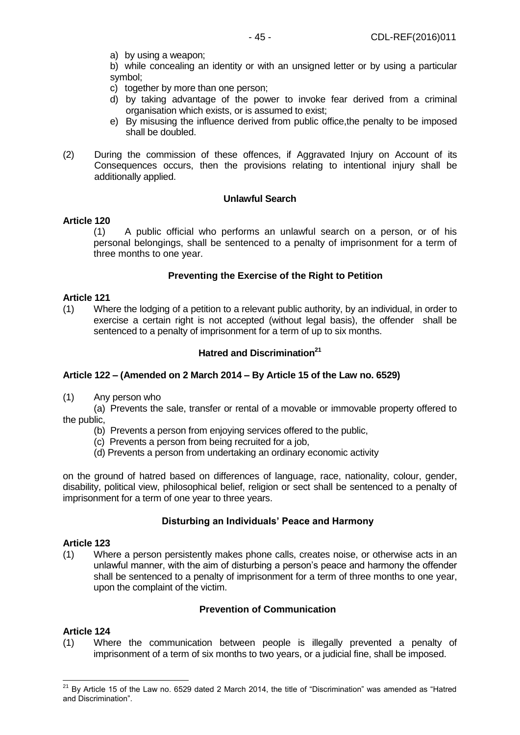a) by using a weapon;

b) while concealing an identity or with an unsigned letter or by using a particular symbol;

- c) together by more than one person;
- d) by taking advantage of the power to invoke fear derived from a criminal organisation which exists, or is assumed to exist;
- e) By misusing the influence derived from public office,the penalty to be imposed shall be doubled.
- (2) During the commission of these offences, if Aggravated Injury on Account of its Consequences occurs, then the provisions relating to intentional injury shall be additionally applied.

# **Unlawful Search**

# **Article 120**

(1) A public official who performs an unlawful search on a person, or of his personal belongings, shall be sentenced to a penalty of imprisonment for a term of three months to one year.

# **Preventing the Exercise of the Right to Petition**

# **Article 121**

(1) Where the lodging of a petition to a relevant public authority, by an individual, in order to exercise a certain right is not accepted (without legal basis), the offender shall be sentenced to a penalty of imprisonment for a term of up to six months.

# **Hatred and Discrimination<sup>21</sup>**

# **Article 122 – (Amended on 2 March 2014 – By Article 15 of the Law no. 6529)**

(1) Any person who

(a) Prevents the sale, transfer or rental of a movable or immovable property offered to the public,

- (b) Prevents a person from enjoying services offered to the public,
- (c) Prevents a person from being recruited for a job,
- (d) Prevents a person from undertaking an ordinary economic activity

on the ground of hatred based on differences of language, race, nationality, colour, gender, disability, political view, philosophical belief, religion or sect shall be sentenced to a penalty of imprisonment for a term of one year to three years.

# **Disturbing an Individuals' Peace and Harmony**

# **Article 123**

(1) Where a person persistently makes phone calls, creates noise, or otherwise acts in an unlawful manner, with the aim of disturbing a person's peace and harmony the offender shall be sentenced to a penalty of imprisonment for a term of three months to one year, upon the complaint of the victim.

# **Prevention of Communication**

# **Article 124**

-

(1) Where the communication between people is illegally prevented a penalty of imprisonment of a term of six months to two years, or a judicial fine, shall be imposed.

 $21$  By Article 15 of the Law no. 6529 dated 2 March 2014, the title of "Discrimination" was amended as "Hatred and Discrimination".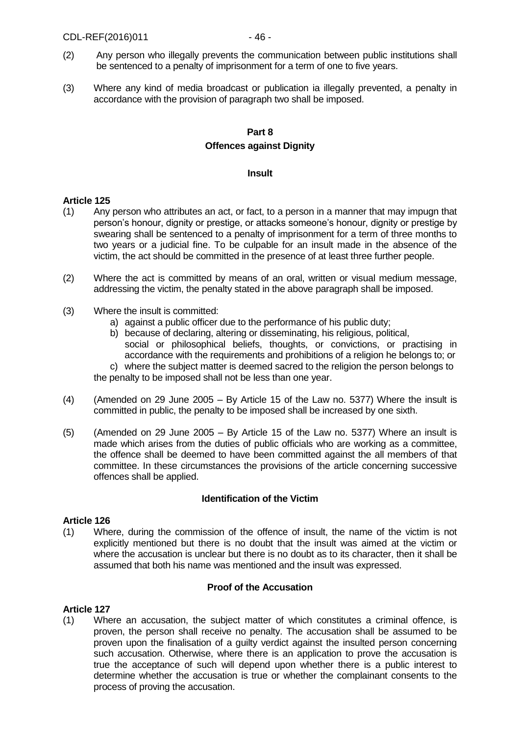- (2) Any person who illegally prevents the communication between public institutions shall be sentenced to a penalty of imprisonment for a term of one to five years.
- (3) Where any kind of media broadcast or publication ia illegally prevented, a penalty in accordance with the provision of paragraph two shall be imposed.

# **Part 8**

# **Offences against Dignity**

# **Insult**

# **Article 125**

- (1) Any person who attributes an act, or fact, to a person in a manner that may impugn that person's honour, dignity or prestige, or attacks someone's honour, dignity or prestige by swearing shall be sentenced to a penalty of imprisonment for a term of three months to two years or a judicial fine. To be culpable for an insult made in the absence of the victim, the act should be committed in the presence of at least three further people.
- (2) Where the act is committed by means of an oral, written or visual medium message, addressing the victim, the penalty stated in the above paragraph shall be imposed.
- (3) Where the insult is committed:
	- a) against a public officer due to the performance of his public duty;
	- b) because of declaring, altering or disseminating, his religious, political, social or philosophical beliefs, thoughts, or convictions, or practising in accordance with the requirements and prohibitions of a religion he belongs to; or

c) where the subject matter is deemed sacred to the religion the person belongs to the penalty to be imposed shall not be less than one year.

- (4) (Amended on 29 June 2005 By Article 15 of the Law no. 5377) Where the insult is committed in public, the penalty to be imposed shall be increased by one sixth.
- (5) (Amended on 29 June 2005 By Article 15 of the Law no. 5377) Where an insult is made which arises from the duties of public officials who are working as a committee, the offence shall be deemed to have been committed against the all members of that committee. In these circumstances the provisions of the article concerning successive offences shall be applied.

# **Identification of the Victim**

# **Article 126**

(1) Where, during the commission of the offence of insult, the name of the victim is not explicitly mentioned but there is no doubt that the insult was aimed at the victim or where the accusation is unclear but there is no doubt as to its character, then it shall be assumed that both his name was mentioned and the insult was expressed.

# **Proof of the Accusation**

# **Article 127**

(1) Where an accusation, the subject matter of which constitutes a criminal offence, is proven, the person shall receive no penalty. The accusation shall be assumed to be proven upon the finalisation of a guilty verdict against the insulted person concerning such accusation. Otherwise, where there is an application to prove the accusation is true the acceptance of such will depend upon whether there is a public interest to determine whether the accusation is true or whether the complainant consents to the process of proving the accusation.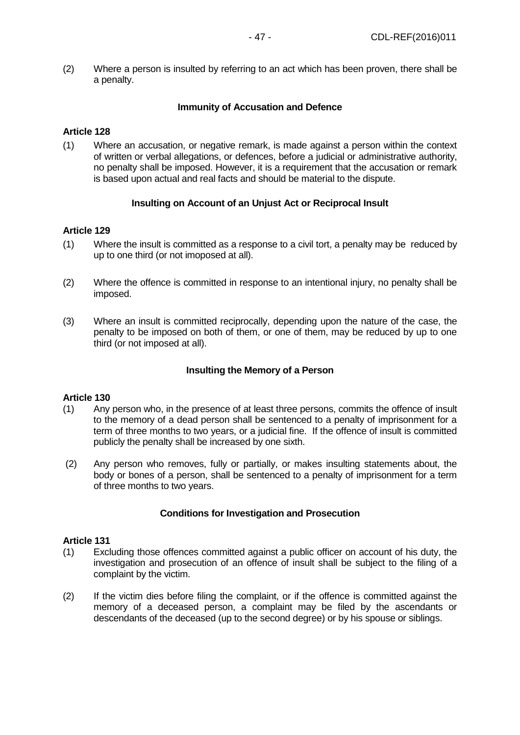(2) Where a person is insulted by referring to an act which has been proven, there shall be a penalty.

### **Immunity of Accusation and Defence**

#### **Article 128**

(1) Where an accusation, or negative remark, is made against a person within the context of written or verbal allegations, or defences, before a judicial or administrative authority, no penalty shall be imposed. However, it is a requirement that the accusation or remark is based upon actual and real facts and should be material to the dispute.

### **Insulting on Account of an Unjust Act or Reciprocal Insult**

### **Article 129**

- (1) Where the insult is committed as a response to a civil tort, a penalty may be reduced by up to one third (or not imoposed at all).
- (2) Where the offence is committed in response to an intentional injury, no penalty shall be imposed.
- (3) Where an insult is committed reciprocally, depending upon the nature of the case, the penalty to be imposed on both of them, or one of them, may be reduced by up to one third (or not imposed at all).

# **Insulting the Memory of a Person**

#### **Article 130**

- (1) Any person who, in the presence of at least three persons, commits the offence of insult to the memory of a dead person shall be sentenced to a penalty of imprisonment for a term of three months to two years, or a judicial fine. If the offence of insult is committed publicly the penalty shall be increased by one sixth.
- (2) Any person who removes, fully or partially, or makes insulting statements about, the body or bones of a person, shall be sentenced to a penalty of imprisonment for a term of three months to two years.

#### **Conditions for Investigation and Prosecution**

- (1) Excluding those offences committed against a public officer on account of his duty, the investigation and prosecution of an offence of insult shall be subject to the filing of a complaint by the victim.
- (2) If the victim dies before filing the complaint, or if the offence is committed against the memory of a deceased person, a complaint may be filed by the ascendants or descendants of the deceased (up to the second degree) or by his spouse or siblings.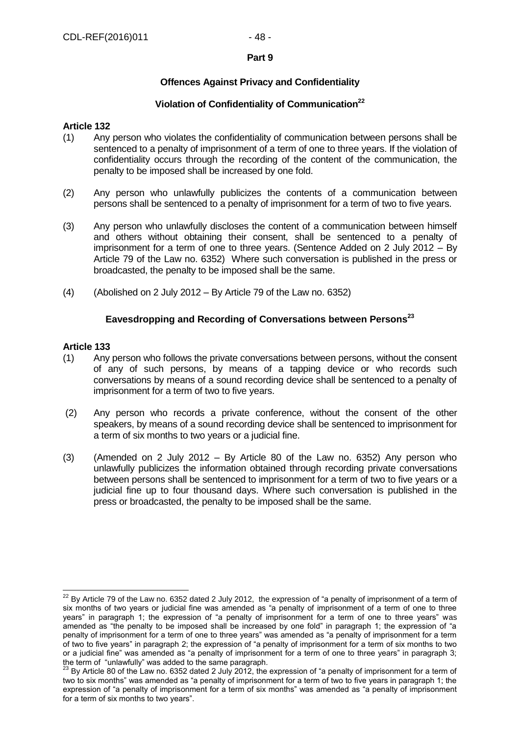# **Part 9**

# **Offences Against Privacy and Confidentiality**

# **Violation of Confidentiality of Communication<sup>22</sup>**

### **Article 132**

- (1) Any person who violates the confidentiality of communication between persons shall be sentenced to a penalty of imprisonment of a term of one to three years. If the violation of confidentiality occurs through the recording of the content of the communication, the penalty to be imposed shall be increased by one fold.
- (2) Any person who unlawfully publicizes the contents of a communication between persons shall be sentenced to a penalty of imprisonment for a term of two to five years.
- (3) Any person who unlawfully discloses the content of a communication between himself and others without obtaining their consent, shall be sentenced to a penalty of imprisonment for a term of one to three years. (Sentence Added on 2 July 2012 – By Article 79 of the Law no. 6352) Where such conversation is published in the press or broadcasted, the penalty to be imposed shall be the same.
- (4) (Abolished on 2 July 2012 By Article 79 of the Law no. 6352)

# **Eavesdropping and Recording of Conversations between Persons<sup>23</sup>**

- (1) Any person who follows the private conversations between persons, without the consent of any of such persons, by means of a tapping device or who records such conversations by means of a sound recording device shall be sentenced to a penalty of imprisonment for a term of two to five years.
- (2) Any person who records a private conference, without the consent of the other speakers, by means of a sound recording device shall be sentenced to imprisonment for a term of six months to two years or a judicial fine.
- (3) (Amended on 2 July 2012 By Article 80 of the Law no. 6352) Any person who unlawfully publicizes the information obtained through recording private conversations between persons shall be sentenced to imprisonment for a term of two to five years or a judicial fine up to four thousand days. Where such conversation is published in the press or broadcasted, the penalty to be imposed shall be the same.

<sup>-</sup> $^{22}$  By Article 79 of the Law no. 6352 dated 2 July 2012, the expression of "a penalty of imprisonment of a term of six months of two years or judicial fine was amended as "a penalty of imprisonment of a term of one to three years" in paragraph 1; the expression of "a penalty of imprisonment for a term of one to three years" was amended as "the penalty to be imposed shall be increased by one fold" in paragraph 1; the expression of "a penalty of imprisonment for a term of one to three years" was amended as "a penalty of imprisonment for a term of two to five years" in paragraph 2; the expression of "a penalty of imprisonment for a term of six months to two or a judicial fine" was amended as "a penalty of imprisonment for a term of one to three years" in paragraph 3; the term of "unlawfully" was added to the same paragraph.

 $^{23}$  By Article 80 of the Law no. 6352 dated 2 July 2012, the expression of "a penalty of imprisonment for a term of two to six months" was amended as "a penalty of imprisonment for a term of two to five years in paragraph 1; the expression of "a penalty of imprisonment for a term of six months" was amended as "a penalty of imprisonment for a term of six months to two years".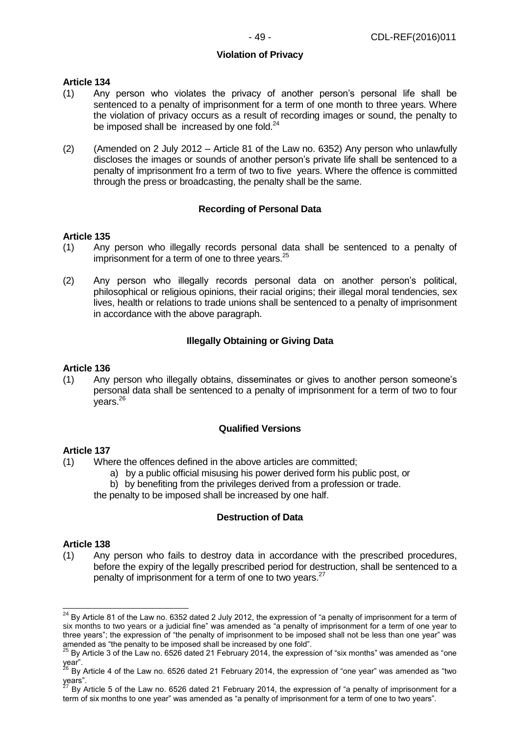# **Violation of Privacy**

# **Article 134**

- (1) Any person who violates the privacy of another person's personal life shall be sentenced to a penalty of imprisonment for a term of one month to three years. Where the violation of privacy occurs as a result of recording images or sound, the penalty to be imposed shall be increased by one fold. $24$
- (2) (Amended on 2 July 2012 Article 81 of the Law no. 6352) Any person who unlawfully discloses the images or sounds of another person's private life shall be sentenced to a penalty of imprisonment fro a term of two to five years. Where the offence is committed through the press or broadcasting, the penalty shall be the same.

# **Recording of Personal Data**

# **Article 135**

- (1) Any person who illegally records personal data shall be sentenced to a penalty of imprisonment for a term of one to three years. $25$
- (2) Any person who illegally records personal data on another person's political, philosophical or religious opinions, their racial origins; their illegal moral tendencies, sex lives, health or relations to trade unions shall be sentenced to a penalty of imprisonment in accordance with the above paragraph.

# **Illegally Obtaining or Giving Data**

# **Article 136**

(1) Any person who illegally obtains, disseminates or gives to another person someone's personal data shall be sentenced to a penalty of imprisonment for a term of two to four  $vears.<sup>26</sup>$ 

# **Qualified Versions**

# **Article 137**

- (1) Where the offences defined in the above articles are committed;
	- a) by a public official misusing his power derived form his public post, or
	- b) by benefiting from the privileges derived from a profession or trade.

the penalty to be imposed shall be increased by one half.

# **Destruction of Data**

# **Article 138**

(1)Any person who fails to destroy data in accordance with the prescribed procedures, before the expiry of the legally prescribed period for destruction, shall be sentenced to a penalty of imprisonment for a term of one to two years.<sup>27</sup>

<sup>-</sup> $^{24}$  By Article 81 of the Law no. 6352 dated 2 July 2012, the expression of "a penalty of imprisonment for a term of six months to two years or a judicial fine" was amended as "a penalty of imprisonment for a term of one year to three years"; the expression of "the penalty of imprisonment to be imposed shall not be less than one year" was amended as "the penalty to be imposed shall be increased by one fold".

 $^5$  By Article 3 of the Law no. 6526 dated 21 February 2014, the expression of "six months" was amended as "one year".

 $^{26}$  By Article 4 of the Law no. 6526 dated 21 February 2014, the expression of "one year" was amended as "two years".

By Article 5 of the Law no. 6526 dated 21 February 2014, the expression of "a penalty of imprisonment for a term of six months to one year" was amended as "a penalty of imprisonment for a term of one to two years".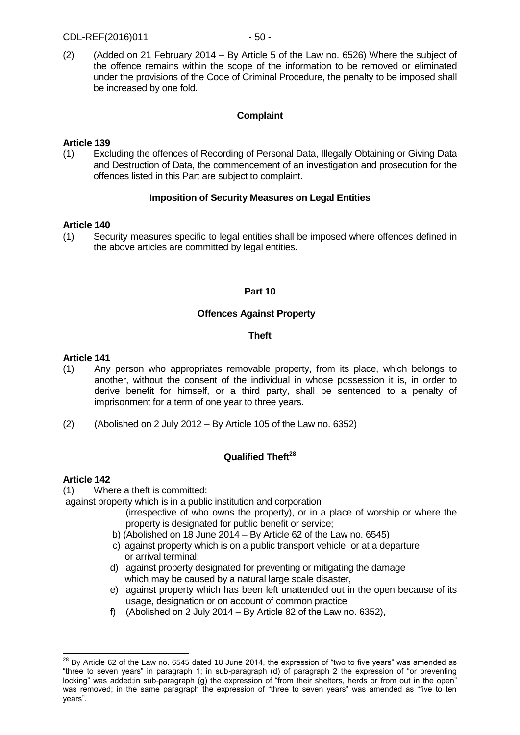(2) (Added on 21 February 2014 – By Article 5 of the Law no. 6526) Where the subject of the offence remains within the scope of the information to be removed or eliminated under the provisions of the Code of Criminal Procedure, the penalty to be imposed shall be increased by one fold.

# **Complaint**

# **Article 139**

(1) Excluding the offences of Recording of Personal Data, Illegally Obtaining or Giving Data and Destruction of Data, the commencement of an investigation and prosecution for the offences listed in this Part are subject to complaint.

# **Imposition of Security Measures on Legal Entities**

# **Article 140**

(1) Security measures specific to legal entities shall be imposed where offences defined in the above articles are committed by legal entities.

# **Part 10**

# **Offences Against Property**

# **Theft**

# **Article 141**

- (1) Any person who appropriates removable property, from its place, which belongs to another, without the consent of the individual in whose possession it is, in order to derive benefit for himself, or a third party, shall be sentenced to a penalty of imprisonment for a term of one year to three years.
- (2) (Abolished on 2 July 2012 By Article 105 of the Law no. 6352)

# **Qualified Theft<sup>28</sup>**

# **Article 142**

-

(1) Where a theft is committed:

against property which is in a public institution and corporation

- (irrespective of who owns the property), or in a place of worship or where the property is designated for public benefit or service;
- b) (Abolished on 18 June 2014 By Article 62 of the Law no. 6545)
- c) against property which is on a public transport vehicle, or at a departure or arrival terminal;
- d) against property designated for preventing or mitigating the damage which may be caused by a natural large scale disaster.
- e) against property which has been left unattended out in the open because of its usage, designation or on account of common practice
- f) (Abolished on 2 July 2014 By Article 82 of the Law no. 6352),

 $^{28}$  By Article 62 of the Law no. 6545 dated 18 June 2014, the expression of "two to five years" was amended as "three to seven years" in paragraph 1; in sub-paragraph (d) of paragraph 2 the expression of "or preventing locking" was added;in sub-paragraph (g) the expression of "from their shelters, herds or from out in the open" was removed; in the same paragraph the expression of "three to seven years" was amended as "five to ten years".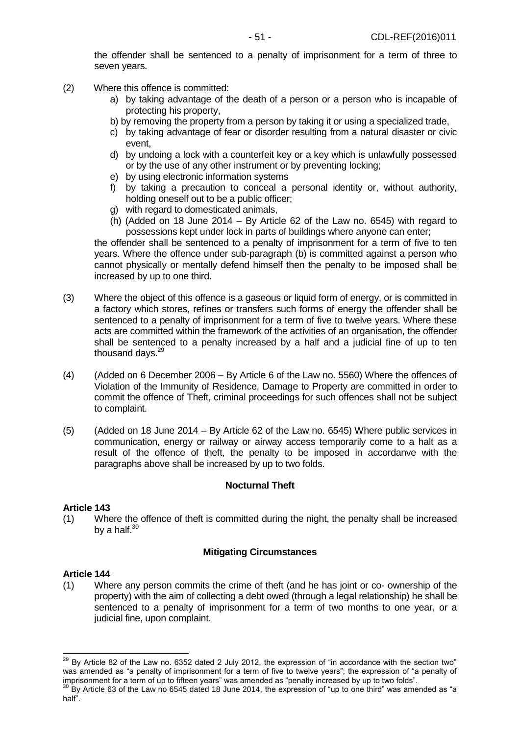the offender shall be sentenced to a penalty of imprisonment for a term of three to seven years.

- (2) Where this offence is committed:
	- a) by taking advantage of the death of a person or a person who is incapable of protecting his property,
	- b) by removing the property from a person by taking it or using a specialized trade,
	- c) by taking advantage of fear or disorder resulting from a natural disaster or civic event,
	- d) by undoing a lock with a counterfeit key or a key which is unlawfully possessed or by the use of any other instrument or by preventing locking;
	- e) by using electronic information systems
	- f) by taking a precaution to conceal a personal identity or, without authority, holding oneself out to be a public officer;
	- g) with regard to domesticated animals,
	- (h) (Added on 18 June 2014 By Article 62 of the Law no. 6545) with regard to possessions kept under lock in parts of buildings where anyone can enter;

the offender shall be sentenced to a penalty of imprisonment for a term of five to ten years. Where the offence under sub-paragraph (b) is committed against a person who cannot physically or mentally defend himself then the penalty to be imposed shall be increased by up to one third.

- (3) Where the object of this offence is a gaseous or liquid form of energy, or is committed in a factory which stores, refines or transfers such forms of energy the offender shall be sentenced to a penalty of imprisonment for a term of five to twelve years. Where these acts are committed within the framework of the activities of an organisation, the offender shall be sentenced to a penalty increased by a half and a judicial fine of up to ten thousand days.<sup>29</sup>
- (4) (Added on 6 December 2006 By Article 6 of the Law no. 5560) Where the offences of Violation of the Immunity of Residence, Damage to Property are committed in order to commit the offence of Theft, criminal proceedings for such offences shall not be subject to complaint.
- (5) (Added on 18 June 2014 By Article 62 of the Law no. 6545) Where public services in communication, energy or railway or airway access temporarily come to a halt as a result of the offence of theft, the penalty to be imposed in accordanve with the paragraphs above shall be increased by up to two folds.

# **Nocturnal Theft**

#### **Article 143**

(1) Where the offence of theft is committed during the night, the penalty shall be increased by a half. $30<sup>30</sup>$ 

# **Mitigating Circumstances**

#### **Article 144**

-

(1) Where any person commits the crime of theft (and he has joint or co- ownership of the property) with the aim of collecting a debt owed (through a legal relationship) he shall be sentenced to a penalty of imprisonment for a term of two months to one year, or a judicial fine, upon complaint.

 $^{29}$  By Article 82 of the Law no. 6352 dated 2 July 2012, the expression of "in accordance with the section two" was amended as "a penalty of imprisonment for a term of five to twelve years"; the expression of "a penalty of imprisonment for a term of up to fifteen years" was amended as "penalty increased by up to two folds".

 $30$  By Article 63 of the Law no 6545 dated 18 June 2014, the expression of "up to one third" was amended as "a half".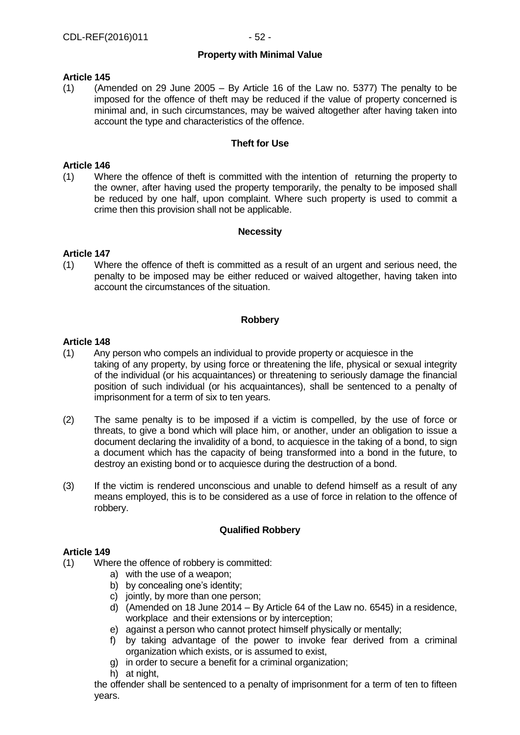# **Property with Minimal Value**

# **Article 145**

(1) (Amended on 29 June 2005 – By Article 16 of the Law no. 5377) The penalty to be imposed for the offence of theft may be reduced if the value of property concerned is minimal and, in such circumstances, may be waived altogether after having taken into account the type and characteristics of the offence.

# **Theft for Use**

# **Article 146**

(1) Where the offence of theft is committed with the intention of returning the property to the owner, after having used the property temporarily, the penalty to be imposed shall be reduced by one half, upon complaint. Where such property is used to commit a crime then this provision shall not be applicable.

### **Necessity**

# **Article 147**

(1) Where the offence of theft is committed as a result of an urgent and serious need, the penalty to be imposed may be either reduced or waived altogether, having taken into account the circumstances of the situation.

# **Robbery**

### **Article 148**

- (1) Any person who compels an individual to provide property or acquiesce in the taking of any property, by using force or threatening the life, physical or sexual integrity of the individual (or his acquaintances) or threatening to seriously damage the financial position of such individual (or his acquaintances), shall be sentenced to a penalty of imprisonment for a term of six to ten years.
- (2) The same penalty is to be imposed if a victim is compelled, by the use of force or threats, to give a bond which will place him, or another, under an obligation to issue a document declaring the invalidity of a bond, to acquiesce in the taking of a bond, to sign a document which has the capacity of being transformed into a bond in the future, to destroy an existing bond or to acquiesce during the destruction of a bond.
- (3) If the victim is rendered unconscious and unable to defend himself as a result of any means employed, this is to be considered as a use of force in relation to the offence of robbery.

# **Qualified Robbery**

# **Article 149**

- (1) Where the offence of robbery is committed:
	- a) with the use of a weapon;
	- b) by concealing one's identity;
	- c) jointly, by more than one person;
	- d) (Amended on 18 June 2014 By Article 64 of the Law no. 6545) in a residence, workplace and their extensions or by interception;
	- e) against a person who cannot protect himself physically or mentally;
	- f) by taking advantage of the power to invoke fear derived from a criminal organization which exists, or is assumed to exist,
	- g) in order to secure a benefit for a criminal organization;
	- h) at night,

the offender shall be sentenced to a penalty of imprisonment for a term of ten to fifteen years.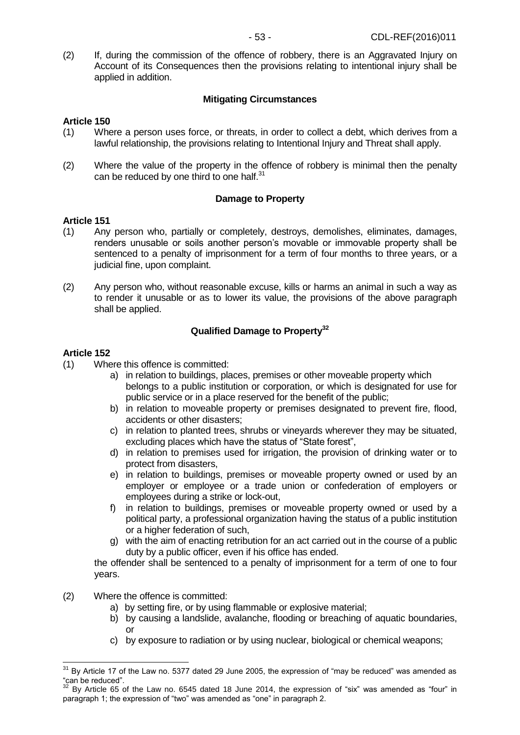(2) If, during the commission of the offence of robbery, there is an Aggravated Injury on Account of its Consequences then the provisions relating to intentional injury shall be applied in addition.

# **Mitigating Circumstances**

### **Article 150**

- (1) Where a person uses force, or threats, in order to collect a debt, which derives from a lawful relationship, the provisions relating to Intentional Injury and Threat shall apply.
- (2) Where the value of the property in the offence of robbery is minimal then the penalty can be reduced by one third to one half.<sup>31</sup>

# **Damage to Property**

### **Article 151**

- (1) Any person who, partially or completely, destroys, demolishes, eliminates, damages, renders unusable or soils another person's movable or immovable property shall be sentenced to a penalty of imprisonment for a term of four months to three years, or a judicial fine, upon complaint.
- (2) Any person who, without reasonable excuse, kills or harms an animal in such a way as to render it unusable or as to lower its value, the provisions of the above paragraph shall be applied.

# **Qualified Damage to Property<sup>32</sup>**

### **Article 152**

- (1) Where this offence is committed:
	- a) in relation to buildings, places, premises or other moveable property which belongs to a public institution or corporation, or which is designated for use for public service or in a place reserved for the benefit of the public;
	- b) in relation to moveable property or premises designated to prevent fire, flood, accidents or other disasters;
	- c) in relation to planted trees, shrubs or vineyards wherever they may be situated, excluding places which have the status of "State forest",
	- d) in relation to premises used for irrigation, the provision of drinking water or to protect from disasters,
	- e) in relation to buildings, premises or moveable property owned or used by an employer or employee or a trade union or confederation of employers or employees during a strike or lock-out,
	- f) in relation to buildings, premises or moveable property owned or used by a political party, a professional organization having the status of a public institution or a higher federation of such,
	- g) with the aim of enacting retribution for an act carried out in the course of a public duty by a public officer, even if his office has ended.

the offender shall be sentenced to a penalty of imprisonment for a term of one to four years.

- (2) Where the offence is committed:
	- a) by setting fire, or by using flammable or explosive material;
	- b) by causing a landslide, avalanche, flooding or breaching of aquatic boundaries, or
	- c) by exposure to radiation or by using nuclear, biological or chemical weapons;

<sup>-</sup> $31$  By Article 17 of the Law no. 5377 dated 29 June 2005, the expression of "may be reduced" was amended as  $\frac{1}{32}$  can be reduced".

By Article 65 of the Law no. 6545 dated 18 June 2014, the expression of "six" was amended as "four" in paragraph 1; the expression of "two" was amended as "one" in paragraph 2.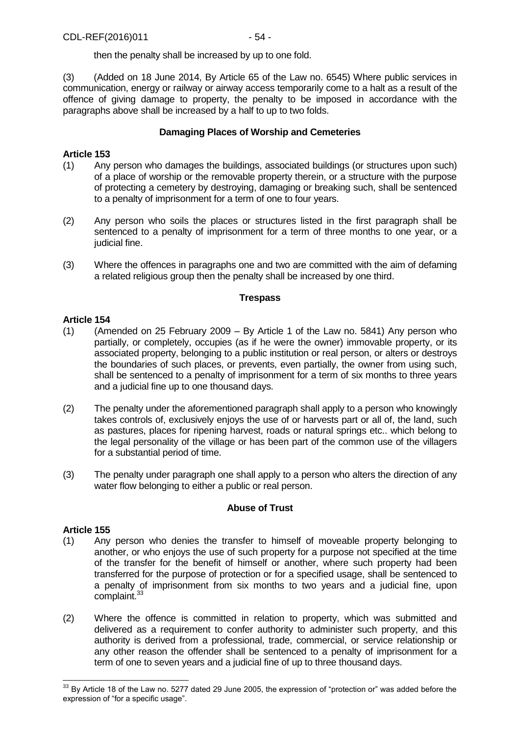then the penalty shall be increased by up to one fold.

(3) (Added on 18 June 2014, By Article 65 of the Law no. 6545) Where public services in communication, energy or railway or airway access temporarily come to a halt as a result of the offence of giving damage to property, the penalty to be imposed in accordance with the paragraphs above shall be increased by a half to up to two folds.

# **Damaging Places of Worship and Cemeteries**

# **Article 153**

- (1) Any person who damages the buildings, associated buildings (or structures upon such) of a place of worship or the removable property therein, or a structure with the purpose of protecting a cemetery by destroying, damaging or breaking such, shall be sentenced to a penalty of imprisonment for a term of one to four years.
- (2) Any person who soils the places or structures listed in the first paragraph shall be sentenced to a penalty of imprisonment for a term of three months to one year, or a judicial fine.
- (3) Where the offences in paragraphs one and two are committed with the aim of defaming a related religious group then the penalty shall be increased by one third.

### **Trespass**

### **Article 154**

- (1) (Amended on 25 February 2009 By Article 1 of the Law no. 5841) Any person who partially, or completely, occupies (as if he were the owner) immovable property, or its associated property, belonging to a public institution or real person, or alters or destroys the boundaries of such places, or prevents, even partially, the owner from using such, shall be sentenced to a penalty of imprisonment for a term of six months to three years and a judicial fine up to one thousand days.
- (2) The penalty under the aforementioned paragraph shall apply to a person who knowingly takes controls of, exclusively enjoys the use of or harvests part or all of, the land, such as pastures, places for ripening harvest, roads or natural springs etc.. which belong to the legal personality of the village or has been part of the common use of the villagers for a substantial period of time.
- (3) The penalty under paragraph one shall apply to a person who alters the direction of any water flow belonging to either a public or real person.

#### **Abuse of Trust**

#### **Article 155**

-

- (1) Any person who denies the transfer to himself of moveable property belonging to another, or who enjoys the use of such property for a purpose not specified at the time of the transfer for the benefit of himself or another, where such property had been transferred for the purpose of protection or for a specified usage, shall be sentenced to a penalty of imprisonment from six months to two years and a judicial fine, upon complaint.<sup>33</sup>
- (2) Where the offence is committed in relation to property, which was submitted and delivered as a requirement to confer authority to administer such property, and this authority is derived from a professional, trade, commercial, or service relationship or any other reason the offender shall be sentenced to a penalty of imprisonment for a term of one to seven years and a judicial fine of up to three thousand days.

 $33$  By Article 18 of the Law no. 5277 dated 29 June 2005, the expression of "protection or" was added before the expression of "for a specific usage".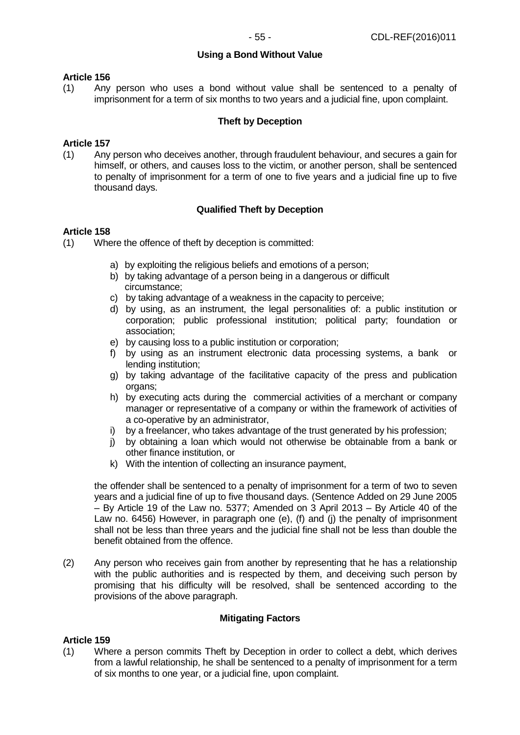# **Using a Bond Without Value**

# **Article 156**

(1) Any person who uses a bond without value shall be sentenced to a penalty of imprisonment for a term of six months to two years and a judicial fine, upon complaint.

# **Theft by Deception**

### **Article 157**

(1) Any person who deceives another, through fraudulent behaviour, and secures a gain for himself, or others, and causes loss to the victim, or another person, shall be sentenced to penalty of imprisonment for a term of one to five years and a judicial fine up to five thousand days.

# **Qualified Theft by Deception**

#### **Article 158**

- (1) Where the offence of theft by deception is committed:
	- a) by exploiting the religious beliefs and emotions of a person;
	- b) by taking advantage of a person being in a dangerous or difficult circumstance;
	- c) by taking advantage of a weakness in the capacity to perceive;
	- d) by using, as an instrument, the legal personalities of: a public institution or corporation; public professional institution; political party; foundation or association;
	- e) by causing loss to a public institution or corporation;
	- f) by using as an instrument electronic data processing systems, a bank or lending institution;
	- g) by taking advantage of the facilitative capacity of the press and publication organs;
	- h) by executing acts during the commercial activities of a merchant or company manager or representative of a company or within the framework of activities of a co-operative by an administrator,
	- i) by a freelancer, who takes advantage of the trust generated by his profession;
	- j) by obtaining a loan which would not otherwise be obtainable from a bank or other finance institution, or
	- k) With the intention of collecting an insurance payment,

the offender shall be sentenced to a penalty of imprisonment for a term of two to seven years and a judicial fine of up to five thousand days. (Sentence Added on 29 June 2005 – By Article 19 of the Law no. 5377; Amended on 3 April 2013 – By Article 40 of the Law no. 6456) However, in paragraph one (e), (f) and (j) the penalty of imprisonment shall not be less than three years and the judicial fine shall not be less than double the benefit obtained from the offence.

(2) Any person who receives gain from another by representing that he has a relationship with the public authorities and is respected by them, and deceiving such person by promising that his difficulty will be resolved, shall be sentenced according to the provisions of the above paragraph.

# **Mitigating Factors**

# **Article 159**

(1) Where a person commits Theft by Deception in order to collect a debt, which derives from a lawful relationship, he shall be sentenced to a penalty of imprisonment for a term of six months to one year, or a judicial fine, upon complaint.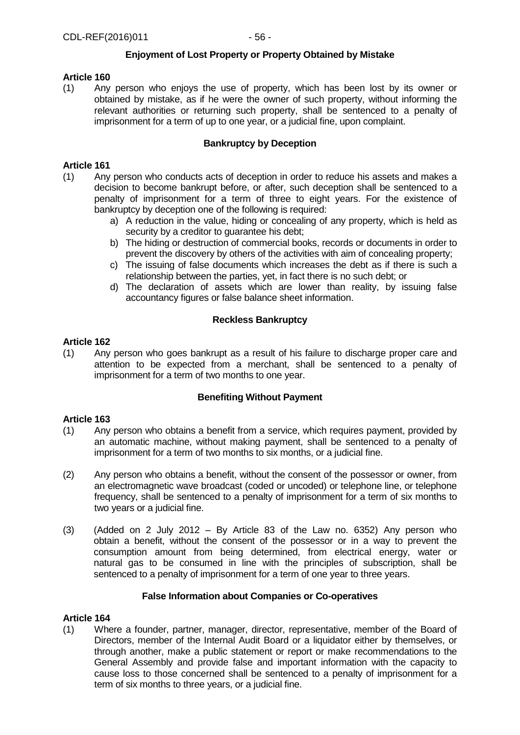# **Enjoyment of Lost Property or Property Obtained by Mistake**

# **Article 160**

(1) Any person who enjoys the use of property, which has been lost by its owner or obtained by mistake, as if he were the owner of such property, without informing the relevant authorities or returning such property, shall be sentenced to a penalty of imprisonment for a term of up to one year, or a judicial fine, upon complaint.

# **Bankruptcy by Deception**

### **Article 161**

- (1) Any person who conducts acts of deception in order to reduce his assets and makes a decision to become bankrupt before, or after, such deception shall be sentenced to a penalty of imprisonment for a term of three to eight years. For the existence of bankruptcy by deception one of the following is required:
	- a) A reduction in the value, hiding or concealing of any property, which is held as security by a creditor to guarantee his debt;
	- b) The hiding or destruction of commercial books, records or documents in order to prevent the discovery by others of the activities with aim of concealing property;
	- c) The issuing of false documents which increases the debt as if there is such a relationship between the parties, yet, in fact there is no such debt; or
	- d) The declaration of assets which are lower than reality, by issuing false accountancy figures or false balance sheet information.

### **Reckless Bankruptcy**

### **Article 162**

(1) Any person who goes bankrupt as a result of his failure to discharge proper care and attention to be expected from a merchant, shall be sentenced to a penalty of imprisonment for a term of two months to one year.

# **Benefiting Without Payment**

#### **Article 163**

- (1) Any person who obtains a benefit from a service, which requires payment, provided by an automatic machine, without making payment, shall be sentenced to a penalty of imprisonment for a term of two months to six months, or a judicial fine.
- (2) Any person who obtains a benefit, without the consent of the possessor or owner, from an electromagnetic wave broadcast (coded or uncoded) or telephone line, or telephone frequency, shall be sentenced to a penalty of imprisonment for a term of six months to two years or a judicial fine.
- (3) (Added on 2 July 2012 By Article 83 of the Law no. 6352) Any person who obtain a benefit, without the consent of the possessor or in a way to prevent the consumption amount from being determined, from electrical energy, water or natural gas to be consumed in line with the principles of subscription, shall be sentenced to a penalty of imprisonment for a term of one year to three years.

#### **False Information about Companies or Co-operatives**

# **Article 164**

(1) Where a founder, partner, manager, director, representative, member of the Board of Directors, member of the Internal Audit Board or a liquidator either by themselves, or through another, make a public statement or report or make recommendations to the General Assembly and provide false and important information with the capacity to cause loss to those concerned shall be sentenced to a penalty of imprisonment for a term of six months to three years, or a judicial fine.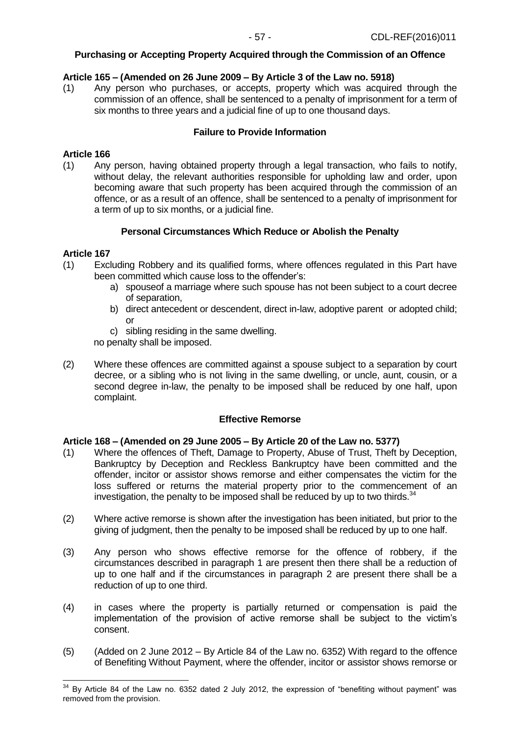# **Article 165 – (Amended on 26 June 2009 – By Article 3 of the Law no. 5918)**

(1) Any person who purchases, or accepts, property which was acquired through the commission of an offence, shall be sentenced to a penalty of imprisonment for a term of six months to three years and a judicial fine of up to one thousand days.

# **Failure to Provide Information**

# **Article 166**

(1) Any person, having obtained property through a legal transaction, who fails to notify, without delay, the relevant authorities responsible for upholding law and order, upon becoming aware that such property has been acquired through the commission of an offence, or as a result of an offence, shall be sentenced to a penalty of imprisonment for a term of up to six months, or a judicial fine.

# **Personal Circumstances Which Reduce or Abolish the Penalty**

### **Article 167**

-

- (1) Excluding Robbery and its qualified forms, where offences regulated in this Part have been committed which cause loss to the offender's:
	- a) spouseof a marriage where such spouse has not been subject to a court decree of separation,
	- b) direct antecedent or descendent, direct in-law, adoptive parent or adopted child; or
	- c) sibling residing in the same dwelling.

no penalty shall be imposed.

(2) Where these offences are committed against a spouse subject to a separation by court decree, or a sibling who is not living in the same dwelling, or uncle, aunt, cousin, or a second degree in-law, the penalty to be imposed shall be reduced by one half, upon complaint.

# **Effective Remorse**

# **Article 168 – (Amended on 29 June 2005 – By Article 20 of the Law no. 5377)**

- (1) Where the offences of Theft, Damage to Property, Abuse of Trust, Theft by Deception, Bankruptcy by Deception and Reckless Bankruptcy have been committed and the offender, incitor or assistor shows remorse and either compensates the victim for the loss suffered or returns the material property prior to the commencement of an investigation, the penalty to be imposed shall be reduced by up to two thirds. $34$
- (2) Where active remorse is shown after the investigation has been initiated, but prior to the giving of judgment, then the penalty to be imposed shall be reduced by up to one half.
- (3) Any person who shows effective remorse for the offence of robbery, if the circumstances described in paragraph 1 are present then there shall be a reduction of up to one half and if the circumstances in paragraph 2 are present there shall be a reduction of up to one third.
- (4) in cases where the property is partially returned or compensation is paid the implementation of the provision of active remorse shall be subject to the victim's consent.
- (5) (Added on 2 June 2012 By Article 84 of the Law no. 6352) With regard to the offence of Benefiting Without Payment, where the offender, incitor or assistor shows remorse or

 $34$  By Article 84 of the Law no. 6352 dated 2 July 2012, the expression of "benefiting without payment" was removed from the provision.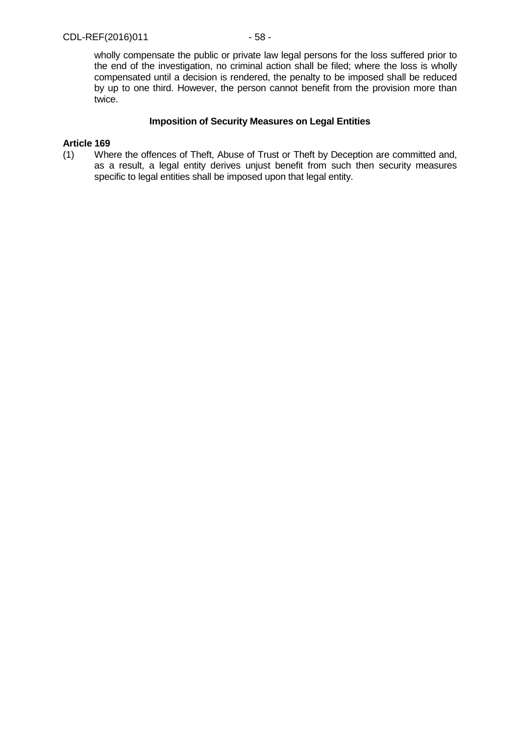wholly compensate the public or private law legal persons for the loss suffered prior to the end of the investigation, no criminal action shall be filed; where the loss is wholly compensated until a decision is rendered, the penalty to be imposed shall be reduced by up to one third. However, the person cannot benefit from the provision more than twice.

# **Imposition of Security Measures on Legal Entities**

# **Article 169**

(1) Where the offences of Theft, Abuse of Trust or Theft by Deception are committed and, as a result, a legal entity derives unjust benefit from such then security measures specific to legal entities shall be imposed upon that legal entity.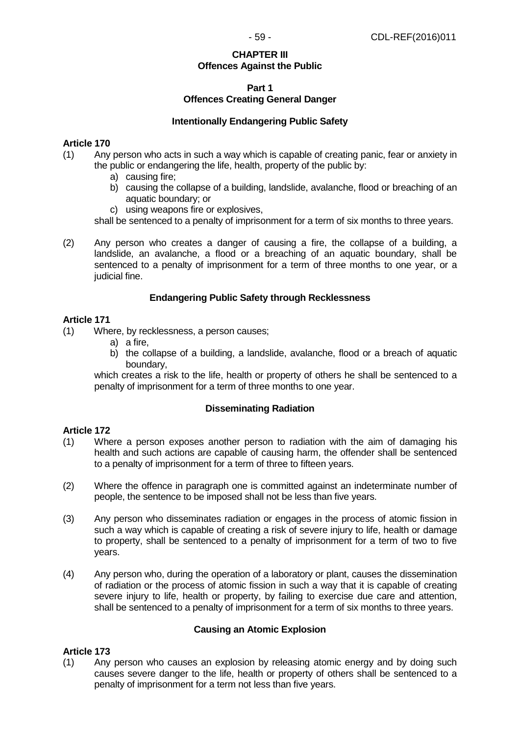# **CHAPTER III Offences Against the Public**

# **Part 1**

# **Offences Creating General Danger**

# **Intentionally Endangering Public Safety**

# **Article 170**

- (1) Any person who acts in such a way which is capable of creating panic, fear or anxiety in the public or endangering the life, health, property of the public by:
	- a) causing fire;
	- b) causing the collapse of a building, landslide, avalanche, flood or breaching of an aquatic boundary; or
	- c) using weapons fire or explosives,

shall be sentenced to a penalty of imprisonment for a term of six months to three years.

(2) Any person who creates a danger of causing a fire, the collapse of a building, a landslide, an avalanche, a flood or a breaching of an aquatic boundary, shall be sentenced to a penalty of imprisonment for a term of three months to one year, or a judicial fine.

# **Endangering Public Safety through Recklessness**

# **Article 171**

- (1) Where, by recklessness, a person causes;
	- a) a fire,
	- b) the collapse of a building, a landslide, avalanche, flood or a breach of aquatic boundary,

which creates a risk to the life, health or property of others he shall be sentenced to a penalty of imprisonment for a term of three months to one year.

#### **Disseminating Radiation**

#### **Article 172**

- (1) Where a person exposes another person to radiation with the aim of damaging his health and such actions are capable of causing harm, the offender shall be sentenced to a penalty of imprisonment for a term of three to fifteen years.
- (2) Where the offence in paragraph one is committed against an indeterminate number of people, the sentence to be imposed shall not be less than five years.
- (3) Any person who disseminates radiation or engages in the process of atomic fission in such a way which is capable of creating a risk of severe injury to life, health or damage to property, shall be sentenced to a penalty of imprisonment for a term of two to five years.
- (4) Any person who, during the operation of a laboratory or plant, causes the dissemination of radiation or the process of atomic fission in such a way that it is capable of creating severe injury to life, health or property, by failing to exercise due care and attention, shall be sentenced to a penalty of imprisonment for a term of six months to three years.

# **Causing an Atomic Explosion**

# **Article 173**

(1) Any person who causes an explosion by releasing atomic energy and by doing such causes severe danger to the life, health or property of others shall be sentenced to a penalty of imprisonment for a term not less than five years.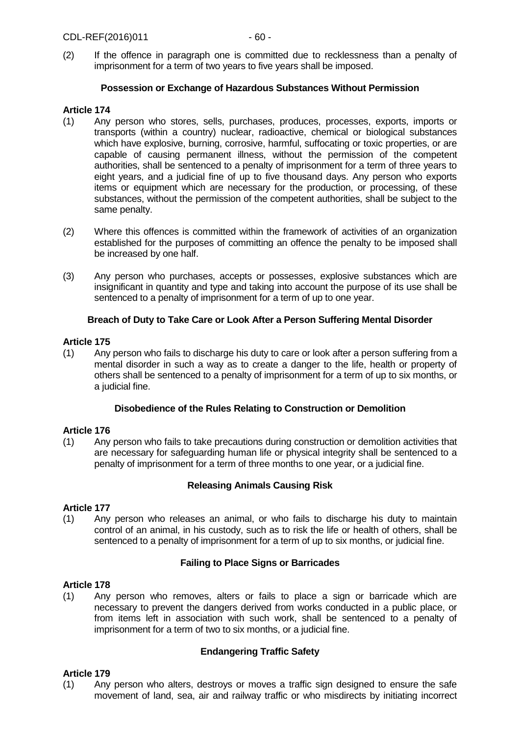(2) If the offence in paragraph one is committed due to recklessness than a penalty of imprisonment for a term of two years to five years shall be imposed.

# **Possession or Exchange of Hazardous Substances Without Permission**

# **Article 174**

- (1) Any person who stores, sells, purchases, produces, processes, exports, imports or transports (within a country) nuclear, radioactive, chemical or biological substances which have explosive, burning, corrosive, harmful, suffocating or toxic properties, or are capable of causing permanent illness, without the permission of the competent authorities, shall be sentenced to a penalty of imprisonment for a term of three years to eight years, and a judicial fine of up to five thousand days. Any person who exports items or equipment which are necessary for the production, or processing, of these substances, without the permission of the competent authorities, shall be subject to the same penalty.
- (2) Where this offences is committed within the framework of activities of an organization established for the purposes of committing an offence the penalty to be imposed shall be increased by one half.
- (3) Any person who purchases, accepts or possesses, explosive substances which are insignificant in quantity and type and taking into account the purpose of its use shall be sentenced to a penalty of imprisonment for a term of up to one year.

# **Breach of Duty to Take Care or Look After a Person Suffering Mental Disorder**

### **Article 175**

(1) Any person who fails to discharge his duty to care or look after a person suffering from a mental disorder in such a way as to create a danger to the life, health or property of others shall be sentenced to a penalty of imprisonment for a term of up to six months, or a judicial fine.

# **Disobedience of the Rules Relating to Construction or Demolition**

#### **Article 176**

(1) Any person who fails to take precautions during construction or demolition activities that are necessary for safeguarding human life or physical integrity shall be sentenced to a penalty of imprisonment for a term of three months to one year, or a judicial fine.

# **Releasing Animals Causing Risk**

# **Article 177**

(1) Any person who releases an animal, or who fails to discharge his duty to maintain control of an animal, in his custody, such as to risk the life or health of others, shall be sentenced to a penalty of imprisonment for a term of up to six months, or judicial fine.

# **Failing to Place Signs or Barricades**

#### **Article 178**

(1) Any person who removes, alters or fails to place a sign or barricade which are necessary to prevent the dangers derived from works conducted in a public place, or from items left in association with such work, shall be sentenced to a penalty of imprisonment for a term of two to six months, or a judicial fine.

# **Endangering Traffic Safety**

# **Article 179**

(1) Any person who alters, destroys or moves a traffic sign designed to ensure the safe movement of land, sea, air and railway traffic or who misdirects by initiating incorrect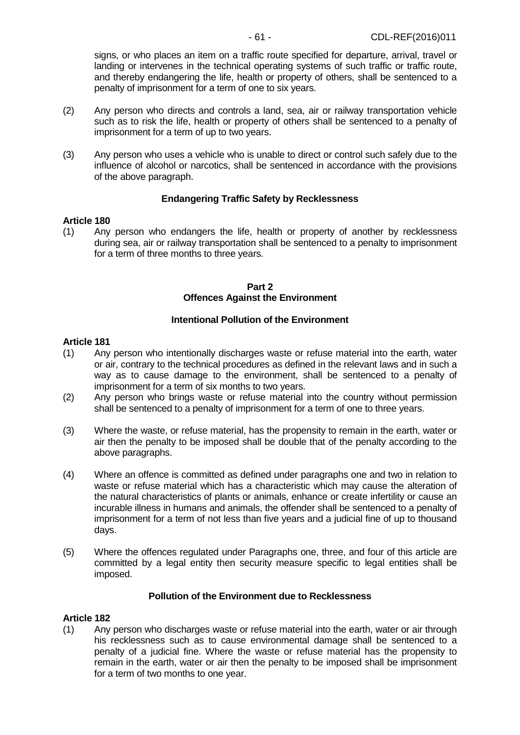signs, or who places an item on a traffic route specified for departure, arrival, travel or landing or intervenes in the technical operating systems of such traffic or traffic route, and thereby endangering the life, health or property of others, shall be sentenced to a penalty of imprisonment for a term of one to six years.

- (2) Any person who directs and controls a land, sea, air or railway transportation vehicle such as to risk the life, health or property of others shall be sentenced to a penalty of imprisonment for a term of up to two years.
- (3) Any person who uses a vehicle who is unable to direct or control such safely due to the influence of alcohol or narcotics, shall be sentenced in accordance with the provisions of the above paragraph.

### **Endangering Traffic Safety by Recklessness**

### **Article 180**

(1) Any person who endangers the life, health or property of another by recklessness during sea, air or railway transportation shall be sentenced to a penalty to imprisonment for a term of three months to three years.

### **Part 2 Offences Against the Environment**

### **Intentional Pollution of the Environment**

#### **Article 181**

- (1) Any person who intentionally discharges waste or refuse material into the earth, water or air, contrary to the technical procedures as defined in the relevant laws and in such a way as to cause damage to the environment, shall be sentenced to a penalty of imprisonment for a term of six months to two years.
- (2) Any person who brings waste or refuse material into the country without permission shall be sentenced to a penalty of imprisonment for a term of one to three years.
- (3) Where the waste, or refuse material, has the propensity to remain in the earth, water or air then the penalty to be imposed shall be double that of the penalty according to the above paragraphs.
- (4) Where an offence is committed as defined under paragraphs one and two in relation to waste or refuse material which has a characteristic which may cause the alteration of the natural characteristics of plants or animals, enhance or create infertility or cause an incurable illness in humans and animals, the offender shall be sentenced to a penalty of imprisonment for a term of not less than five years and a judicial fine of up to thousand days.
- (5) Where the offences regulated under Paragraphs one, three, and four of this article are committed by a legal entity then security measure specific to legal entities shall be imposed.

#### **Pollution of the Environment due to Recklessness**

# **Article 182**

(1) Any person who discharges waste or refuse material into the earth, water or air through his recklessness such as to cause environmental damage shall be sentenced to a penalty of a judicial fine. Where the waste or refuse material has the propensity to remain in the earth, water or air then the penalty to be imposed shall be imprisonment for a term of two months to one year.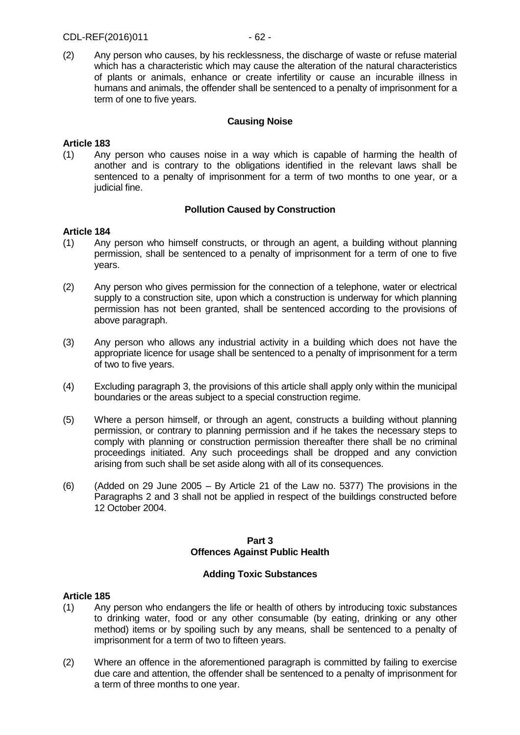(2) Any person who causes, by his recklessness, the discharge of waste or refuse material which has a characteristic which may cause the alteration of the natural characteristics of plants or animals, enhance or create infertility or cause an incurable illness in humans and animals, the offender shall be sentenced to a penalty of imprisonment for a term of one to five years.

### **Causing Noise**

# **Article 183**

(1) Any person who causes noise in a way which is capable of harming the health of another and is contrary to the obligations identified in the relevant laws shall be sentenced to a penalty of imprisonment for a term of two months to one year, or a judicial fine.

# **Pollution Caused by Construction**

### **Article 184**

- (1) Any person who himself constructs, or through an agent, a building without planning permission, shall be sentenced to a penalty of imprisonment for a term of one to five years.
- (2) Any person who gives permission for the connection of a telephone, water or electrical supply to a construction site, upon which a construction is underway for which planning permission has not been granted, shall be sentenced according to the provisions of above paragraph.
- (3) Any person who allows any industrial activity in a building which does not have the appropriate licence for usage shall be sentenced to a penalty of imprisonment for a term of two to five years.
- (4) Excluding paragraph 3, the provisions of this article shall apply only within the municipal boundaries or the areas subject to a special construction regime.
- (5) Where a person himself, or through an agent, constructs a building without planning permission, or contrary to planning permission and if he takes the necessary steps to comply with planning or construction permission thereafter there shall be no criminal proceedings initiated. Any such proceedings shall be dropped and any conviction arising from such shall be set aside along with all of its consequences.
- (6) (Added on 29 June 2005 By Article 21 of the Law no. 5377) The provisions in the Paragraphs 2 and 3 shall not be applied in respect of the buildings constructed before 12 October 2004.

### **Part 3 Offences Against Public Health**

#### **Adding Toxic Substances**

- (1) Any person who endangers the life or health of others by introducing toxic substances to drinking water, food or any other consumable (by eating, drinking or any other method) items or by spoiling such by any means, shall be sentenced to a penalty of imprisonment for a term of two to fifteen years.
- (2) Where an offence in the aforementioned paragraph is committed by failing to exercise due care and attention, the offender shall be sentenced to a penalty of imprisonment for a term of three months to one year.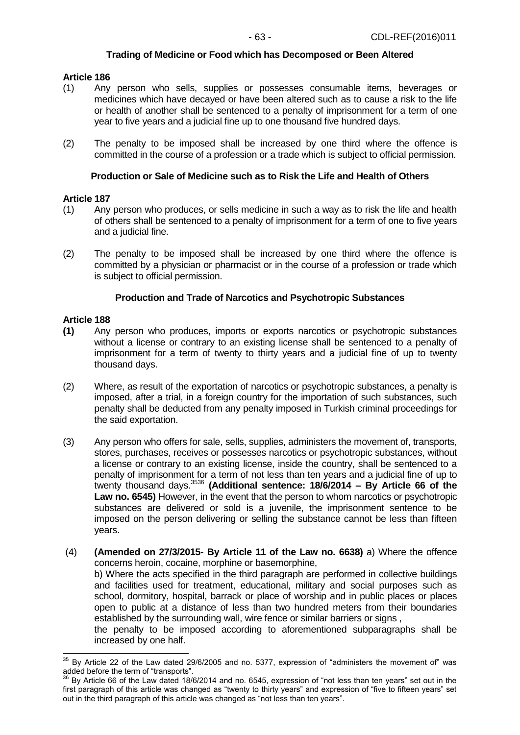# **Trading of Medicine or Food which has Decomposed or Been Altered**

# **Article 186**

- (1) Any person who sells, supplies or possesses consumable items, beverages or medicines which have decayed or have been altered such as to cause a risk to the life or health of another shall be sentenced to a penalty of imprisonment for a term of one year to five years and a judicial fine up to one thousand five hundred days.
- (2) The penalty to be imposed shall be increased by one third where the offence is committed in the course of a profession or a trade which is subject to official permission.

# **Production or Sale of Medicine such as to Risk the Life and Health of Others**

### **Article 187**

- (1) Any person who produces, or sells medicine in such a way as to risk the life and health of others shall be sentenced to a penalty of imprisonment for a term of one to five years and a judicial fine.
- (2) The penalty to be imposed shall be increased by one third where the offence is committed by a physician or pharmacist or in the course of a profession or trade which is subject to official permission.

### **Production and Trade of Narcotics and Psychotropic Substances**

### **Article 188**

-

- **(1)** Any person who produces, imports or exports narcotics or psychotropic substances without a license or contrary to an existing license shall be sentenced to a penalty of imprisonment for a term of twenty to thirty years and a judicial fine of up to twenty thousand days.
- (2) Where, as result of the exportation of narcotics or psychotropic substances, a penalty is imposed, after a trial, in a foreign country for the importation of such substances, such penalty shall be deducted from any penalty imposed in Turkish criminal proceedings for the said exportation.
- (3) Any person who offers for sale, sells, supplies, administers the movement of, transports, stores, purchases, receives or possesses narcotics or psychotropic substances, without a license or contrary to an existing license, inside the country, shall be sentenced to a penalty of imprisonment for a term of not less than ten years and a judicial fine of up to twenty thousand days.<sup>3536</sup> **(Additional sentence: 18/6/2014 – By Article 66 of the Law no. 6545)** However, in the event that the person to whom narcotics or psychotropic substances are delivered or sold is a juvenile, the imprisonment sentence to be imposed on the person delivering or selling the substance cannot be less than fifteen years.
- (4) **(Amended on 27/3/2015- By Article 11 of the Law no. 6638)** a) Where the offence concerns heroin, cocaine, morphine or basemorphine, b) Where the acts specified in the third paragraph are performed in collective buildings and facilities used for treatment, educational, military and social purposes such as school, dormitory, hospital, barrack or place of worship and in public places or places open to public at a distance of less than two hundred meters from their boundaries established by the surrounding wall, wire fence or similar barriers or signs ,

the penalty to be imposed according to aforementioned subparagraphs shall be increased by one half.

<sup>35</sup> By Article 22 of the Law dated 29/6/2005 and no. 5377, expression of "administers the movement of" was added before the term of "transports".<br> $^{36}$  By Article Co. of "

<sup>36</sup> By Article 66 of the Law dated 18/6/2014 and no. 6545, expression of "not less than ten years" set out in the first paragraph of this article was changed as "twenty to thirty years" and expression of "five to fifteen years" set out in the third paragraph of this article was changed as "not less than ten years".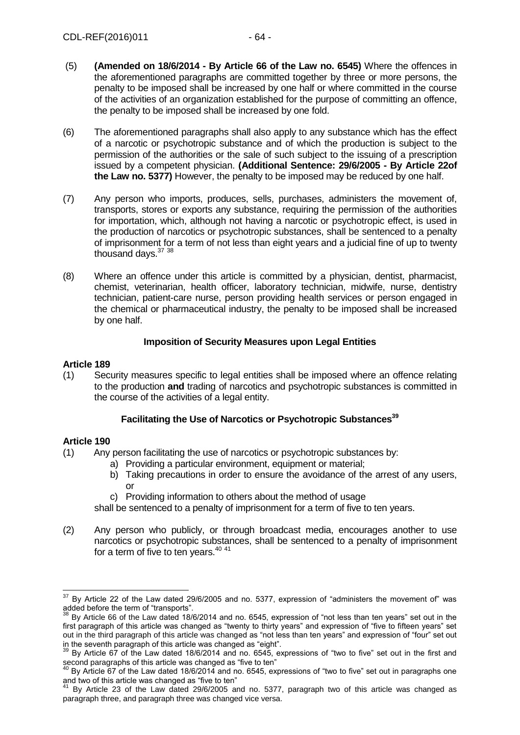- (5) **(Amended on 18/6/2014 - By Article 66 of the Law no. 6545)** Where the offences in the aforementioned paragraphs are committed together by three or more persons, the penalty to be imposed shall be increased by one half or where committed in the course of the activities of an organization established for the purpose of committing an offence, the penalty to be imposed shall be increased by one fold.
- (6) The aforementioned paragraphs shall also apply to any substance which has the effect of a narcotic or psychotropic substance and of which the production is subject to the permission of the authorities or the sale of such subject to the issuing of a prescription issued by a competent physician. **(Additional Sentence: 29/6/2005 - By Article 22of the Law no. 5377)** However, the penalty to be imposed may be reduced by one half.
- (7) Any person who imports, produces, sells, purchases, administers the movement of, transports, stores or exports any substance, requiring the permission of the authorities for importation, which, although not having a narcotic or psychotropic effect, is used in the production of narcotics or psychotropic substances, shall be sentenced to a penalty of imprisonment for a term of not less than eight years and a judicial fine of up to twenty thousand days. 37 38
- (8) Where an offence under this article is committed by a physician, dentist, pharmacist, chemist, veterinarian, health officer, laboratory technician, midwife, nurse, dentistry technician, patient-care nurse, person providing health services or person engaged in the chemical or pharmaceutical industry, the penalty to be imposed shall be increased by one half.

# **Imposition of Security Measures upon Legal Entities**

# **Article 189**

(1) Security measures specific to legal entities shall be imposed where an offence relating to the production **and** trading of narcotics and psychotropic substances is committed in the course of the activities of a legal entity.

# **Facilitating the Use of Narcotics or Psychotropic Substances<sup>39</sup>**

# **Article 190**

- (1) Any person facilitating the use of narcotics or psychotropic substances by:
	- a) Providing a particular environment, equipment or material;
	- b) Taking precautions in order to ensure the avoidance of the arrest of any users,  $\alpha$ r
	- c) Providing information to others about the method of usage

shall be sentenced to a penalty of imprisonment for a term of five to ten years.

(2) Any person who publicly, or through broadcast media, encourages another to use narcotics or psychotropic substances, shall be sentenced to a penalty of imprisonment for a term of five to ten years.<sup>40 41</sup>

<sup>37</sup> By Article 22 of the Law dated 29/6/2005 and no. 5377, expression of "administers the movement of" was added before the term of "transports".

<sup>38</sup> By Article 66 of the Law dated 18/6/2014 and no. 6545, expression of "not less than ten years" set out in the first paragraph of this article was changed as "twenty to thirty years" and expression of "five to fifteen years" set out in the third paragraph of this article was changed as "not less than ten years" and expression of "four" set out in the seventh paragraph of this article was changed as "eight".

<sup>39</sup> By Article 67 of the Law dated 18/6/2014 and no. 6545, expressions of "two to five" set out in the first and second paragraphs of this article was changed as "five to ten"

 $^{40}$  By Article 67 of the Law dated 18/6/2014 and no. 6545, expressions of "two to five" set out in paragraphs one and two of this article was changed as "five to ten"

By Article 23 of the Law dated 29/6/2005 and no. 5377, paragraph two of this article was changed as paragraph three, and paragraph three was changed vice versa.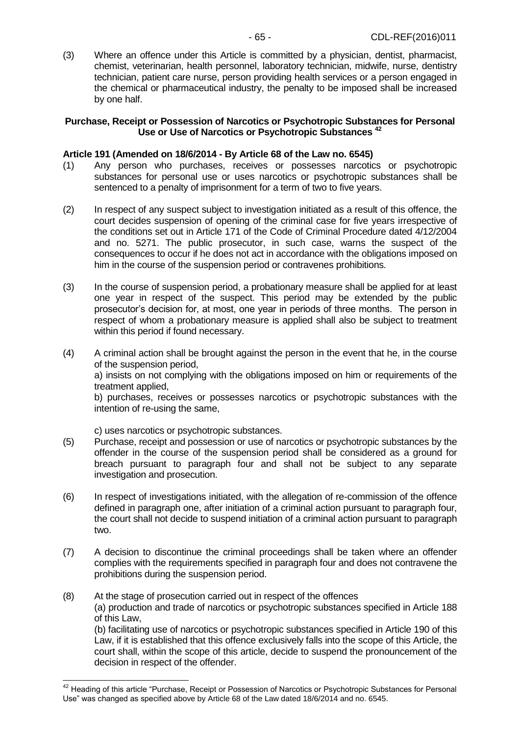(3) Where an offence under this Article is committed by a physician, dentist, pharmacist, chemist, veterinarian, health personnel, laboratory technician, midwife, nurse, dentistry technician, patient care nurse, person providing health services or a person engaged in the chemical or pharmaceutical industry, the penalty to be imposed shall be increased by one half.

#### **Purchase, Receipt or Possession of Narcotics or Psychotropic Substances for Personal Use or Use of Narcotics or Psychotropic Substances <sup>42</sup>**

### **Article 191 (Amended on 18/6/2014 - By Article 68 of the Law no. 6545)**

- (1) Any person who purchases, receives or possesses narcotics or psychotropic substances for personal use or uses narcotics or psychotropic substances shall be sentenced to a penalty of imprisonment for a term of two to five years.
- (2) In respect of any suspect subject to investigation initiated as a result of this offence, the court decides suspension of opening of the criminal case for five years irrespective of the conditions set out in Article 171 of the Code of Criminal Procedure dated 4/12/2004 and no. 5271. The public prosecutor, in such case, warns the suspect of the consequences to occur if he does not act in accordance with the obligations imposed on him in the course of the suspension period or contravenes prohibitions.
- (3) In the course of suspension period, a probationary measure shall be applied for at least one year in respect of the suspect. This period may be extended by the public prosecutor's decision for, at most, one year in periods of three months. The person in respect of whom a probationary measure is applied shall also be subject to treatment within this period if found necessary.
- (4) A criminal action shall be brought against the person in the event that he, in the course of the suspension period, a) insists on not complying with the obligations imposed on him or requirements of the treatment applied, b) purchases, receives or possesses narcotics or psychotropic substances with the intention of re-using the same,

c) uses narcotics or psychotropic substances.

- (5) Purchase, receipt and possession or use of narcotics or psychotropic substances by the offender in the course of the suspension period shall be considered as a ground for breach pursuant to paragraph four and shall not be subject to any separate investigation and prosecution.
- (6) In respect of investigations initiated, with the allegation of re-commission of the offence defined in paragraph one, after initiation of a criminal action pursuant to paragraph four, the court shall not decide to suspend initiation of a criminal action pursuant to paragraph two.
- (7) A decision to discontinue the criminal proceedings shall be taken where an offender complies with the requirements specified in paragraph four and does not contravene the prohibitions during the suspension period.
- (8) At the stage of prosecution carried out in respect of the offences (a) production and trade of narcotics or psychotropic substances specified in Article 188 of this Law, (b) facilitating use of narcotics or psychotropic substances specified in Article 190 of this Law, if it is established that this offence exclusively falls into the scope of this Article, the court shall, within the scope of this article, decide to suspend the pronouncement of the decision in respect of the offender.

<sup>-</sup><sup>42</sup> Heading of this article "Purchase, Receipt or Possession of Narcotics or Psychotropic Substances for Personal Use" was changed as specified above by Article 68 of the Law dated 18/6/2014 and no. 6545.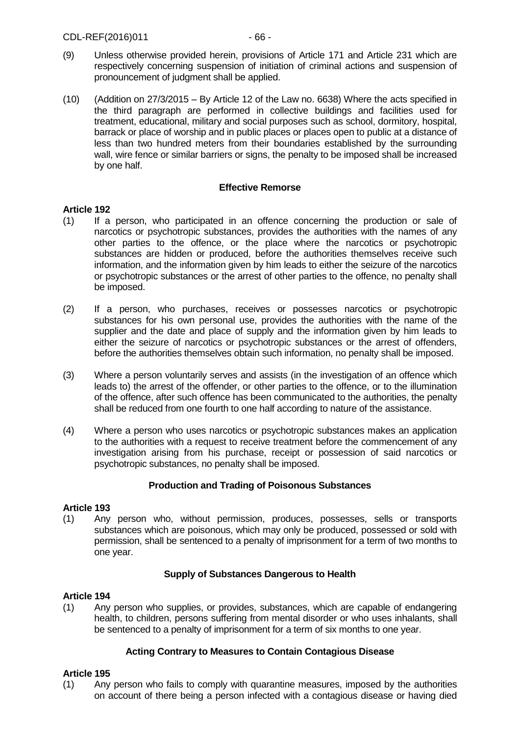- (9) Unless otherwise provided herein, provisions of Article 171 and Article 231 which are respectively concerning suspension of initiation of criminal actions and suspension of pronouncement of judgment shall be applied.
- (10) (Addition on 27/3/2015 By Article 12 of the Law no. 6638) Where the acts specified in the third paragraph are performed in collective buildings and facilities used for treatment, educational, military and social purposes such as school, dormitory, hospital, barrack or place of worship and in public places or places open to public at a distance of less than two hundred meters from their boundaries established by the surrounding wall, wire fence or similar barriers or signs, the penalty to be imposed shall be increased by one half.

# **Effective Remorse**

# **Article 192**

- (1) If a person, who participated in an offence concerning the production or sale of narcotics or psychotropic substances, provides the authorities with the names of any other parties to the offence, or the place where the narcotics or psychotropic substances are hidden or produced, before the authorities themselves receive such information, and the information given by him leads to either the seizure of the narcotics or psychotropic substances or the arrest of other parties to the offence, no penalty shall be imposed.
- (2) If a person, who purchases, receives or possesses narcotics or psychotropic substances for his own personal use, provides the authorities with the name of the supplier and the date and place of supply and the information given by him leads to either the seizure of narcotics or psychotropic substances or the arrest of offenders, before the authorities themselves obtain such information, no penalty shall be imposed.
- (3) Where a person voluntarily serves and assists (in the investigation of an offence which leads to) the arrest of the offender, or other parties to the offence, or to the illumination of the offence, after such offence has been communicated to the authorities, the penalty shall be reduced from one fourth to one half according to nature of the assistance.
- (4) Where a person who uses narcotics or psychotropic substances makes an application to the authorities with a request to receive treatment before the commencement of any investigation arising from his purchase, receipt or possession of said narcotics or psychotropic substances, no penalty shall be imposed.

# **Production and Trading of Poisonous Substances**

# **Article 193**

(1) Any person who, without permission, produces, possesses, sells or transports substances which are poisonous, which may only be produced, possessed or sold with permission, shall be sentenced to a penalty of imprisonment for a term of two months to one year.

# **Supply of Substances Dangerous to Health**

# **Article 194**

(1) Any person who supplies, or provides, substances, which are capable of endangering health, to children, persons suffering from mental disorder or who uses inhalants, shall be sentenced to a penalty of imprisonment for a term of six months to one year.

# **Acting Contrary to Measures to Contain Contagious Disease**

# **Article 195**

(1) Any person who fails to comply with quarantine measures, imposed by the authorities on account of there being a person infected with a contagious disease or having died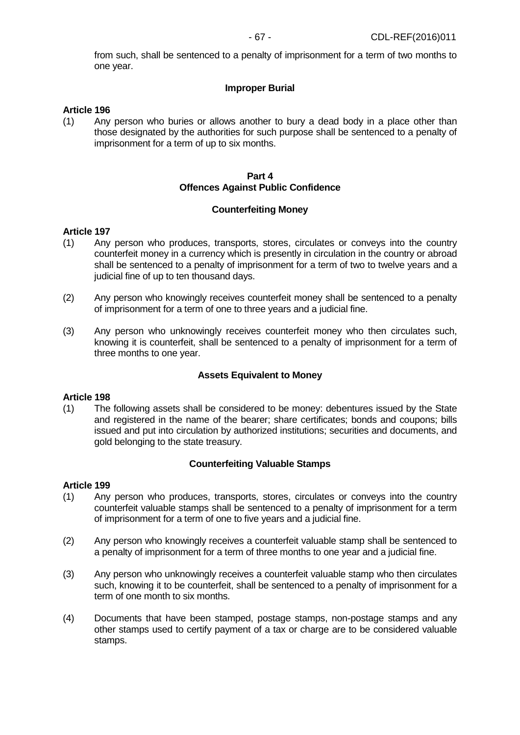from such, shall be sentenced to a penalty of imprisonment for a term of two months to one year.

# **Improper Burial**

# **Article 196**

(1) Any person who buries or allows another to bury a dead body in a place other than those designated by the authorities for such purpose shall be sentenced to a penalty of imprisonment for a term of up to six months.

#### **Part 4 Offences Against Public Confidence**

### **Counterfeiting Money**

### **Article 197**

- (1) Any person who produces, transports, stores, circulates or conveys into the country counterfeit money in a currency which is presently in circulation in the country or abroad shall be sentenced to a penalty of imprisonment for a term of two to twelve years and a judicial fine of up to ten thousand days.
- (2) Any person who knowingly receives counterfeit money shall be sentenced to a penalty of imprisonment for a term of one to three years and a judicial fine.
- (3) Any person who unknowingly receives counterfeit money who then circulates such, knowing it is counterfeit, shall be sentenced to a penalty of imprisonment for a term of three months to one year.

# **Assets Equivalent to Money**

#### **Article 198**

(1) The following assets shall be considered to be money: debentures issued by the State and registered in the name of the bearer; share certificates; bonds and coupons; bills issued and put into circulation by authorized institutions; securities and documents, and gold belonging to the state treasury.

# **Counterfeiting Valuable Stamps**

- (1) Any person who produces, transports, stores, circulates or conveys into the country counterfeit valuable stamps shall be sentenced to a penalty of imprisonment for a term of imprisonment for a term of one to five years and a judicial fine.
- (2) Any person who knowingly receives a counterfeit valuable stamp shall be sentenced to a penalty of imprisonment for a term of three months to one year and a judicial fine.
- (3) Any person who unknowingly receives a counterfeit valuable stamp who then circulates such, knowing it to be counterfeit, shall be sentenced to a penalty of imprisonment for a term of one month to six months.
- (4) Documents that have been stamped, postage stamps, non-postage stamps and any other stamps used to certify payment of a tax or charge are to be considered valuable stamps.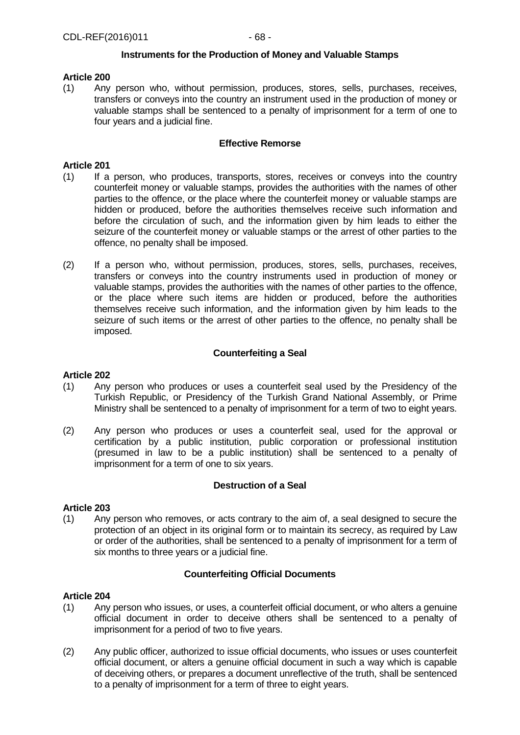# **Instruments for the Production of Money and Valuable Stamps**

# **Article 200**

(1) Any person who, without permission, produces, stores, sells, purchases, receives, transfers or conveys into the country an instrument used in the production of money or valuable stamps shall be sentenced to a penalty of imprisonment for a term of one to four years and a judicial fine.

### **Effective Remorse**

### **Article 201**

- (1) If a person, who produces, transports, stores, receives or conveys into the country counterfeit money or valuable stamps, provides the authorities with the names of other parties to the offence, or the place where the counterfeit money or valuable stamps are hidden or produced, before the authorities themselves receive such information and before the circulation of such, and the information given by him leads to either the seizure of the counterfeit money or valuable stamps or the arrest of other parties to the offence, no penalty shall be imposed.
- (2) If a person who, without permission, produces, stores, sells, purchases, receives, transfers or conveys into the country instruments used in production of money or valuable stamps, provides the authorities with the names of other parties to the offence, or the place where such items are hidden or produced, before the authorities themselves receive such information, and the information given by him leads to the seizure of such items or the arrest of other parties to the offence, no penalty shall be imposed.

# **Counterfeiting a Seal**

#### **Article 202**

- (1) Any person who produces or uses a counterfeit seal used by the Presidency of the Turkish Republic, or Presidency of the Turkish Grand National Assembly, or Prime Ministry shall be sentenced to a penalty of imprisonment for a term of two to eight years.
- (2) Any person who produces or uses a counterfeit seal, used for the approval or certification by a public institution, public corporation or professional institution (presumed in law to be a public institution) shall be sentenced to a penalty of imprisonment for a term of one to six years.

# **Destruction of a Seal**

#### **Article 203**

(1) Any person who removes, or acts contrary to the aim of, a seal designed to secure the protection of an object in its original form or to maintain its secrecy, as required by Law or order of the authorities, shall be sentenced to a penalty of imprisonment for a term of six months to three years or a judicial fine.

#### **Counterfeiting Official Documents**

- (1) Any person who issues, or uses, a counterfeit official document, or who alters a genuine official document in order to deceive others shall be sentenced to a penalty of imprisonment for a period of two to five years.
- (2) Any public officer, authorized to issue official documents, who issues or uses counterfeit official document, or alters a genuine official document in such a way which is capable of deceiving others, or prepares a document unreflective of the truth, shall be sentenced to a penalty of imprisonment for a term of three to eight years.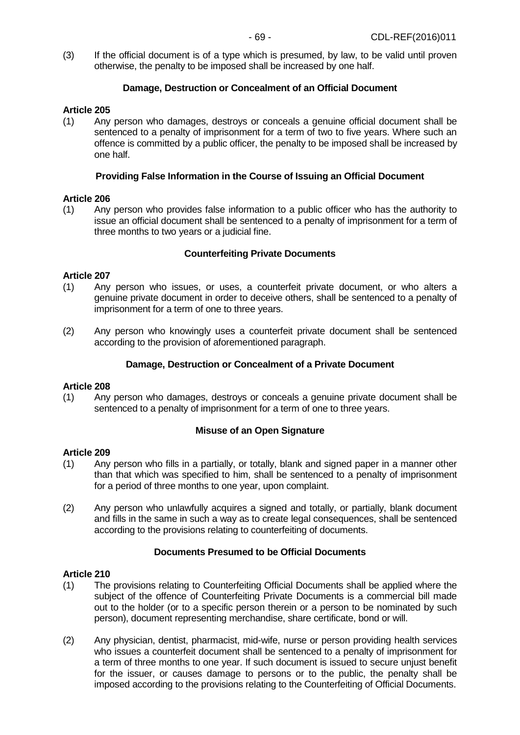(3) If the official document is of a type which is presumed, by law, to be valid until proven otherwise, the penalty to be imposed shall be increased by one half.

# **Damage, Destruction or Concealment of an Official Document**

# **Article 205**

(1) Any person who damages, destroys or conceals a genuine official document shall be sentenced to a penalty of imprisonment for a term of two to five years. Where such an offence is committed by a public officer, the penalty to be imposed shall be increased by one half.

# **Providing False Information in the Course of Issuing an Official Document**

### **Article 206**

(1) Any person who provides false information to a public officer who has the authority to issue an official document shall be sentenced to a penalty of imprisonment for a term of three months to two years or a judicial fine.

### **Counterfeiting Private Documents**

#### **Article 207**

- (1) Any person who issues, or uses, a counterfeit private document, or who alters a genuine private document in order to deceive others, shall be sentenced to a penalty of imprisonment for a term of one to three years.
- (2) Any person who knowingly uses a counterfeit private document shall be sentenced according to the provision of aforementioned paragraph.

#### **Damage, Destruction or Concealment of a Private Document**

#### **Article 208**

(1) Any person who damages, destroys or conceals a genuine private document shall be sentenced to a penalty of imprisonment for a term of one to three years.

#### **Misuse of an Open Signature**

#### **Article 209**

- (1) Any person who fills in a partially, or totally, blank and signed paper in a manner other than that which was specified to him, shall be sentenced to a penalty of imprisonment for a period of three months to one year, upon complaint.
- (2) Any person who unlawfully acquires a signed and totally, or partially, blank document and fills in the same in such a way as to create legal consequences, shall be sentenced according to the provisions relating to counterfeiting of documents.

#### **Documents Presumed to be Official Documents**

- (1) The provisions relating to Counterfeiting Official Documents shall be applied where the subject of the offence of Counterfeiting Private Documents is a commercial bill made out to the holder (or to a specific person therein or a person to be nominated by such person), document representing merchandise, share certificate, bond or will.
- (2) Any physician, dentist, pharmacist, mid-wife, nurse or person providing health services who issues a counterfeit document shall be sentenced to a penalty of imprisonment for a term of three months to one year. If such document is issued to secure unjust benefit for the issuer, or causes damage to persons or to the public, the penalty shall be imposed according to the provisions relating to the Counterfeiting of Official Documents.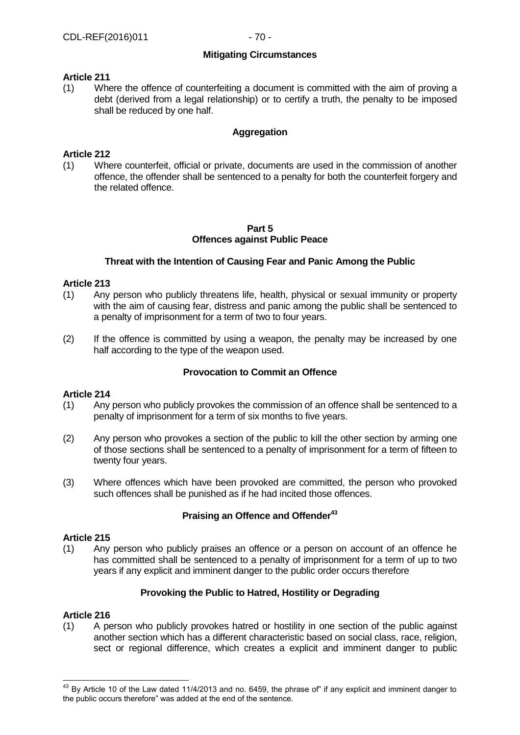# **Mitigating Circumstances**

# **Article 211**

(1) Where the offence of counterfeiting a document is committed with the aim of proving a debt (derived from a legal relationship) or to certify a truth, the penalty to be imposed shall be reduced by one half.

# **Aggregation**

# **Article 212**

(1) Where counterfeit, official or private, documents are used in the commission of another offence, the offender shall be sentenced to a penalty for both the counterfeit forgery and the related offence.

#### **Part 5 Offences against Public Peace**

### **Threat with the Intention of Causing Fear and Panic Among the Public**

### **Article 213**

- (1) Any person who publicly threatens life, health, physical or sexual immunity or property with the aim of causing fear, distress and panic among the public shall be sentenced to a penalty of imprisonment for a term of two to four years.
- (2) If the offence is committed by using a weapon, the penalty may be increased by one half according to the type of the weapon used.

# **Provocation to Commit an Offence**

#### **Article 214**

- (1) Any person who publicly provokes the commission of an offence shall be sentenced to a penalty of imprisonment for a term of six months to five years.
- (2) Any person who provokes a section of the public to kill the other section by arming one of those sections shall be sentenced to a penalty of imprisonment for a term of fifteen to twenty four years.
- (3) Where offences which have been provoked are committed, the person who provoked such offences shall be punished as if he had incited those offences.

# **Praising an Offence and Offender<sup>43</sup>**

#### **Article 215**

(1) Any person who publicly praises an offence or a person on account of an offence he has committed shall be sentenced to a penalty of imprisonment for a term of up to two years if any explicit and imminent danger to the public order occurs therefore

# **Provoking the Public to Hatred, Hostility or Degrading**

#### **Article 216**

-

(1) A person who publicly provokes hatred or hostility in one section of the public against another section which has a different characteristic based on social class, race, religion, sect or regional difference, which creates a explicit and imminent danger to public

 $43$  By Article 10 of the Law dated 11/4/2013 and no. 6459, the phrase of" if any explicit and imminent danger to the public occurs therefore" was added at the end of the sentence.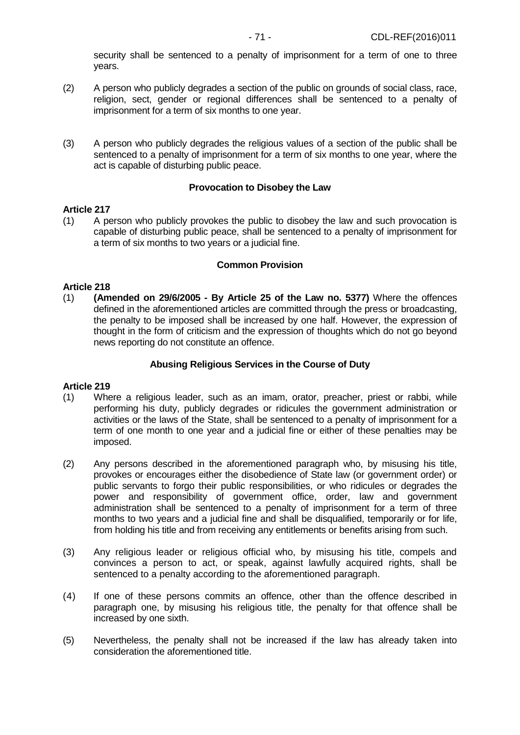security shall be sentenced to a penalty of imprisonment for a term of one to three years.

- (2) A person who publicly degrades a section of the public on grounds of social class, race, religion, sect, gender or regional differences shall be sentenced to a penalty of imprisonment for a term of six months to one year.
- (3) A person who publicly degrades the religious values of a section of the public shall be sentenced to a penalty of imprisonment for a term of six months to one year, where the act is capable of disturbing public peace.

#### **Provocation to Disobey the Law**

### **Article 217**

(1) A person who publicly provokes the public to disobey the law and such provocation is capable of disturbing public peace, shall be sentenced to a penalty of imprisonment for a term of six months to two years or a judicial fine.

#### **Common Provision**

### **Article 218**

(1) **(Amended on 29/6/2005 - By Article 25 of the Law no. 5377)** Where the offences defined in the aforementioned articles are committed through the press or broadcasting, the penalty to be imposed shall be increased by one half. However, the expression of thought in the form of criticism and the expression of thoughts which do not go beyond news reporting do not constitute an offence.

### **Abusing Religious Services in the Course of Duty**

- (1) Where a religious leader, such as an imam, orator, preacher, priest or rabbi, while performing his duty, publicly degrades or ridicules the government administration or activities or the laws of the State, shall be sentenced to a penalty of imprisonment for a term of one month to one year and a judicial fine or either of these penalties may be imposed.
- (2) Any persons described in the aforementioned paragraph who, by misusing his title, provokes or encourages either the disobedience of State law (or government order) or public servants to forgo their public responsibilities, or who ridicules or degrades the power and responsibility of government office, order, law and government administration shall be sentenced to a penalty of imprisonment for a term of three months to two years and a judicial fine and shall be disqualified, temporarily or for life, from holding his title and from receiving any entitlements or benefits arising from such.
- (3) Any religious leader or religious official who, by misusing his title, compels and convinces a person to act, or speak, against lawfully acquired rights, shall be sentenced to a penalty according to the aforementioned paragraph.
- (4) If one of these persons commits an offence, other than the offence described in paragraph one, by misusing his religious title, the penalty for that offence shall be increased by one sixth.
- (5) Nevertheless, the penalty shall not be increased if the law has already taken into consideration the aforementioned title.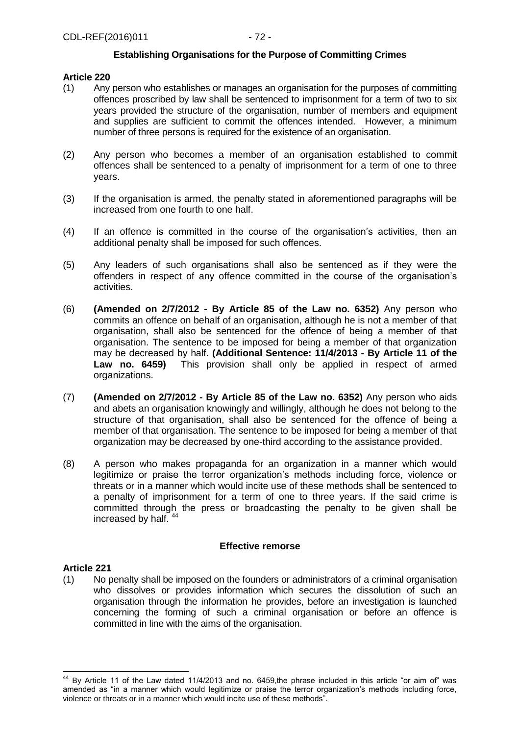# **Establishing Organisations for the Purpose of Committing Crimes**

#### **Article 220**

- (1) Any person who establishes or manages an organisation for the purposes of committing offences proscribed by law shall be sentenced to imprisonment for a term of two to six years provided the structure of the organisation, number of members and equipment and supplies are sufficient to commit the offences intended. However, a minimum number of three persons is required for the existence of an organisation.
- (2) Any person who becomes a member of an organisation established to commit offences shall be sentenced to a penalty of imprisonment for a term of one to three years.
- (3) If the organisation is armed, the penalty stated in aforementioned paragraphs will be increased from one fourth to one half.
- (4) If an offence is committed in the course of the organisation's activities, then an additional penalty shall be imposed for such offences.
- (5) Any leaders of such organisations shall also be sentenced as if they were the offenders in respect of any offence committed in the course of the organisation's activities.
- (6) **(Amended on 2/7/2012 - By Article 85 of the Law no. 6352)** Any person who commits an offence on behalf of an organisation, although he is not a member of that organisation, shall also be sentenced for the offence of being a member of that organisation. The sentence to be imposed for being a member of that organization may be decreased by half. **(Additional Sentence: 11/4/2013 - By Article 11 of the Law no. 6459)** This provision shall only be applied in respect of armed organizations.
- (7) **(Amended on 2/7/2012 - By Article 85 of the Law no. 6352)** Any person who aids and abets an organisation knowingly and willingly, although he does not belong to the structure of that organisation, shall also be sentenced for the offence of being a member of that organisation. The sentence to be imposed for being a member of that organization may be decreased by one-third according to the assistance provided.
- (8) A person who makes propaganda for an organization in a manner which would legitimize or praise the terror organization's methods including force, violence or threats or in a manner which would incite use of these methods shall be sentenced to a penalty of imprisonment for a term of one to three years. If the said crime is committed through the press or broadcasting the penalty to be given shall be increased by half. <sup>44</sup>

#### **Effective remorse**

#### **Article 221**

 $\overline{a}$ 

(1) No penalty shall be imposed on the founders or administrators of a criminal organisation who dissolves or provides information which secures the dissolution of such an organisation through the information he provides, before an investigation is launched concerning the forming of such a criminal organisation or before an offence is committed in line with the aims of the organisation.

 $44$  By Article 11 of the Law dated 11/4/2013 and no. 6459,the phrase included in this article "or aim of" was amended as "in a manner which would legitimize or praise the terror organization's methods including force, violence or threats or in a manner which would incite use of these methods".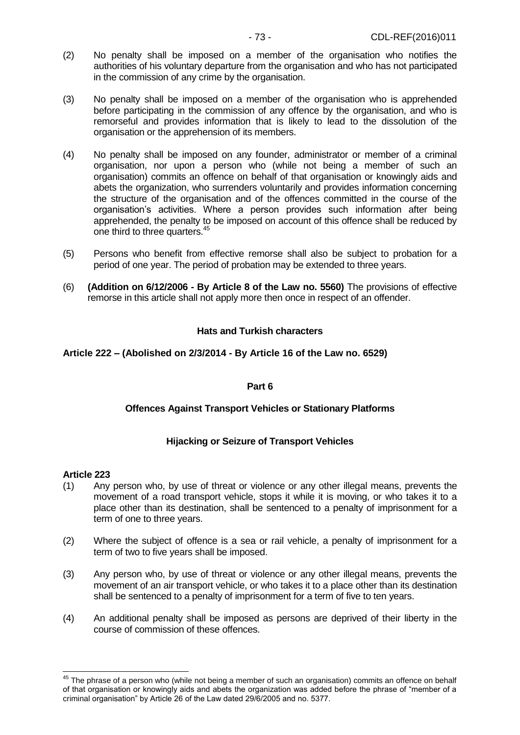- (2) No penalty shall be imposed on a member of the organisation who notifies the authorities of his voluntary departure from the organisation and who has not participated in the commission of any crime by the organisation.
- (3) No penalty shall be imposed on a member of the organisation who is apprehended before participating in the commission of any offence by the organisation, and who is remorseful and provides information that is likely to lead to the dissolution of the organisation or the apprehension of its members.
- (4) No penalty shall be imposed on any founder, administrator or member of a criminal organisation, nor upon a person who (while not being a member of such an organisation) commits an offence on behalf of that organisation or knowingly aids and abets the organization, who surrenders voluntarily and provides information concerning the structure of the organisation and of the offences committed in the course of the organisation's activities. Where a person provides such information after being apprehended, the penalty to be imposed on account of this offence shall be reduced by one third to three quarters.<sup>45</sup>
- (5) Persons who benefit from effective remorse shall also be subject to probation for a period of one year. The period of probation may be extended to three years.
- (6) **(Addition on 6/12/2006 - By Article 8 of the Law no. 5560)** The provisions of effective remorse in this article shall not apply more then once in respect of an offender.

## **Hats and Turkish characters**

### **Article 222 – (Abolished on 2/3/2014 - By Article 16 of the Law no. 6529)**

### **Part 6**

## **Offences Against Transport Vehicles or Stationary Platforms**

## **Hijacking or Seizure of Transport Vehicles**

### **Article 223**

 $\overline{a}$ 

- (1) Any person who, by use of threat or violence or any other illegal means, prevents the movement of a road transport vehicle, stops it while it is moving, or who takes it to a place other than its destination, shall be sentenced to a penalty of imprisonment for a term of one to three years.
- (2) Where the subject of offence is a sea or rail vehicle, a penalty of imprisonment for a term of two to five years shall be imposed.
- (3) Any person who, by use of threat or violence or any other illegal means, prevents the movement of an air transport vehicle, or who takes it to a place other than its destination shall be sentenced to a penalty of imprisonment for a term of five to ten years.
- (4) An additional penalty shall be imposed as persons are deprived of their liberty in the course of commission of these offences.

 $45$  The phrase of a person who (while not being a member of such an organisation) commits an offence on behalf of that organisation or knowingly aids and abets the organization was added before the phrase of "member of a criminal organisation" by Article 26 of the Law dated 29/6/2005 and no. 5377.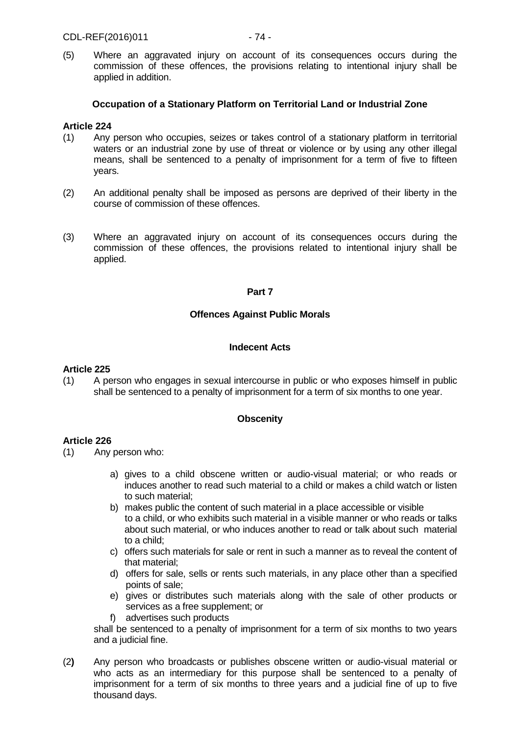(5) Where an aggravated injury on account of its consequences occurs during the commission of these offences, the provisions relating to intentional injury shall be applied in addition.

## **Occupation of a Stationary Platform on Territorial Land or Industrial Zone**

#### **Article 224**

- (1) Any person who occupies, seizes or takes control of a stationary platform in territorial waters or an industrial zone by use of threat or violence or by using any other illegal means, shall be sentenced to a penalty of imprisonment for a term of five to fifteen years.
- (2) An additional penalty shall be imposed as persons are deprived of their liberty in the course of commission of these offences.
- (3) Where an aggravated injury on account of its consequences occurs during the commission of these offences, the provisions related to intentional injury shall be applied.

### **Part 7**

### **Offences Against Public Morals**

### **Indecent Acts**

### **Article 225**

(1) A person who engages in sexual intercourse in public or who exposes himself in public shall be sentenced to a penalty of imprisonment for a term of six months to one year.

### **Obscenity**

### **Article 226**

- a) gives to a child obscene written or audio-visual material; or who reads or induces another to read such material to a child or makes a child watch or listen to such material;
- b) makes public the content of such material in a place accessible or visible to a child, or who exhibits such material in a visible manner or who reads or talks about such material, or who induces another to read or talk about such material to a child;
- c) offers such materials for sale or rent in such a manner as to reveal the content of that material;
- d) offers for sale, sells or rents such materials, in any place other than a specified points of sale;
- e) gives or distributes such materials along with the sale of other products or services as a free supplement; or
- f) advertises such products

shall be sentenced to a penalty of imprisonment for a term of six months to two years and a judicial fine.

(2**)** Any person who broadcasts or publishes obscene written or audio-visual material or who acts as an intermediary for this purpose shall be sentenced to a penalty of imprisonment for a term of six months to three years and a judicial fine of up to five thousand days.

<sup>(1)</sup> Any person who: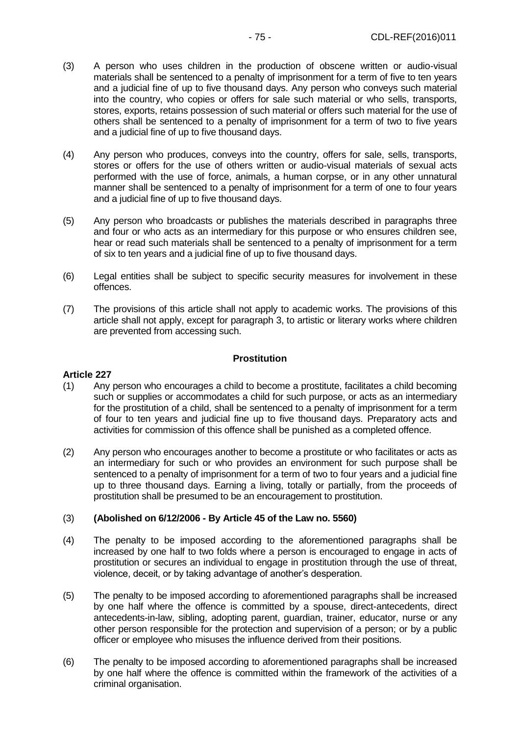- (3) A person who uses children in the production of obscene written or audio-visual materials shall be sentenced to a penalty of imprisonment for a term of five to ten years and a judicial fine of up to five thousand days. Any person who conveys such material into the country, who copies or offers for sale such material or who sells, transports, stores, exports, retains possession of such material or offers such material for the use of others shall be sentenced to a penalty of imprisonment for a term of two to five years and a judicial fine of up to five thousand days.
- (4) Any person who produces, conveys into the country, offers for sale, sells, transports, stores or offers for the use of others written or audio-visual materials of sexual acts performed with the use of force, animals, a human corpse, or in any other unnatural manner shall be sentenced to a penalty of imprisonment for a term of one to four years and a judicial fine of up to five thousand days.
- (5) Any person who broadcasts or publishes the materials described in paragraphs three and four or who acts as an intermediary for this purpose or who ensures children see, hear or read such materials shall be sentenced to a penalty of imprisonment for a term of six to ten years and a judicial fine of up to five thousand days.
- (6) Legal entities shall be subject to specific security measures for involvement in these offences.
- (7) The provisions of this article shall not apply to academic works. The provisions of this article shall not apply, except for paragraph 3, to artistic or literary works where children are prevented from accessing such.

### **Prostitution**

### **Article 227**

- (1) Any person who encourages a child to become a prostitute, facilitates a child becoming such or supplies or accommodates a child for such purpose, or acts as an intermediary for the prostitution of a child, shall be sentenced to a penalty of imprisonment for a term of four to ten years and judicial fine up to five thousand days. Preparatory acts and activities for commission of this offence shall be punished as a completed offence.
- (2) Any person who encourages another to become a prostitute or who facilitates or acts as an intermediary for such or who provides an environment for such purpose shall be sentenced to a penalty of imprisonment for a term of two to four years and a judicial fine up to three thousand days. Earning a living, totally or partially, from the proceeds of prostitution shall be presumed to be an encouragement to prostitution.

## (3) **(Abolished on 6/12/2006 - By Article 45 of the Law no. 5560)**

- (4) The penalty to be imposed according to the aforementioned paragraphs shall be increased by one half to two folds where a person is encouraged to engage in acts of prostitution or secures an individual to engage in prostitution through the use of threat, violence, deceit, or by taking advantage of another's desperation.
- (5) The penalty to be imposed according to aforementioned paragraphs shall be increased by one half where the offence is committed by a spouse, direct-antecedents, direct antecedents-in-law, sibling, adopting parent, guardian, trainer, educator, nurse or any other person responsible for the protection and supervision of a person; or by a public officer or employee who misuses the influence derived from their positions.
- (6) The penalty to be imposed according to aforementioned paragraphs shall be increased by one half where the offence is committed within the framework of the activities of a criminal organisation.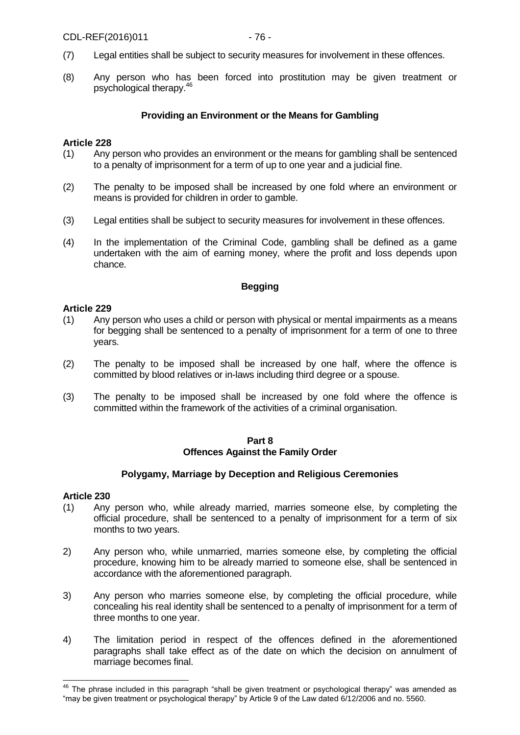- (7) Legal entities shall be subject to security measures for involvement in these offences.
- (8) Any person who has been forced into prostitution may be given treatment or psychological therapy.<sup>46</sup>

## **Providing an Environment or the Means for Gambling**

### **Article 228**

- (1) Any person who provides an environment or the means for gambling shall be sentenced to a penalty of imprisonment for a term of up to one year and a judicial fine.
- (2) The penalty to be imposed shall be increased by one fold where an environment or means is provided for children in order to gamble.
- (3) Legal entities shall be subject to security measures for involvement in these offences.
- (4) In the implementation of the Criminal Code, gambling shall be defined as a game undertaken with the aim of earning money, where the profit and loss depends upon chance.

## **Begging**

### **Article 229**

- (1) Any person who uses a child or person with physical or mental impairments as a means for begging shall be sentenced to a penalty of imprisonment for a term of one to three years.
- (2) The penalty to be imposed shall be increased by one half, where the offence is committed by blood relatives or in-laws including third degree or a spouse.
- (3) The penalty to be imposed shall be increased by one fold where the offence is committed within the framework of the activities of a criminal organisation.

### **Part 8 Offences Against the Family Order**

## **Polygamy, Marriage by Deception and Religious Ceremonies**

### **Article 230**

-

- (1) Any person who, while already married, marries someone else, by completing the official procedure, shall be sentenced to a penalty of imprisonment for a term of six months to two years.
- 2) Any person who, while unmarried, marries someone else, by completing the official procedure, knowing him to be already married to someone else, shall be sentenced in accordance with the aforementioned paragraph.
- 3) Any person who marries someone else, by completing the official procedure, while concealing his real identity shall be sentenced to a penalty of imprisonment for a term of three months to one year.
- 4) The limitation period in respect of the offences defined in the aforementioned paragraphs shall take effect as of the date on which the decision on annulment of marriage becomes final.

 $46$  The phrase included in this paragraph "shall be given treatment or psychological therapy" was amended as "may be given treatment or psychological therapy" by Article 9 of the Law dated 6/12/2006 and no. 5560.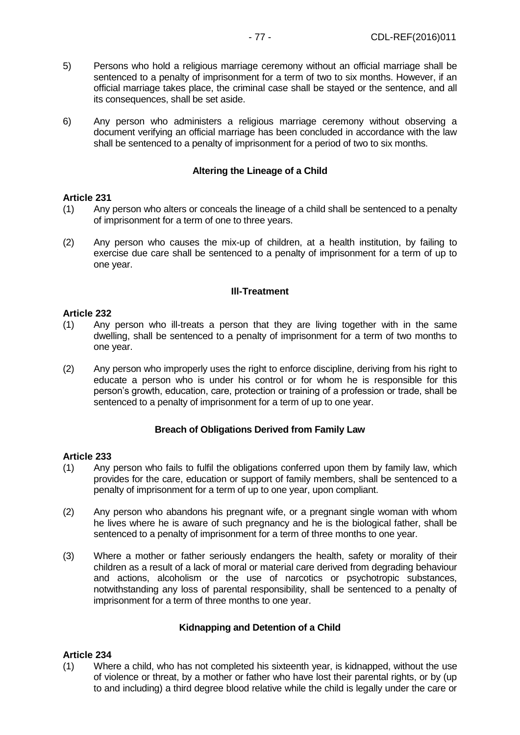- 5) Persons who hold a religious marriage ceremony without an official marriage shall be sentenced to a penalty of imprisonment for a term of two to six months. However, if an official marriage takes place, the criminal case shall be stayed or the sentence, and all its consequences, shall be set aside.
- 6) Any person who administers a religious marriage ceremony without observing a document verifying an official marriage has been concluded in accordance with the law shall be sentenced to a penalty of imprisonment for a period of two to six months.

### **Altering the Lineage of a Child**

### **Article 231**

- (1) Any person who alters or conceals the lineage of a child shall be sentenced to a penalty of imprisonment for a term of one to three years.
- (2) Any person who causes the mix-up of children, at a health institution, by failing to exercise due care shall be sentenced to a penalty of imprisonment for a term of up to one year.

### **Ill-Treatment**

### **Article 232**

- (1) Any person who ill-treats a person that they are living together with in the same dwelling, shall be sentenced to a penalty of imprisonment for a term of two months to one year.
- (2) Any person who improperly uses the right to enforce discipline, deriving from his right to educate a person who is under his control or for whom he is responsible for this person's growth, education, care, protection or training of a profession or trade, shall be sentenced to a penalty of imprisonment for a term of up to one year.

## **Breach of Obligations Derived from Family Law**

### **Article 233**

- (1) Any person who fails to fulfil the obligations conferred upon them by family law, which provides for the care, education or support of family members, shall be sentenced to a penalty of imprisonment for a term of up to one year, upon compliant.
- (2) Any person who abandons his pregnant wife, or a pregnant single woman with whom he lives where he is aware of such pregnancy and he is the biological father, shall be sentenced to a penalty of imprisonment for a term of three months to one year.
- (3) Where a mother or father seriously endangers the health, safety or morality of their children as a result of a lack of moral or material care derived from degrading behaviour and actions, alcoholism or the use of narcotics or psychotropic substances, notwithstanding any loss of parental responsibility, shall be sentenced to a penalty of imprisonment for a term of three months to one year.

### **Kidnapping and Detention of a Child**

## **Article 234**

(1) Where a child, who has not completed his sixteenth year, is kidnapped, without the use of violence or threat, by a mother or father who have lost their parental rights, or by (up to and including) a third degree blood relative while the child is legally under the care or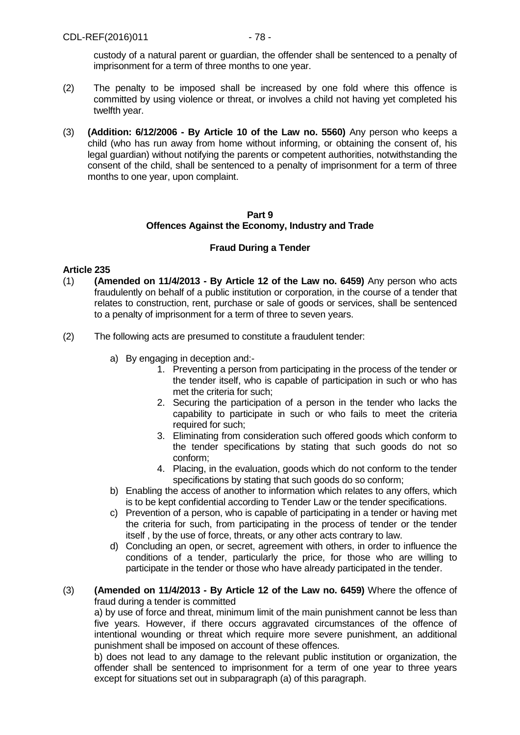custody of a natural parent or guardian, the offender shall be sentenced to a penalty of imprisonment for a term of three months to one year.

- (2) The penalty to be imposed shall be increased by one fold where this offence is committed by using violence or threat, or involves a child not having yet completed his twelfth year.
- (3) **(Addition: 6/12/2006 - By Article 10 of the Law no. 5560)** Any person who keeps a child (who has run away from home without informing, or obtaining the consent of, his legal guardian) without notifying the parents or competent authorities, notwithstanding the consent of the child, shall be sentenced to a penalty of imprisonment for a term of three months to one year, upon complaint.

## **Part 9 Offences Against the Economy, Industry and Trade**

# **Fraud During a Tender**

# **Article 235**

- (1) **(Amended on 11/4/2013 - By Article 12 of the Law no. 6459)** Any person who acts fraudulently on behalf of a public institution or corporation, in the course of a tender that relates to construction, rent, purchase or sale of goods or services, shall be sentenced to a penalty of imprisonment for a term of three to seven years.
- (2) The following acts are presumed to constitute a fraudulent tender:
	- a) By engaging in deception and:-
		- 1. Preventing a person from participating in the process of the tender or the tender itself, who is capable of participation in such or who has met the criteria for such;
		- 2. Securing the participation of a person in the tender who lacks the capability to participate in such or who fails to meet the criteria required for such;
		- 3. Eliminating from consideration such offered goods which conform to the tender specifications by stating that such goods do not so conform;
		- 4. Placing, in the evaluation, goods which do not conform to the tender specifications by stating that such goods do so conform;
	- b) Enabling the access of another to information which relates to any offers, which is to be kept confidential according to Tender Law or the tender specifications.
	- c) Prevention of a person, who is capable of participating in a tender or having met the criteria for such, from participating in the process of tender or the tender itself , by the use of force, threats, or any other acts contrary to law.
	- d) Concluding an open, or secret, agreement with others, in order to influence the conditions of a tender, particularly the price, for those who are willing to participate in the tender or those who have already participated in the tender.
- (3) **(Amended on 11/4/2013 - By Article 12 of the Law no. 6459)** Where the offence of fraud during a tender is committed

a) by use of force and threat, minimum limit of the main punishment cannot be less than five years. However, if there occurs aggravated circumstances of the offence of intentional wounding or threat which require more severe punishment, an additional punishment shall be imposed on account of these offences.

b) does not lead to any damage to the relevant public institution or organization, the offender shall be sentenced to imprisonment for a term of one year to three years except for situations set out in subparagraph (a) of this paragraph.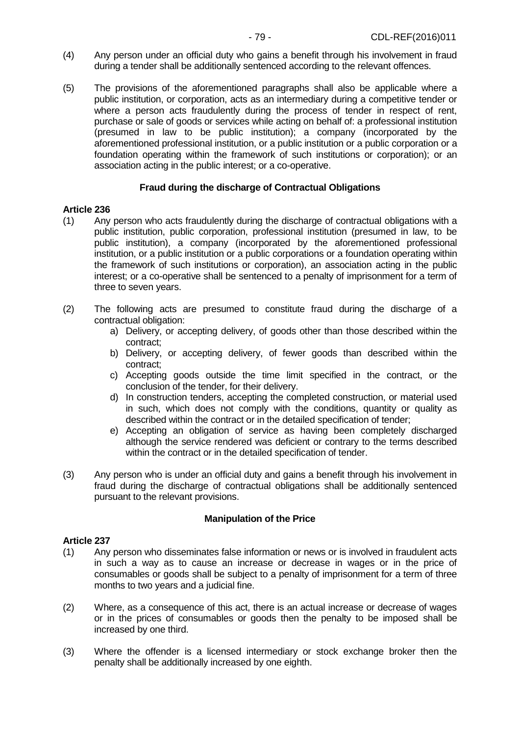- (4) Any person under an official duty who gains a benefit through his involvement in fraud during a tender shall be additionally sentenced according to the relevant offences.
- (5) The provisions of the aforementioned paragraphs shall also be applicable where a public institution, or corporation, acts as an intermediary during a competitive tender or where a person acts fraudulently during the process of tender in respect of rent, purchase or sale of goods or services while acting on behalf of: a professional institution (presumed in law to be public institution); a company (incorporated by the aforementioned professional institution, or a public institution or a public corporation or a foundation operating within the framework of such institutions or corporation); or an association acting in the public interest; or a co-operative.

### **Fraud during the discharge of Contractual Obligations**

### **Article 236**

- (1) Any person who acts fraudulently during the discharge of contractual obligations with a public institution, public corporation, professional institution (presumed in law, to be public institution), a company (incorporated by the aforementioned professional institution, or a public institution or a public corporations or a foundation operating within the framework of such institutions or corporation), an association acting in the public interest; or a co-operative shall be sentenced to a penalty of imprisonment for a term of three to seven years.
- (2) The following acts are presumed to constitute fraud during the discharge of a contractual obligation:
	- a) Delivery, or accepting delivery, of goods other than those described within the contract;
	- b) Delivery, or accepting delivery, of fewer goods than described within the contract;
	- c) Accepting goods outside the time limit specified in the contract, or the conclusion of the tender, for their delivery.
	- d) In construction tenders, accepting the completed construction, or material used in such, which does not comply with the conditions, quantity or quality as described within the contract or in the detailed specification of tender;
	- e) Accepting an obligation of service as having been completely discharged although the service rendered was deficient or contrary to the terms described within the contract or in the detailed specification of tender.
- (3) Any person who is under an official duty and gains a benefit through his involvement in fraud during the discharge of contractual obligations shall be additionally sentenced pursuant to the relevant provisions.

## **Manipulation of the Price**

- (1) Any person who disseminates false information or news or is involved in fraudulent acts in such a way as to cause an increase or decrease in wages or in the price of consumables or goods shall be subject to a penalty of imprisonment for a term of three months to two years and a judicial fine.
- (2) Where, as a consequence of this act, there is an actual increase or decrease of wages or in the prices of consumables or goods then the penalty to be imposed shall be increased by one third.
- (3) Where the offender is a licensed intermediary or stock exchange broker then the penalty shall be additionally increased by one eighth.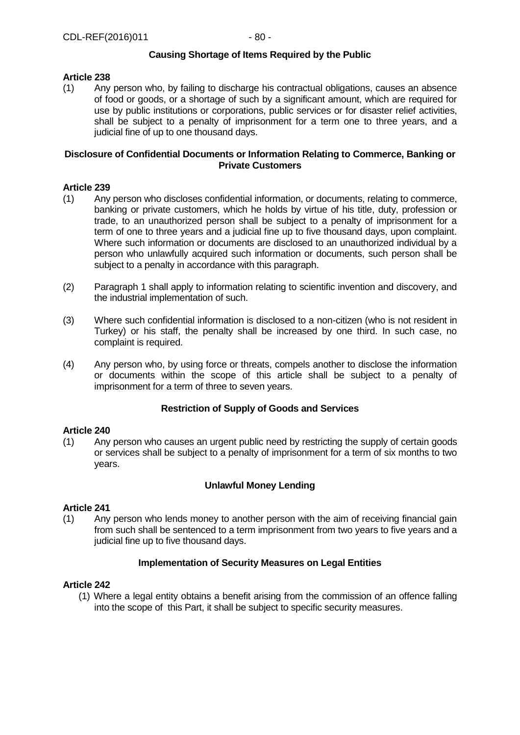### **Causing Shortage of Items Required by the Public**

### **Article 238**

(1) Any person who, by failing to discharge his contractual obligations, causes an absence of food or goods, or a shortage of such by a significant amount, which are required for use by public institutions or corporations, public services or for disaster relief activities, shall be subject to a penalty of imprisonment for a term one to three years, and a judicial fine of up to one thousand days.

### **Disclosure of Confidential Documents or Information Relating to Commerce, Banking or Private Customers**

## **Article 239**

- (1) Any person who discloses confidential information, or documents, relating to commerce, banking or private customers, which he holds by virtue of his title, duty, profession or trade, to an unauthorized person shall be subject to a penalty of imprisonment for a term of one to three years and a judicial fine up to five thousand days, upon complaint. Where such information or documents are disclosed to an unauthorized individual by a person who unlawfully acquired such information or documents, such person shall be subject to a penalty in accordance with this paragraph.
- (2) Paragraph 1 shall apply to information relating to scientific invention and discovery, and the industrial implementation of such.
- (3) Where such confidential information is disclosed to a non-citizen (who is not resident in Turkey) or his staff, the penalty shall be increased by one third. In such case, no complaint is required.
- (4) Any person who, by using force or threats, compels another to disclose the information or documents within the scope of this article shall be subject to a penalty of imprisonment for a term of three to seven years.

## **Restriction of Supply of Goods and Services**

### **Article 240**

(1) Any person who causes an urgent public need by restricting the supply of certain goods or services shall be subject to a penalty of imprisonment for a term of six months to two years.

## **Unlawful Money Lending**

### **Article 241**

(1) Any person who lends money to another person with the aim of receiving financial gain from such shall be sentenced to a term imprisonment from two years to five years and a judicial fine up to five thousand days.

### **Implementation of Security Measures on Legal Entities**

### **Article 242**

(1) Where a legal entity obtains a benefit arising from the commission of an offence falling into the scope of this Part, it shall be subject to specific security measures.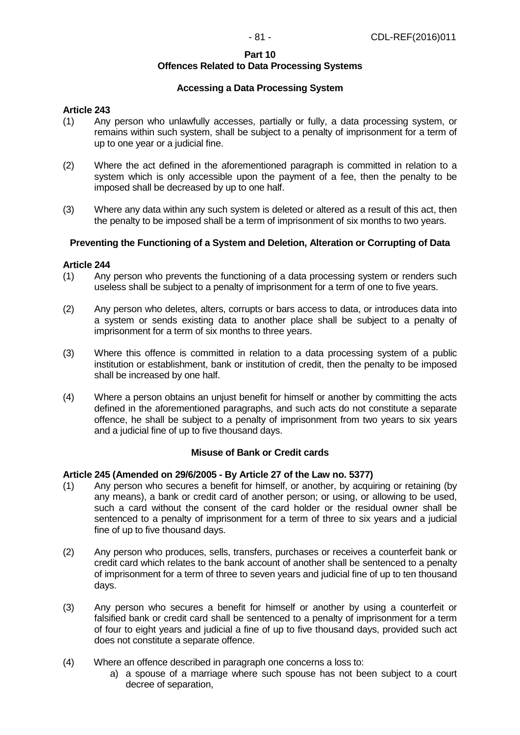## **Part 10 Offences Related to Data Processing Systems**

## **Accessing a Data Processing System**

## **Article 243**

- (1) Any person who unlawfully accesses, partially or fully, a data processing system, or remains within such system, shall be subject to a penalty of imprisonment for a term of up to one year or a judicial fine.
- (2) Where the act defined in the aforementioned paragraph is committed in relation to a system which is only accessible upon the payment of a fee, then the penalty to be imposed shall be decreased by up to one half.
- (3) Where any data within any such system is deleted or altered as a result of this act, then the penalty to be imposed shall be a term of imprisonment of six months to two years.

## **Preventing the Functioning of a System and Deletion, Alteration or Corrupting of Data**

### **Article 244**

- (1) Any person who prevents the functioning of a data processing system or renders such useless shall be subject to a penalty of imprisonment for a term of one to five years.
- (2) Any person who deletes, alters, corrupts or bars access to data, or introduces data into a system or sends existing data to another place shall be subject to a penalty of imprisonment for a term of six months to three years.
- (3) Where this offence is committed in relation to a data processing system of a public institution or establishment, bank or institution of credit, then the penalty to be imposed shall be increased by one half.
- (4) Where a person obtains an unjust benefit for himself or another by committing the acts defined in the aforementioned paragraphs, and such acts do not constitute a separate offence, he shall be subject to a penalty of imprisonment from two years to six years and a judicial fine of up to five thousand days.

## **Misuse of Bank or Credit cards**

## **Article 245 (Amended on 29/6/2005 - By Article 27 of the Law no. 5377)**

- (1) Any person who secures a benefit for himself, or another, by acquiring or retaining (by any means), a bank or credit card of another person; or using, or allowing to be used, such a card without the consent of the card holder or the residual owner shall be sentenced to a penalty of imprisonment for a term of three to six years and a judicial fine of up to five thousand days.
- (2) Any person who produces, sells, transfers, purchases or receives a counterfeit bank or credit card which relates to the bank account of another shall be sentenced to a penalty of imprisonment for a term of three to seven years and judicial fine of up to ten thousand days.
- (3) Any person who secures a benefit for himself or another by using a counterfeit or falsified bank or credit card shall be sentenced to a penalty of imprisonment for a term of four to eight years and judicial a fine of up to five thousand days, provided such act does not constitute a separate offence.
- (4) Where an offence described in paragraph one concerns a loss to:
	- a) a spouse of a marriage where such spouse has not been subject to a court decree of separation,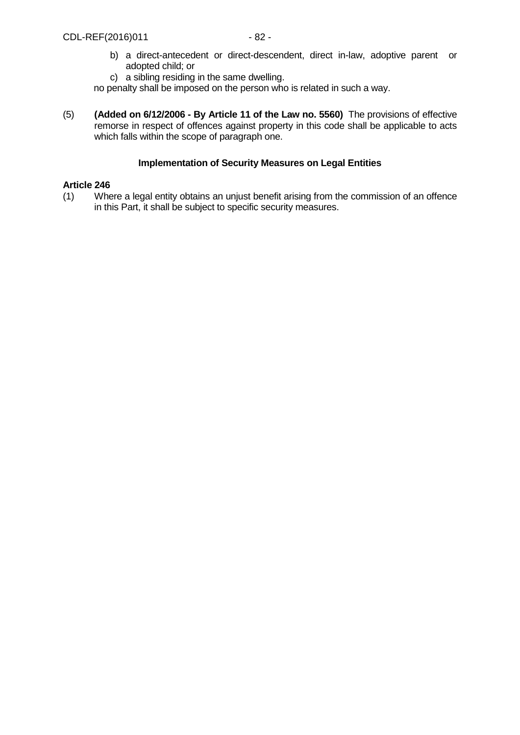- b) a direct-antecedent or direct-descendent, direct in-law, adoptive parent or adopted child; or
- c) a sibling residing in the same dwelling.

no penalty shall be imposed on the person who is related in such a way.

(5) **(Added on 6/12/2006 - By Article 11 of the Law no. 5560)** The provisions of effective remorse in respect of offences against property in this code shall be applicable to acts which falls within the scope of paragraph one.

## **Implementation of Security Measures on Legal Entities**

## **Article 246**

(1) Where a legal entity obtains an unjust benefit arising from the commission of an offence in this Part, it shall be subject to specific security measures.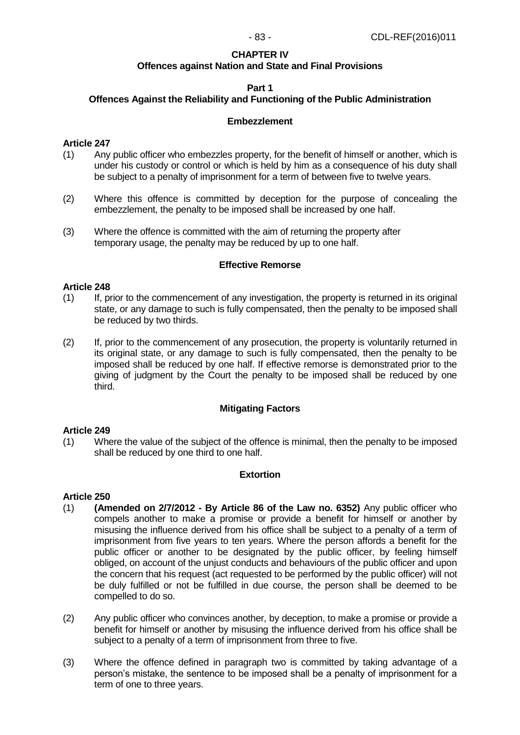### **CHAPTER IV**

## **Offences against Nation and State and Final Provisions**

### **Part 1**

## **Offences Against the Reliability and Functioning of the Public Administration**

### **Embezzlement**

### **Article 247**

- (1) Any public officer who embezzles property, for the benefit of himself or another, which is under his custody or control or which is held by him as a consequence of his duty shall be subject to a penalty of imprisonment for a term of between five to twelve years.
- (2) Where this offence is committed by deception for the purpose of concealing the embezzlement, the penalty to be imposed shall be increased by one half.
- (3) Where the offence is committed with the aim of returning the property after temporary usage, the penalty may be reduced by up to one half.

### **Effective Remorse**

### **Article 248**

- (1) If, prior to the commencement of any investigation, the property is returned in its original state, or any damage to such is fully compensated, then the penalty to be imposed shall be reduced by two thirds.
- (2) If, prior to the commencement of any prosecution, the property is voluntarily returned in its original state, or any damage to such is fully compensated, then the penalty to be imposed shall be reduced by one half. If effective remorse is demonstrated prior to the giving of judgment by the Court the penalty to be imposed shall be reduced by one third.

## **Mitigating Factors**

### **Article 249**

(1) Where the value of the subject of the offence is minimal, then the penalty to be imposed shall be reduced by one third to one half.

## **Extortion**

- (1) **(Amended on 2/7/2012 - By Article 86 of the Law no. 6352)** Any public officer who compels another to make a promise or provide a benefit for himself or another by misusing the influence derived from his office shall be subject to a penalty of a term of imprisonment from five years to ten years. Where the person affords a benefit for the public officer or another to be designated by the public officer, by feeling himself obliged, on account of the unjust conducts and behaviours of the public officer and upon the concern that his request (act requested to be performed by the public officer) will not be duly fulfilled or not be fulfilled in due course, the person shall be deemed to be compelled to do so.
- (2) Any public officer who convinces another, by deception, to make a promise or provide a benefit for himself or another by misusing the influence derived from his office shall be subject to a penalty of a term of imprisonment from three to five.
- (3) Where the offence defined in paragraph two is committed by taking advantage of a person's mistake, the sentence to be imposed shall be a penalty of imprisonment for a term of one to three years.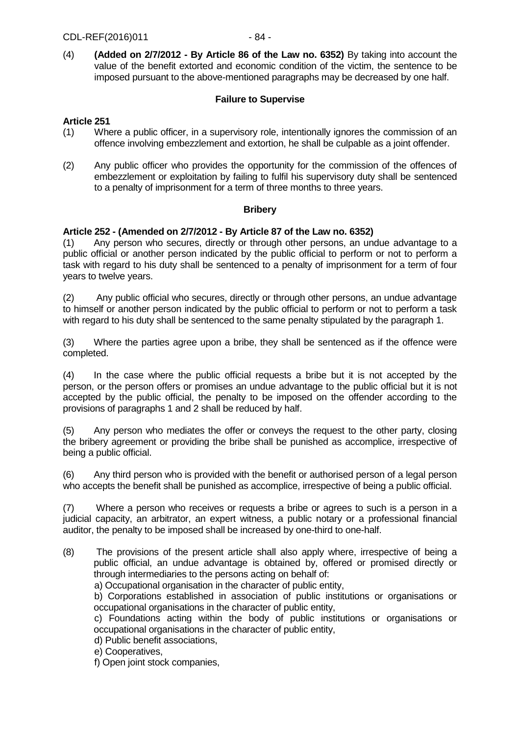(4) **(Added on 2/7/2012 - By Article 86 of the Law no. 6352)** By taking into account the value of the benefit extorted and economic condition of the victim, the sentence to be imposed pursuant to the above-mentioned paragraphs may be decreased by one half.

# **Failure to Supervise**

# **Article 251**

- (1) Where a public officer, in a supervisory role, intentionally ignores the commission of an offence involving embezzlement and extortion, he shall be culpable as a joint offender.
- (2) Any public officer who provides the opportunity for the commission of the offences of embezzlement or exploitation by failing to fulfil his supervisory duty shall be sentenced to a penalty of imprisonment for a term of three months to three years.

## **Bribery**

# **Article 252 - (Amended on 2/7/2012 - By Article 87 of the Law no. 6352)**

(1) Any person who secures, directly or through other persons, an undue advantage to a public official or another person indicated by the public official to perform or not to perform a task with regard to his duty shall be sentenced to a penalty of imprisonment for a term of four years to twelve years.

(2) Any public official who secures, directly or through other persons, an undue advantage to himself or another person indicated by the public official to perform or not to perform a task with regard to his duty shall be sentenced to the same penalty stipulated by the paragraph 1.

(3) Where the parties agree upon a bribe, they shall be sentenced as if the offence were completed.

(4) In the case where the public official requests a bribe but it is not accepted by the person, or the person offers or promises an undue advantage to the public official but it is not accepted by the public official, the penalty to be imposed on the offender according to the provisions of paragraphs 1 and 2 shall be reduced by half.

(5) Any person who mediates the offer or conveys the request to the other party, closing the bribery agreement or providing the bribe shall be punished as accomplice, irrespective of being a public official.

(6) Any third person who is provided with the benefit or authorised person of a legal person who accepts the benefit shall be punished as accomplice, irrespective of being a public official.

(7) Where a person who receives or requests a bribe or agrees to such is a person in a judicial capacity, an arbitrator, an expert witness, a public notary or a professional financial auditor, the penalty to be imposed shall be increased by one-third to one-half.

- (8) The provisions of the present article shall also apply where, irrespective of being a public official, an undue advantage is obtained by, offered or promised directly or through intermediaries to the persons acting on behalf of:
	- a) Occupational organisation in the character of public entity,

b) Corporations established in association of public institutions or organisations or occupational organisations in the character of public entity,

c) Foundations acting within the body of public institutions or organisations or occupational organisations in the character of public entity,

- d) Public benefit associations,
- e) Cooperatives,

f) Open joint stock companies,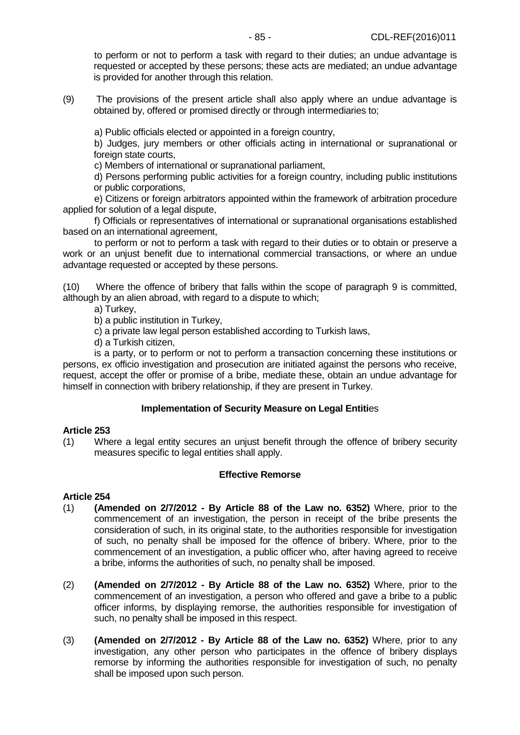to perform or not to perform a task with regard to their duties; an undue advantage is requested or accepted by these persons; these acts are mediated; an undue advantage is provided for another through this relation.

(9) The provisions of the present article shall also apply where an undue advantage is obtained by, offered or promised directly or through intermediaries to;

a) Public officials elected or appointed in a foreign country.

b) Judges, jury members or other officials acting in international or supranational or foreign state courts.

c) Members of international or supranational parliament,

d) Persons performing public activities for a foreign country, including public institutions or public corporations,

e) Citizens or foreign arbitrators appointed within the framework of arbitration procedure applied for solution of a legal dispute,

f) Officials or representatives of international or supranational organisations established based on an international agreement,

to perform or not to perform a task with regard to their duties or to obtain or preserve a work or an unjust benefit due to international commercial transactions, or where an undue advantage requested or accepted by these persons.

(10) Where the offence of bribery that falls within the scope of paragraph 9 is committed, although by an alien abroad, with regard to a dispute to which;

a) Turkey,

b) a public institution in Turkey,

c) a private law legal person established according to Turkish laws,

d) a Turkish citizen,

is a party, or to perform or not to perform a transaction concerning these institutions or persons, ex officio investigation and prosecution are initiated against the persons who receive, request, accept the offer or promise of a bribe, mediate these, obtain an undue advantage for himself in connection with bribery relationship, if they are present in Turkey.

### **Implementation of Security Measure on Legal Entiti**es

### **Article 253**

(1) Where a legal entity secures an unjust benefit through the offence of bribery security measures specific to legal entities shall apply.

### **Effective Remorse**

- (1) **(Amended on 2/7/2012 - By Article 88 of the Law no. 6352)** Where, prior to the commencement of an investigation, the person in receipt of the bribe presents the consideration of such, in its original state, to the authorities responsible for investigation of such, no penalty shall be imposed for the offence of bribery. Where, prior to the commencement of an investigation, a public officer who, after having agreed to receive a bribe, informs the authorities of such, no penalty shall be imposed.
- (2) **(Amended on 2/7/2012 - By Article 88 of the Law no. 6352)** Where, prior to the commencement of an investigation, a person who offered and gave a bribe to a public officer informs, by displaying remorse, the authorities responsible for investigation of such, no penalty shall be imposed in this respect.
- (3) **(Amended on 2/7/2012 - By Article 88 of the Law no. 6352)** Where, prior to any investigation, any other person who participates in the offence of bribery displays remorse by informing the authorities responsible for investigation of such, no penalty shall be imposed upon such person.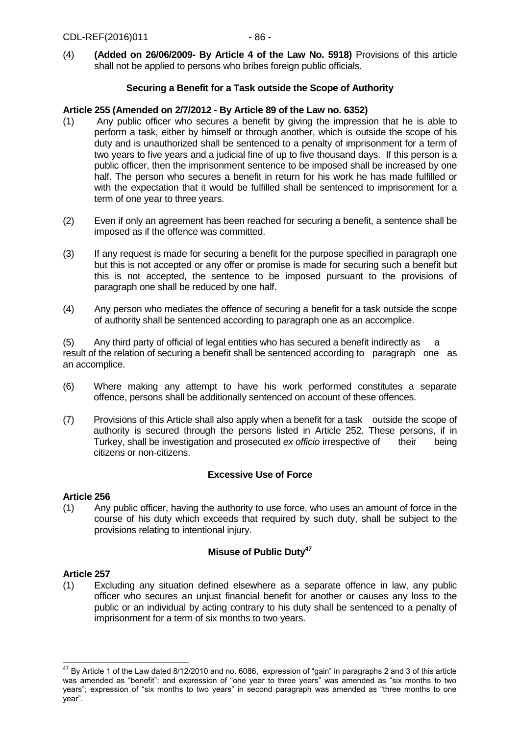(4) **(Added on 26/06/2009- By Article 4 of the Law No. 5918)** Provisions of this article shall not be applied to persons who bribes foreign public officials.

# **Securing a Benefit for a Task outside the Scope of Authority**

### **Article 255 (Amended on 2/7/2012 - By Article 89 of the Law no. 6352)**

- (1) Any public officer who secures a benefit by giving the impression that he is able to perform a task, either by himself or through another, which is outside the scope of his duty and is unauthorized shall be sentenced to a penalty of imprisonment for a term of two years to five years and a judicial fine of up to five thousand days. If this person is a public officer, then the imprisonment sentence to be imposed shall be increased by one half. The person who secures a benefit in return for his work he has made fulfilled or with the expectation that it would be fulfilled shall be sentenced to imprisonment for a term of one year to three years.
- (2) Even if only an agreement has been reached for securing a benefit, a sentence shall be imposed as if the offence was committed.
- (3) If any request is made for securing a benefit for the purpose specified in paragraph one but this is not accepted or any offer or promise is made for securing such a benefit but this is not accepted, the sentence to be imposed pursuant to the provisions of paragraph one shall be reduced by one half.
- (4) Any person who mediates the offence of securing a benefit for a task outside the scope of authority shall be sentenced according to paragraph one as an accomplice.

(5) Any third party of official of legal entities who has secured a benefit indirectly as a result of the relation of securing a benefit shall be sentenced according to paragraph one as an accomplice.

- (6) Where making any attempt to have his work performed constitutes a separate offence, persons shall be additionally sentenced on account of these offences.
- (7) Provisions of this Article shall also apply when a benefit for a task outside the scope of authority is secured through the persons listed in Article 252. These persons, if in Turkey, shall be investigation and prosecuted *ex officio* irrespective of their being citizens or non-citizens.

## **Excessive Use of Force**

### **Article 256**

(1) Any public officer, having the authority to use force, who uses an amount of force in the course of his duty which exceeds that required by such duty, shall be subject to the provisions relating to intentional injury.

## **Misuse of Public Duty<sup>47</sup>**

## **Article 257**

-

(1) Excluding any situation defined elsewhere as a separate offence in law, any public officer who secures an unjust financial benefit for another or causes any loss to the public or an individual by acting contrary to his duty shall be sentenced to a penalty of imprisonment for a term of six months to two years.

 $47$  By Article 1 of the Law dated 8/12/2010 and no. 6086, expression of "gain" in paragraphs 2 and 3 of this article was amended as "benefit"; and expression of "one year to three years" was amended as "six months to two years"; expression of "six months to two years" in second paragraph was amended as "three months to one year".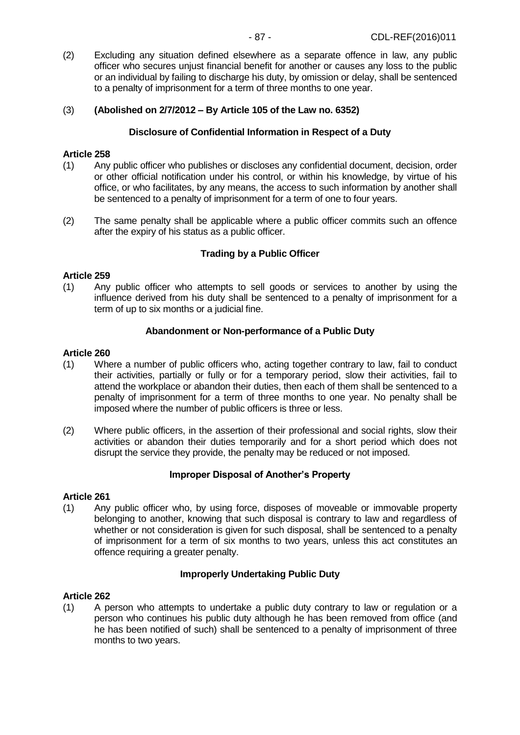(2) Excluding any situation defined elsewhere as a separate offence in law, any public officer who secures unjust financial benefit for another or causes any loss to the public or an individual by failing to discharge his duty, by omission or delay, shall be sentenced to a penalty of imprisonment for a term of three months to one year.

## (3) **(Abolished on 2/7/2012 – By Article 105 of the Law no. 6352)**

## **Disclosure of Confidential Information in Respect of a Duty**

### **Article 258**

- (1) Any public officer who publishes or discloses any confidential document, decision, order or other official notification under his control, or within his knowledge, by virtue of his office, or who facilitates, by any means, the access to such information by another shall be sentenced to a penalty of imprisonment for a term of one to four years.
- (2) The same penalty shall be applicable where a public officer commits such an offence after the expiry of his status as a public officer.

# **Trading by a Public Officer**

### **Article 259**

(1) Any public officer who attempts to sell goods or services to another by using the influence derived from his duty shall be sentenced to a penalty of imprisonment for a term of up to six months or a judicial fine.

### **Abandonment or Non-performance of a Public Duty**

### **Article 260**

- (1) Where a number of public officers who, acting together contrary to law, fail to conduct their activities, partially or fully or for a temporary period, slow their activities, fail to attend the workplace or abandon their duties, then each of them shall be sentenced to a penalty of imprisonment for a term of three months to one year. No penalty shall be imposed where the number of public officers is three or less.
- (2) Where public officers, in the assertion of their professional and social rights, slow their activities or abandon their duties temporarily and for a short period which does not disrupt the service they provide, the penalty may be reduced or not imposed.

## **Improper Disposal of Another's Property**

### **Article 261**

(1) Any public officer who, by using force, disposes of moveable or immovable property belonging to another, knowing that such disposal is contrary to law and regardless of whether or not consideration is given for such disposal, shall be sentenced to a penalty of imprisonment for a term of six months to two years, unless this act constitutes an offence requiring a greater penalty.

### **Improperly Undertaking Public Duty**

### **Article 262**

(1) A person who attempts to undertake a public duty contrary to law or regulation or a person who continues his public duty although he has been removed from office (and he has been notified of such) shall be sentenced to a penalty of imprisonment of three months to two years.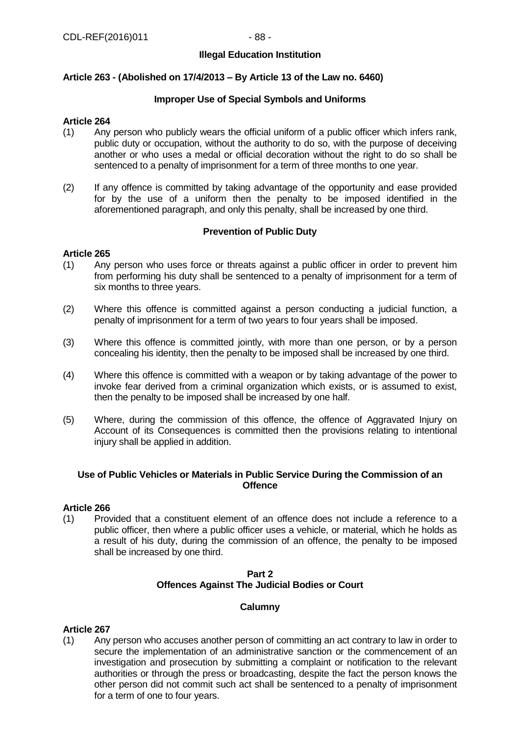### **Illegal Education Institution**

## **Article 263 - (Abolished on 17/4/2013 – By Article 13 of the Law no. 6460)**

### **Improper Use of Special Symbols and Uniforms**

#### **Article 264**

- (1) Any person who publicly wears the official uniform of a public officer which infers rank, public duty or occupation, without the authority to do so, with the purpose of deceiving another or who uses a medal or official decoration without the right to do so shall be sentenced to a penalty of imprisonment for a term of three months to one year.
- (2) If any offence is committed by taking advantage of the opportunity and ease provided for by the use of a uniform then the penalty to be imposed identified in the aforementioned paragraph, and only this penalty, shall be increased by one third.

### **Prevention of Public Duty**

### **Article 265**

- (1) Any person who uses force or threats against a public officer in order to prevent him from performing his duty shall be sentenced to a penalty of imprisonment for a term of six months to three years.
- (2) Where this offence is committed against a person conducting a judicial function, a penalty of imprisonment for a term of two years to four years shall be imposed.
- (3) Where this offence is committed jointly, with more than one person, or by a person concealing his identity, then the penalty to be imposed shall be increased by one third.
- (4) Where this offence is committed with a weapon or by taking advantage of the power to invoke fear derived from a criminal organization which exists, or is assumed to exist, then the penalty to be imposed shall be increased by one half.
- (5) Where, during the commission of this offence, the offence of Aggravated Injury on Account of its Consequences is committed then the provisions relating to intentional injury shall be applied in addition.

### **Use of Public Vehicles or Materials in Public Service During the Commission of an Offence**

### **Article 266**

(1) Provided that a constituent element of an offence does not include a reference to a public officer, then where a public officer uses a vehicle, or material, which he holds as a result of his duty, during the commission of an offence, the penalty to be imposed shall be increased by one third.

### **Part 2 Offences Against The Judicial Bodies or Court**

### **Calumny**

### **Article 267**

(1) Any person who accuses another person of committing an act contrary to law in order to secure the implementation of an administrative sanction or the commencement of an investigation and prosecution by submitting a complaint or notification to the relevant authorities or through the press or broadcasting, despite the fact the person knows the other person did not commit such act shall be sentenced to a penalty of imprisonment for a term of one to four years.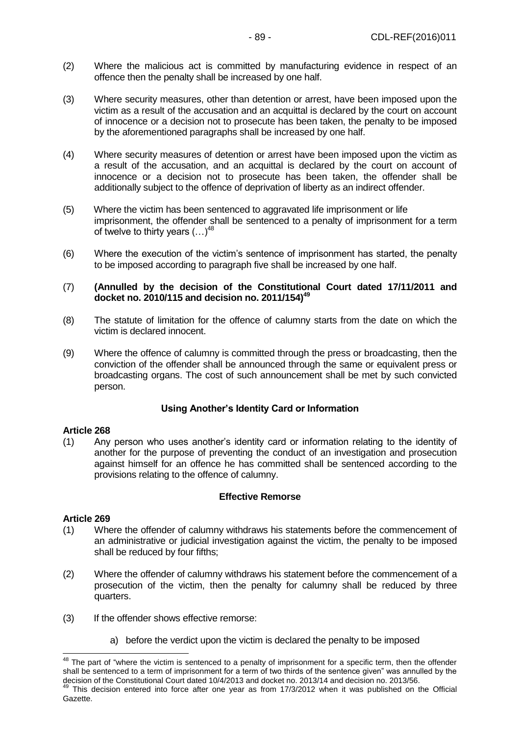- (2) Where the malicious act is committed by manufacturing evidence in respect of an offence then the penalty shall be increased by one half.
- (3) Where security measures, other than detention or arrest, have been imposed upon the victim as a result of the accusation and an acquittal is declared by the court on account of innocence or a decision not to prosecute has been taken, the penalty to be imposed by the aforementioned paragraphs shall be increased by one half.
- (4) Where security measures of detention or arrest have been imposed upon the victim as a result of the accusation, and an acquittal is declared by the court on account of innocence or a decision not to prosecute has been taken, the offender shall be additionally subject to the offence of deprivation of liberty as an indirect offender.
- (5) Where the victim has been sentenced to aggravated life imprisonment or life imprisonment, the offender shall be sentenced to a penalty of imprisonment for a term of twelve to thirty years  $(...)^{48}$
- (6) Where the execution of the victim's sentence of imprisonment has started, the penalty to be imposed according to paragraph five shall be increased by one half.

## (7) **(Annulled by the decision of the Constitutional Court dated 17/11/2011 and docket no. 2010/115 and decision no. 2011/154)<sup>49</sup>**

- (8) The statute of limitation for the offence of calumny starts from the date on which the victim is declared innocent.
- (9) Where the offence of calumny is committed through the press or broadcasting, then the conviction of the offender shall be announced through the same or equivalent press or broadcasting organs. The cost of such announcement shall be met by such convicted person.

## **Using Another's Identity Card or Information**

## **Article 268**

(1) Any person who uses another's identity card or information relating to the identity of another for the purpose of preventing the conduct of an investigation and prosecution against himself for an offence he has committed shall be sentenced according to the provisions relating to the offence of calumny.

## **Effective Remorse**

## **Article 269**

-

- (1) Where the offender of calumny withdraws his statements before the commencement of an administrative or judicial investigation against the victim, the penalty to be imposed shall be reduced by four fifths;
- (2) Where the offender of calumny withdraws his statement before the commencement of a prosecution of the victim, then the penalty for calumny shall be reduced by three quarters.
- (3) If the offender shows effective remorse:
	- a) before the verdict upon the victim is declared the penalty to be imposed

<sup>&</sup>lt;sup>48</sup> The part of "where the victim is sentenced to a penalty of imprisonment for a specific term, then the offender shall be sentenced to a term of imprisonment for a term of two thirds of the sentence given" was annulled by the decision of the Constitutional Court dated 10/4/2013 and docket no. 2013/14 and decision no. 2013/56.

This decision entered into force after one year as from 17/3/2012 when it was published on the Official Gazette.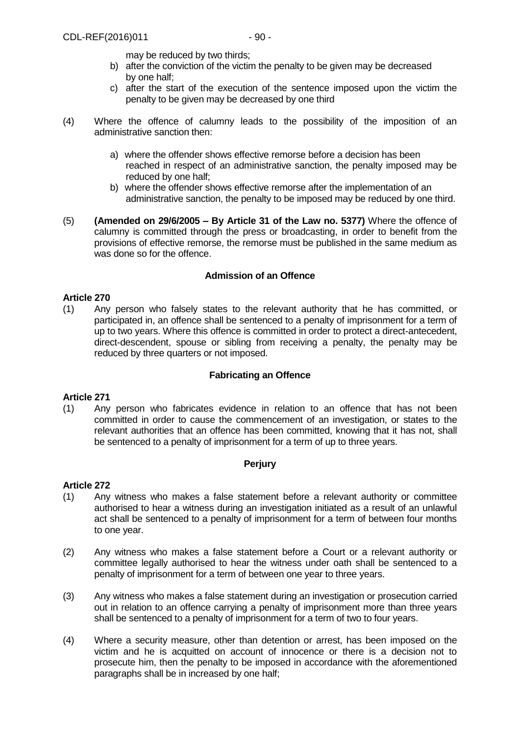may be reduced by two thirds;

- b) after the conviction of the victim the penalty to be given may be decreased by one half;
- c) after the start of the execution of the sentence imposed upon the victim the penalty to be given may be decreased by one third
- (4) Where the offence of calumny leads to the possibility of the imposition of an administrative sanction then:
	- a) where the offender shows effective remorse before a decision has been reached in respect of an administrative sanction, the penalty imposed may be reduced by one half;
	- b) where the offender shows effective remorse after the implementation of an administrative sanction, the penalty to be imposed may be reduced by one third.
- (5) **(Amended on 29/6/2005 – By Article 31 of the Law no. 5377)** Where the offence of calumny is committed through the press or broadcasting, in order to benefit from the provisions of effective remorse, the remorse must be published in the same medium as was done so for the offence.

## **Admission of an Offence**

## **Article 270**

(1) Any person who falsely states to the relevant authority that he has committed, or participated in, an offence shall be sentenced to a penalty of imprisonment for a term of up to two years. Where this offence is committed in order to protect a direct-antecedent, direct-descendent, spouse or sibling from receiving a penalty, the penalty may be reduced by three quarters or not imposed.

### **Fabricating an Offence**

### **Article 271**

(1) Any person who fabricates evidence in relation to an offence that has not been committed in order to cause the commencement of an investigation, or states to the relevant authorities that an offence has been committed, knowing that it has not, shall be sentenced to a penalty of imprisonment for a term of up to three years.

### **Perjury**

- (1) Any witness who makes a false statement before a relevant authority or committee authorised to hear a witness during an investigation initiated as a result of an unlawful act shall be sentenced to a penalty of imprisonment for a term of between four months to one year.
- (2) Any witness who makes a false statement before a Court or a relevant authority or committee legally authorised to hear the witness under oath shall be sentenced to a penalty of imprisonment for a term of between one year to three years.
- (3) Any witness who makes a false statement during an investigation or prosecution carried out in relation to an offence carrying a penalty of imprisonment more than three years shall be sentenced to a penalty of imprisonment for a term of two to four years.
- (4) Where a security measure, other than detention or arrest, has been imposed on the victim and he is acquitted on account of innocence or there is a decision not to prosecute him, then the penalty to be imposed in accordance with the aforementioned paragraphs shall be in increased by one half;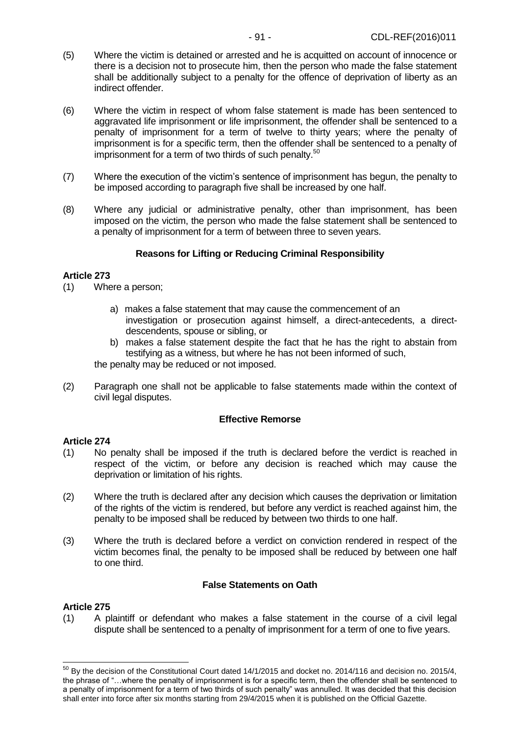- (5) Where the victim is detained or arrested and he is acquitted on account of innocence or there is a decision not to prosecute him, then the person who made the false statement shall be additionally subject to a penalty for the offence of deprivation of liberty as an indirect offender.
- (6) Where the victim in respect of whom false statement is made has been sentenced to aggravated life imprisonment or life imprisonment, the offender shall be sentenced to a penalty of imprisonment for a term of twelve to thirty years; where the penalty of imprisonment is for a specific term, then the offender shall be sentenced to a penalty of imprisonment for a term of two thirds of such penalty.<sup>50</sup>
- (7) Where the execution of the victim's sentence of imprisonment has begun, the penalty to be imposed according to paragraph five shall be increased by one half.
- (8) Where any judicial or administrative penalty, other than imprisonment, has been imposed on the victim, the person who made the false statement shall be sentenced to a penalty of imprisonment for a term of between three to seven years.

## **Reasons for Lifting or Reducing Criminal Responsibility**

### **Article 273**

- (1) Where a person;
	- a) makes a false statement that may cause the commencement of an investigation or prosecution against himself, a direct-antecedents, a directdescendents, spouse or sibling, or
	- b) makes a false statement despite the fact that he has the right to abstain from testifying as a witness, but where he has not been informed of such,

the penalty may be reduced or not imposed.

(2) Paragraph one shall not be applicable to false statements made within the context of civil legal disputes.

### **Effective Remorse**

### **Article 274**

- (1) No penalty shall be imposed if the truth is declared before the verdict is reached in respect of the victim, or before any decision is reached which may cause the deprivation or limitation of his rights.
- (2) Where the truth is declared after any decision which causes the deprivation or limitation of the rights of the victim is rendered, but before any verdict is reached against him, the penalty to be imposed shall be reduced by between two thirds to one half.
- (3) Where the truth is declared before a verdict on conviction rendered in respect of the victim becomes final, the penalty to be imposed shall be reduced by between one half to one third.

### **False Statements on Oath**

### **Article 275**

-

(1) A plaintiff or defendant who makes a false statement in the course of a civil legal dispute shall be sentenced to a penalty of imprisonment for a term of one to five years.

 $50$  By the decision of the Constitutional Court dated 14/1/2015 and docket no. 2014/116 and decision no. 2015/4, the phrase of "…where the penalty of imprisonment is for a specific term, then the offender shall be sentenced to a penalty of imprisonment for a term of two thirds of such penalty" was annulled. It was decided that this decision shall enter into force after six months starting from 29/4/2015 when it is published on the Official Gazette.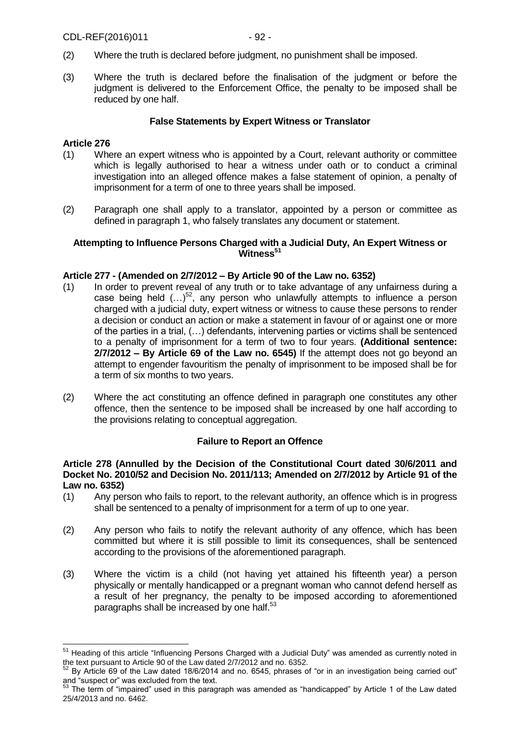- (2) Where the truth is declared before judgment, no punishment shall be imposed.
- (3) Where the truth is declared before the finalisation of the judgment or before the judgment is delivered to the Enforcement Office, the penalty to be imposed shall be reduced by one half.

## **False Statements by Expert Witness or Translator**

## **Article 276**

- (1) Where an expert witness who is appointed by a Court, relevant authority or committee which is legally authorised to hear a witness under oath or to conduct a criminal investigation into an alleged offence makes a false statement of opinion, a penalty of imprisonment for a term of one to three years shall be imposed.
- (2) Paragraph one shall apply to a translator, appointed by a person or committee as defined in paragraph 1, who falsely translates any document or statement.

## **Attempting to Influence Persons Charged with a Judicial Duty, An Expert Witness or Witness<sup>51</sup>**

## **Article 277 - (Amended on 2/7/2012 – By Article 90 of the Law no. 6352)**

- (1) In order to prevent reveal of any truth or to take advantage of any unfairness during a case being held  $(...)^{52}$ , any person who unlawfully attempts to influence a person charged with a judicial duty, expert witness or witness to cause these persons to render a decision or conduct an action or make a statement in favour of or against one or more of the parties in a trial, (…) defendants, intervening parties or victims shall be sentenced to a penalty of imprisonment for a term of two to four years. **(Additional sentence: 2/7/2012 – By Article 69 of the Law no. 6545)** If the attempt does not go beyond an attempt to engender favouritism the penalty of imprisonment to be imposed shall be for a term of six months to two years.
- (2) Where the act constituting an offence defined in paragraph one constitutes any other offence, then the sentence to be imposed shall be increased by one half according to the provisions relating to conceptual aggregation.

## **Failure to Report an Offence**

### **Article 278 (Annulled by the Decision of the Constitutional Court dated 30/6/2011 and Docket No. 2010/52 and Decision No. 2011/113; Amended on 2/7/2012 by Article 91 of the Law no. 6352)**

- (1) Any person who fails to report, to the relevant authority, an offence which is in progress shall be sentenced to a penalty of imprisonment for a term of up to one year.
- (2) Any person who fails to notify the relevant authority of any offence, which has been committed but where it is still possible to limit its consequences, shall be sentenced according to the provisions of the aforementioned paragraph.
- (3) Where the victim is a child (not having yet attained his fifteenth year) a person physically or mentally handicapped or a pregnant woman who cannot defend herself as a result of her pregnancy, the penalty to be imposed according to aforementioned paragraphs shall be increased by one half.<sup>53</sup>

 $\overline{\phantom{a}}$ <sup>51</sup> Heading of this article "Influencing Persons Charged with a Judicial Duty" was amended as currently noted in the text pursuant to Article 90 of the Law dated 2/7/2012 and no. 6352.

 $52$  By Article 69 of the Law dated 18/6/2014 and no. 6545, phrases of "or in an investigation being carried out" and "suspect or" was excluded from the text.

 $53$  The term of "impaired" used in this paragraph was amended as "handicapped" by Article 1 of the Law dated 25/4/2013 and no. 6462.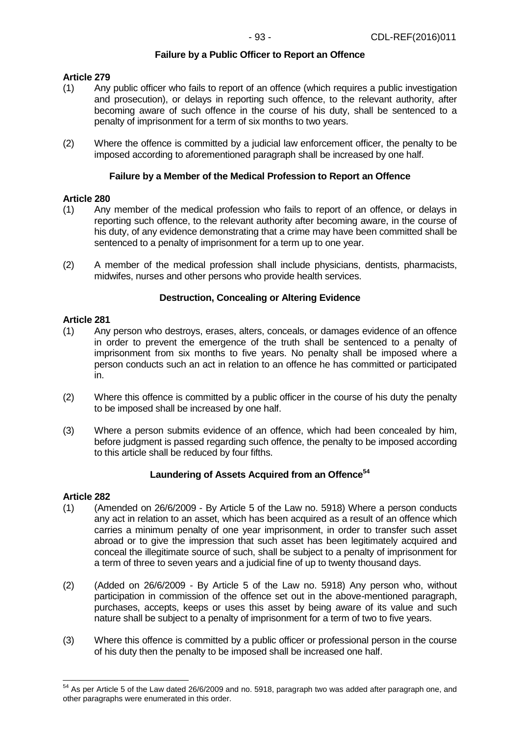# **Failure by a Public Officer to Report an Offence**

## **Article 279**

- (1) Any public officer who fails to report of an offence (which requires a public investigation and prosecution), or delays in reporting such offence, to the relevant authority, after becoming aware of such offence in the course of his duty, shall be sentenced to a penalty of imprisonment for a term of six months to two years.
- (2) Where the offence is committed by a judicial law enforcement officer, the penalty to be imposed according to aforementioned paragraph shall be increased by one half.

## **Failure by a Member of the Medical Profession to Report an Offence**

### **Article 280**

- (1) Any member of the medical profession who fails to report of an offence, or delays in reporting such offence, to the relevant authority after becoming aware, in the course of his duty, of any evidence demonstrating that a crime may have been committed shall be sentenced to a penalty of imprisonment for a term up to one year.
- (2) A member of the medical profession shall include physicians, dentists, pharmacists, midwifes, nurses and other persons who provide health services.

## **Destruction, Concealing or Altering Evidence**

### **Article 281**

- (1) Any person who destroys, erases, alters, conceals, or damages evidence of an offence in order to prevent the emergence of the truth shall be sentenced to a penalty of imprisonment from six months to five years. No penalty shall be imposed where a person conducts such an act in relation to an offence he has committed or participated in.
- (2) Where this offence is committed by a public officer in the course of his duty the penalty to be imposed shall be increased by one half.
- (3) Where a person submits evidence of an offence, which had been concealed by him, before judgment is passed regarding such offence, the penalty to be imposed according to this article shall be reduced by four fifths.

## **Laundering of Assets Acquired from an Offence<sup>54</sup>**

### **Article 282**

-

- (1) (Amended on 26/6/2009 By Article 5 of the Law no. 5918) Where a person conducts any act in relation to an asset, which has been acquired as a result of an offence which carries a minimum penalty of one year imprisonment, in order to transfer such asset abroad or to give the impression that such asset has been legitimately acquired and conceal the illegitimate source of such, shall be subject to a penalty of imprisonment for a term of three to seven years and a judicial fine of up to twenty thousand days.
- (2) (Added on 26/6/2009 By Article 5 of the Law no. 5918) Any person who, without participation in commission of the offence set out in the above-mentioned paragraph, purchases, accepts, keeps or uses this asset by being aware of its value and such nature shall be subject to a penalty of imprisonment for a term of two to five years.
- (3) Where this offence is committed by a public officer or professional person in the course of his duty then the penalty to be imposed shall be increased one half.

 $54$  As per Article 5 of the Law dated 26/6/2009 and no. 5918, paragraph two was added after paragraph one, and other paragraphs were enumerated in this order.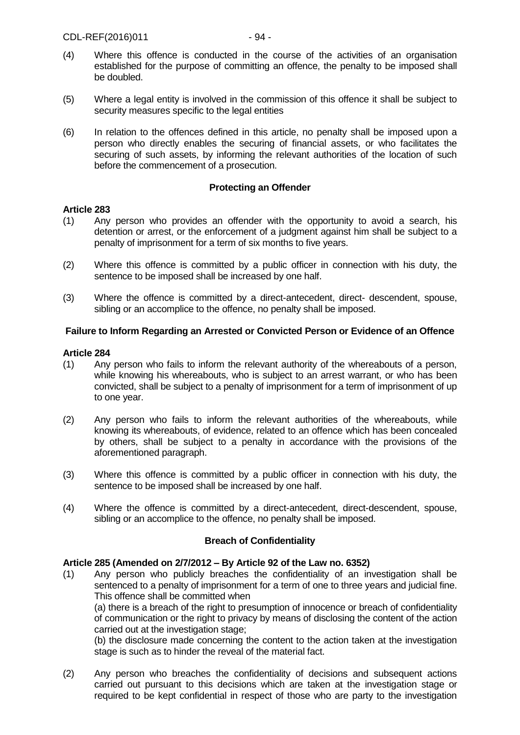- (4) Where this offence is conducted in the course of the activities of an organisation established for the purpose of committing an offence, the penalty to be imposed shall be doubled.
- (5) Where a legal entity is involved in the commission of this offence it shall be subject to security measures specific to the legal entities
- (6) In relation to the offences defined in this article, no penalty shall be imposed upon a person who directly enables the securing of financial assets, or who facilitates the securing of such assets, by informing the relevant authorities of the location of such before the commencement of a prosecution.

### **Protecting an Offender**

### **Article 283**

- (1) Any person who provides an offender with the opportunity to avoid a search, his detention or arrest, or the enforcement of a judgment against him shall be subject to a penalty of imprisonment for a term of six months to five years.
- (2) Where this offence is committed by a public officer in connection with his duty, the sentence to be imposed shall be increased by one half.
- (3) Where the offence is committed by a direct-antecedent, direct- descendent, spouse, sibling or an accomplice to the offence, no penalty shall be imposed.

## **Failure to Inform Regarding an Arrested or Convicted Person or Evidence of an Offence**

### **Article 284**

- (1) Any person who fails to inform the relevant authority of the whereabouts of a person, while knowing his whereabouts, who is subject to an arrest warrant, or who has been convicted, shall be subject to a penalty of imprisonment for a term of imprisonment of up to one year.
- (2) Any person who fails to inform the relevant authorities of the whereabouts, while knowing its whereabouts, of evidence, related to an offence which has been concealed by others, shall be subject to a penalty in accordance with the provisions of the aforementioned paragraph.
- (3) Where this offence is committed by a public officer in connection with his duty, the sentence to be imposed shall be increased by one half.
- (4) Where the offence is committed by a direct-antecedent, direct-descendent, spouse, sibling or an accomplice to the offence, no penalty shall be imposed.

## **Breach of Confidentiality**

### **Article 285 (Amended on 2/7/2012 – By Article 92 of the Law no. 6352)**

- (1) Any person who publicly breaches the confidentiality of an investigation shall be sentenced to a penalty of imprisonment for a term of one to three years and judicial fine. This offence shall be committed when (a) there is a breach of the right to presumption of innocence or breach of confidentiality of communication or the right to privacy by means of disclosing the content of the action carried out at the investigation stage; (b) the disclosure made concerning the content to the action taken at the investigation stage is such as to hinder the reveal of the material fact.
- (2) Any person who breaches the confidentiality of decisions and subsequent actions carried out pursuant to this decisions which are taken at the investigation stage or required to be kept confidential in respect of those who are party to the investigation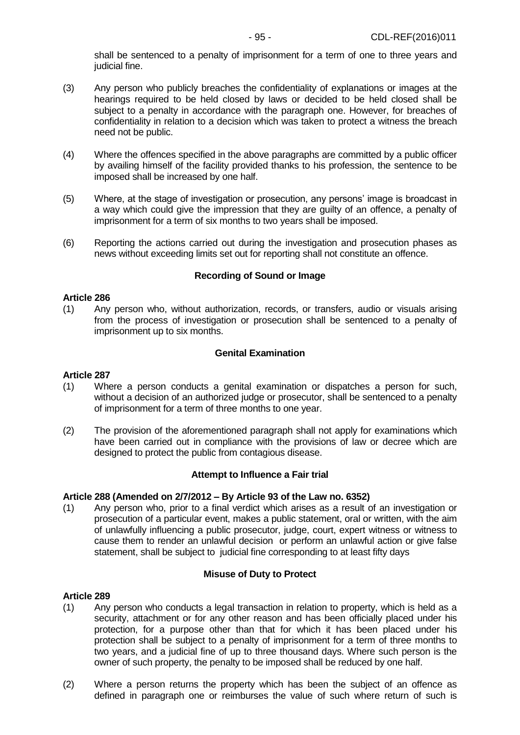shall be sentenced to a penalty of imprisonment for a term of one to three years and judicial fine.

- (3) Any person who publicly breaches the confidentiality of explanations or images at the hearings required to be held closed by laws or decided to be held closed shall be subject to a penalty in accordance with the paragraph one. However, for breaches of confidentiality in relation to a decision which was taken to protect a witness the breach need not be public.
- (4) Where the offences specified in the above paragraphs are committed by a public officer by availing himself of the facility provided thanks to his profession, the sentence to be imposed shall be increased by one half.
- (5) Where, at the stage of investigation or prosecution, any persons' image is broadcast in a way which could give the impression that they are guilty of an offence, a penalty of imprisonment for a term of six months to two years shall be imposed.
- (6) Reporting the actions carried out during the investigation and prosecution phases as news without exceeding limits set out for reporting shall not constitute an offence.

### **Recording of Sound or Image**

### **Article 286**

(1) Any person who, without authorization, records, or transfers, audio or visuals arising from the process of investigation or prosecution shall be sentenced to a penalty of imprisonment up to six months.

### **Genital Examination**

### **Article 287**

- (1) Where a person conducts a genital examination or dispatches a person for such, without a decision of an authorized judge or prosecutor, shall be sentenced to a penalty of imprisonment for a term of three months to one year.
- (2) The provision of the aforementioned paragraph shall not apply for examinations which have been carried out in compliance with the provisions of law or decree which are designed to protect the public from contagious disease.

### **Attempt to Influence a Fair trial**

### **Article 288 (Amended on 2/7/2012 – By Article 93 of the Law no. 6352)**

(1) Any person who, prior to a final verdict which arises as a result of an investigation or prosecution of a particular event, makes a public statement, oral or written, with the aim of unlawfully influencing a public prosecutor, judge, court, expert witness or witness to cause them to render an unlawful decision or perform an unlawful action or give false statement, shall be subject to judicial fine corresponding to at least fifty days

### **Misuse of Duty to Protect**

- (1) Any person who conducts a legal transaction in relation to property, which is held as a security, attachment or for any other reason and has been officially placed under his protection, for a purpose other than that for which it has been placed under his protection shall be subject to a penalty of imprisonment for a term of three months to two years, and a judicial fine of up to three thousand days. Where such person is the owner of such property, the penalty to be imposed shall be reduced by one half.
- (2) Where a person returns the property which has been the subject of an offence as defined in paragraph one or reimburses the value of such where return of such is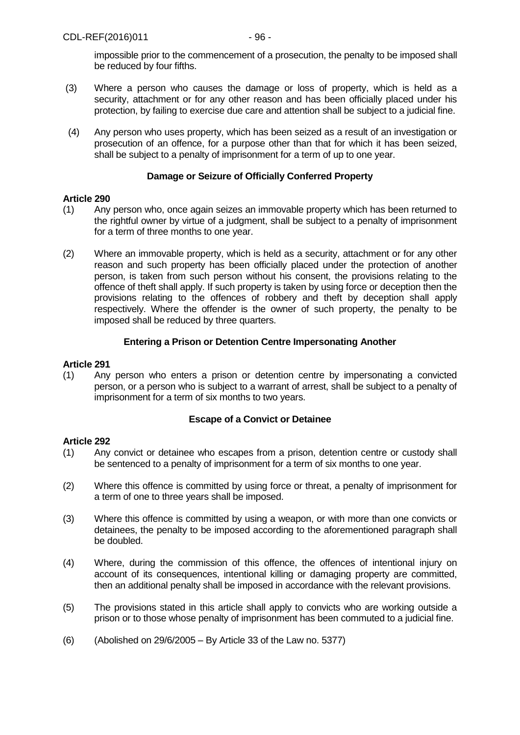impossible prior to the commencement of a prosecution, the penalty to be imposed shall be reduced by four fifths.

- (3) Where a person who causes the damage or loss of property, which is held as a security, attachment or for any other reason and has been officially placed under his protection, by failing to exercise due care and attention shall be subject to a judicial fine.
- (4) Any person who uses property, which has been seized as a result of an investigation or prosecution of an offence, for a purpose other than that for which it has been seized, shall be subject to a penalty of imprisonment for a term of up to one year.

# **Damage or Seizure of Officially Conferred Property**

## **Article 290**

- (1) Any person who, once again seizes an immovable property which has been returned to the rightful owner by virtue of a judgment, shall be subject to a penalty of imprisonment for a term of three months to one year.
- (2) Where an immovable property, which is held as a security, attachment or for any other reason and such property has been officially placed under the protection of another person, is taken from such person without his consent, the provisions relating to the offence of theft shall apply. If such property is taken by using force or deception then the provisions relating to the offences of robbery and theft by deception shall apply respectively. Where the offender is the owner of such property, the penalty to be imposed shall be reduced by three quarters.

## **Entering a Prison or Detention Centre Impersonating Another**

## **Article 291**

(1) Any person who enters a prison or detention centre by impersonating a convicted person, or a person who is subject to a warrant of arrest, shall be subject to a penalty of imprisonment for a term of six months to two years.

## **Escape of a Convict or Detainee**

- (1) Any convict or detainee who escapes from a prison, detention centre or custody shall be sentenced to a penalty of imprisonment for a term of six months to one year.
- (2) Where this offence is committed by using force or threat, a penalty of imprisonment for a term of one to three years shall be imposed.
- (3) Where this offence is committed by using a weapon, or with more than one convicts or detainees, the penalty to be imposed according to the aforementioned paragraph shall be doubled.
- (4) Where, during the commission of this offence, the offences of intentional injury on account of its consequences, intentional killing or damaging property are committed, then an additional penalty shall be imposed in accordance with the relevant provisions.
- (5) The provisions stated in this article shall apply to convicts who are working outside a prison or to those whose penalty of imprisonment has been commuted to a judicial fine.
- (6) (Abolished on 29/6/2005 By Article 33 of the Law no. 5377)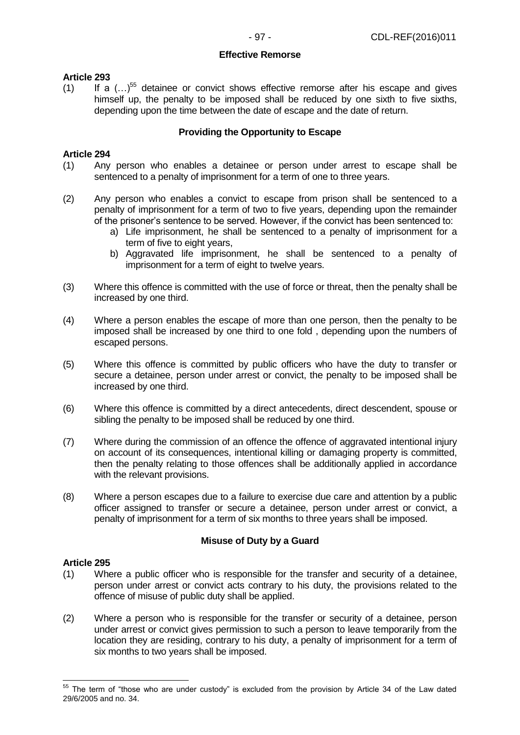# **Effective Remorse**

## **Article 293**

(1) If a  $(...)^{55}$  detainee or convict shows effective remorse after his escape and gives himself up, the penalty to be imposed shall be reduced by one sixth to five sixths, depending upon the time between the date of escape and the date of return.

# **Providing the Opportunity to Escape**

## **Article 294**

- (1) Any person who enables a detainee or person under arrest to escape shall be sentenced to a penalty of imprisonment for a term of one to three years.
- (2) Any person who enables a convict to escape from prison shall be sentenced to a penalty of imprisonment for a term of two to five years, depending upon the remainder of the prisoner's sentence to be served. However, if the convict has been sentenced to:
	- a) Life imprisonment, he shall be sentenced to a penalty of imprisonment for a term of five to eight years,
	- b) Aggravated life imprisonment, he shall be sentenced to a penalty of imprisonment for a term of eight to twelve years.
- (3) Where this offence is committed with the use of force or threat, then the penalty shall be increased by one third.
- (4) Where a person enables the escape of more than one person, then the penalty to be imposed shall be increased by one third to one fold , depending upon the numbers of escaped persons.
- (5) Where this offence is committed by public officers who have the duty to transfer or secure a detainee, person under arrest or convict, the penalty to be imposed shall be increased by one third.
- (6) Where this offence is committed by a direct antecedents, direct descendent, spouse or sibling the penalty to be imposed shall be reduced by one third.
- (7) Where during the commission of an offence the offence of aggravated intentional injury on account of its consequences, intentional killing or damaging property is committed, then the penalty relating to those offences shall be additionally applied in accordance with the relevant provisions.
- (8) Where a person escapes due to a failure to exercise due care and attention by a public officer assigned to transfer or secure a detainee, person under arrest or convict, a penalty of imprisonment for a term of six months to three years shall be imposed.

### **Misuse of Duty by a Guard**

# **Article 295**

-

- (1) Where a public officer who is responsible for the transfer and security of a detainee, person under arrest or convict acts contrary to his duty, the provisions related to the offence of misuse of public duty shall be applied.
- (2) Where a person who is responsible for the transfer or security of a detainee, person under arrest or convict gives permission to such a person to leave temporarily from the location they are residing, contrary to his duty, a penalty of imprisonment for a term of six months to two years shall be imposed.

 $55$  The term of "those who are under custody" is excluded from the provision by Article 34 of the Law dated 29/6/2005 and no. 34.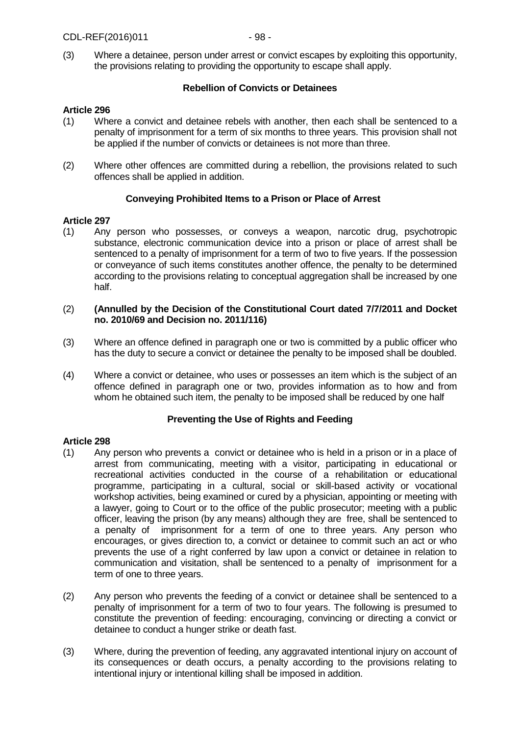(3) Where a detainee, person under arrest or convict escapes by exploiting this opportunity, the provisions relating to providing the opportunity to escape shall apply.

## **Rebellion of Convicts or Detainees**

### **Article 296**

- (1) Where a convict and detainee rebels with another, then each shall be sentenced to a penalty of imprisonment for a term of six months to three years. This provision shall not be applied if the number of convicts or detainees is not more than three.
- (2) Where other offences are committed during a rebellion, the provisions related to such offences shall be applied in addition.

## **Conveying Prohibited Items to a Prison or Place of Arrest**

### **Article 297**

(1) Any person who possesses, or conveys a weapon, narcotic drug, psychotropic substance, electronic communication device into a prison or place of arrest shall be sentenced to a penalty of imprisonment for a term of two to five years. If the possession or conveyance of such items constitutes another offence, the penalty to be determined according to the provisions relating to conceptual aggregation shall be increased by one half.

### (2) **(Annulled by the Decision of the Constitutional Court dated 7/7/2011 and Docket no. 2010/69 and Decision no. 2011/116)**

- (3) Where an offence defined in paragraph one or two is committed by a public officer who has the duty to secure a convict or detainee the penalty to be imposed shall be doubled.
- (4) Where a convict or detainee, who uses or possesses an item which is the subject of an offence defined in paragraph one or two, provides information as to how and from whom he obtained such item, the penalty to be imposed shall be reduced by one half

## **Preventing the Use of Rights and Feeding**

- (1) Any person who prevents a convict or detainee who is held in a prison or in a place of arrest from communicating, meeting with a visitor, participating in educational or recreational activities conducted in the course of a rehabilitation or educational programme, participating in a cultural, social or skill-based activity or vocational workshop activities, being examined or cured by a physician, appointing or meeting with a lawyer, going to Court or to the office of the public prosecutor; meeting with a public officer, leaving the prison (by any means) although they are free, shall be sentenced to a penalty of imprisonment for a term of one to three years. Any person who encourages, or gives direction to, a convict or detainee to commit such an act or who prevents the use of a right conferred by law upon a convict or detainee in relation to communication and visitation, shall be sentenced to a penalty of imprisonment for a term of one to three years.
- (2) Any person who prevents the feeding of a convict or detainee shall be sentenced to a penalty of imprisonment for a term of two to four years. The following is presumed to constitute the prevention of feeding: encouraging, convincing or directing a convict or detainee to conduct a hunger strike or death fast.
- (3) Where, during the prevention of feeding, any aggravated intentional injury on account of its consequences or death occurs, a penalty according to the provisions relating to intentional injury or intentional killing shall be imposed in addition.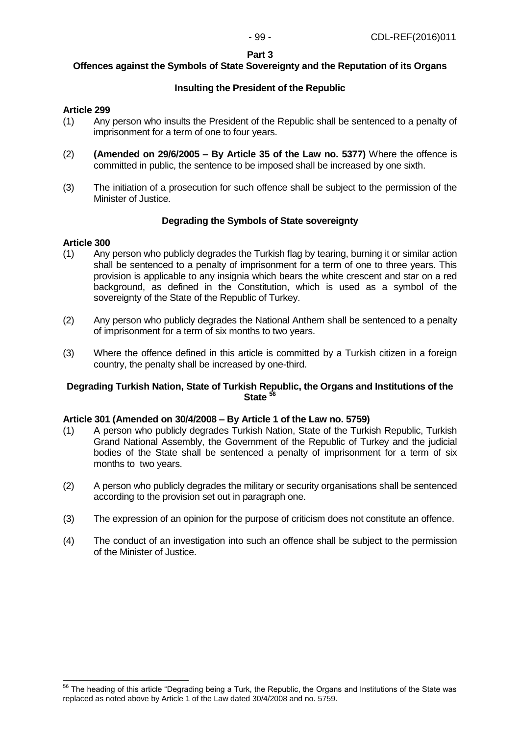# **Part 3**

## **Offences against the Symbols of State Sovereignty and the Reputation of its Organs**

# **Insulting the President of the Republic**

## **Article 299**

- (1) Any person who insults the President of the Republic shall be sentenced to a penalty of imprisonment for a term of one to four years.
- (2) **(Amended on 29/6/2005 – By Article 35 of the Law no. 5377)** Where the offence is committed in public, the sentence to be imposed shall be increased by one sixth.
- (3) The initiation of a prosecution for such offence shall be subject to the permission of the Minister of Justice.

## **Degrading the Symbols of State sovereignty**

### **Article 300**

-

- (1) Any person who publicly degrades the Turkish flag by tearing, burning it or similar action shall be sentenced to a penalty of imprisonment for a term of one to three years. This provision is applicable to any insignia which bears the white crescent and star on a red background, as defined in the Constitution, which is used as a symbol of the sovereignty of the State of the Republic of Turkey.
- (2) Any person who publicly degrades the National Anthem shall be sentenced to a penalty of imprisonment for a term of six months to two years.
- (3) Where the offence defined in this article is committed by a Turkish citizen in a foreign country, the penalty shall be increased by one-third.

## **Degrading Turkish Nation, State of Turkish Republic, the Organs and Institutions of the State <sup>56</sup>**

### **Article 301 (Amended on 30/4/2008 – By Article 1 of the Law no. 5759)**

- (1) A person who publicly degrades Turkish Nation, State of the Turkish Republic, Turkish Grand National Assembly, the Government of the Republic of Turkey and the judicial bodies of the State shall be sentenced a penalty of imprisonment for a term of six months to two years.
- (2) A person who publicly degrades the military or security organisations shall be sentenced according to the provision set out in paragraph one.
- (3) The expression of an opinion for the purpose of criticism does not constitute an offence.
- (4) The conduct of an investigation into such an offence shall be subject to the permission of the Minister of Justice.

<sup>&</sup>lt;sup>56</sup> The heading of this article "Degrading being a Turk, the Republic, the Organs and Institutions of the State was replaced as noted above by Article 1 of the Law dated 30/4/2008 and no. 5759.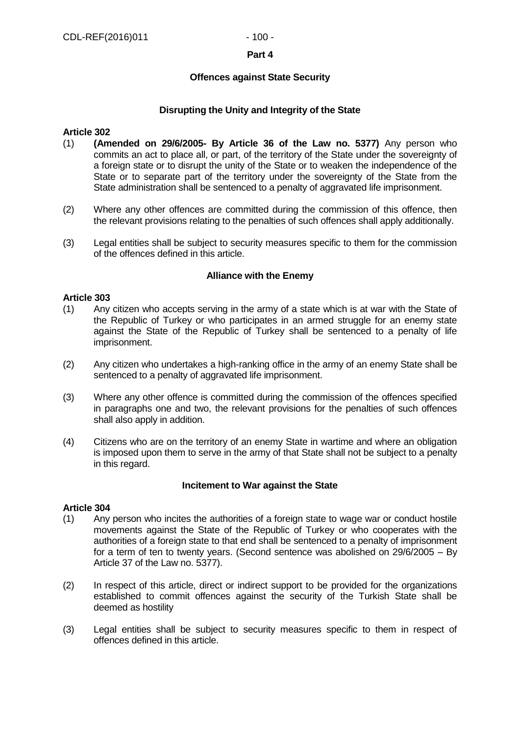## **Part 4**

## **Offences against State Security**

## **Disrupting the Unity and Integrity of the State**

### **Article 302**

- (1) **(Amended on 29/6/2005- By Article 36 of the Law no. 5377)** Any person who commits an act to place all, or part, of the territory of the State under the sovereignty of a foreign state or to disrupt the unity of the State or to weaken the independence of the State or to separate part of the territory under the sovereignty of the State from the State administration shall be sentenced to a penalty of aggravated life imprisonment.
- (2) Where any other offences are committed during the commission of this offence, then the relevant provisions relating to the penalties of such offences shall apply additionally.
- (3) Legal entities shall be subject to security measures specific to them for the commission of the offences defined in this article.

### **Alliance with the Enemy**

### **Article 303**

- (1) Any citizen who accepts serving in the army of a state which is at war with the State of the Republic of Turkey or who participates in an armed struggle for an enemy state against the State of the Republic of Turkey shall be sentenced to a penalty of life imprisonment.
- (2) Any citizen who undertakes a high-ranking office in the army of an enemy State shall be sentenced to a penalty of aggravated life imprisonment.
- (3) Where any other offence is committed during the commission of the offences specified in paragraphs one and two, the relevant provisions for the penalties of such offences shall also apply in addition.
- (4) Citizens who are on the territory of an enemy State in wartime and where an obligation is imposed upon them to serve in the army of that State shall not be subject to a penalty in this regard.

### **Incitement to War against the State**

- (1) Any person who incites the authorities of a foreign state to wage war or conduct hostile movements against the State of the Republic of Turkey or who cooperates with the authorities of a foreign state to that end shall be sentenced to a penalty of imprisonment for a term of ten to twenty years. (Second sentence was abolished on 29/6/2005 – By Article 37 of the Law no. 5377).
- (2) In respect of this article, direct or indirect support to be provided for the organizations established to commit offences against the security of the Turkish State shall be deemed as hostility
- (3) Legal entities shall be subject to security measures specific to them in respect of offences defined in this article.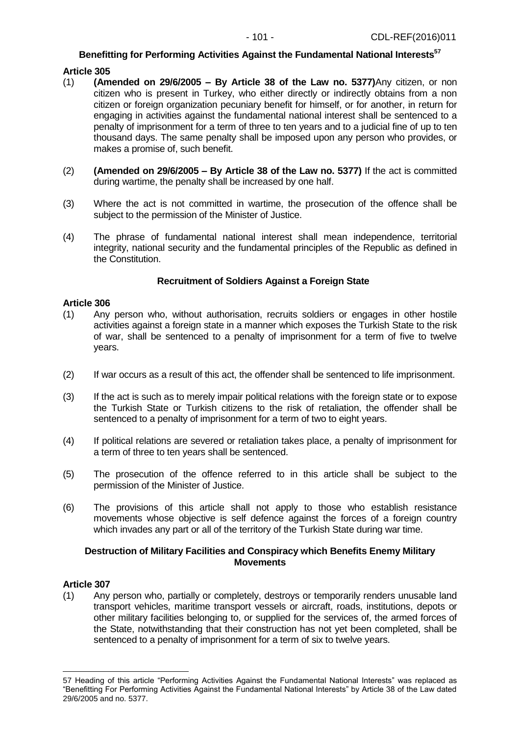# **Benefitting for Performing Activities Against the Fundamental National Interests<sup>57</sup>**

# **Article 305**

- (1) **(Amended on 29/6/2005 – By Article 38 of the Law no. 5377)**Any citizen, or non citizen who is present in Turkey, who either directly or indirectly obtains from a non citizen or foreign organization pecuniary benefit for himself, or for another, in return for engaging in activities against the fundamental national interest shall be sentenced to a penalty of imprisonment for a term of three to ten years and to a judicial fine of up to ten thousand days. The same penalty shall be imposed upon any person who provides, or makes a promise of, such benefit.
- (2) **(Amended on 29/6/2005 – By Article 38 of the Law no. 5377)** If the act is committed during wartime, the penalty shall be increased by one half.
- (3) Where the act is not committed in wartime, the prosecution of the offence shall be subject to the permission of the Minister of Justice.
- (4) The phrase of fundamental national interest shall mean independence, territorial integrity, national security and the fundamental principles of the Republic as defined in the Constitution.

## **Recruitment of Soldiers Against a Foreign State**

### **Article 306**

- (1) Any person who, without authorisation, recruits soldiers or engages in other hostile activities against a foreign state in a manner which exposes the Turkish State to the risk of war, shall be sentenced to a penalty of imprisonment for a term of five to twelve years.
- (2) If war occurs as a result of this act, the offender shall be sentenced to life imprisonment.
- (3) If the act is such as to merely impair political relations with the foreign state or to expose the Turkish State or Turkish citizens to the risk of retaliation, the offender shall be sentenced to a penalty of imprisonment for a term of two to eight years.
- (4) If political relations are severed or retaliation takes place, a penalty of imprisonment for a term of three to ten years shall be sentenced.
- (5) The prosecution of the offence referred to in this article shall be subject to the permission of the Minister of Justice.
- (6) The provisions of this article shall not apply to those who establish resistance movements whose objective is self defence against the forces of a foreign country which invades any part or all of the territory of the Turkish State during war time.

## **Destruction of Military Facilities and Conspiracy which Benefits Enemy Military Movements**

### **Article 307**

-

(1) Any person who, partially or completely, destroys or temporarily renders unusable land transport vehicles, maritime transport vessels or aircraft, roads, institutions, depots or other military facilities belonging to, or supplied for the services of, the armed forces of the State, notwithstanding that their construction has not yet been completed, shall be sentenced to a penalty of imprisonment for a term of six to twelve years.

<sup>57</sup> Heading of this article "Performing Activities Against the Fundamental National Interests" was replaced as "Benefitting For Performing Activities Against the Fundamental National Interests" by Article 38 of the Law dated 29/6/2005 and no. 5377.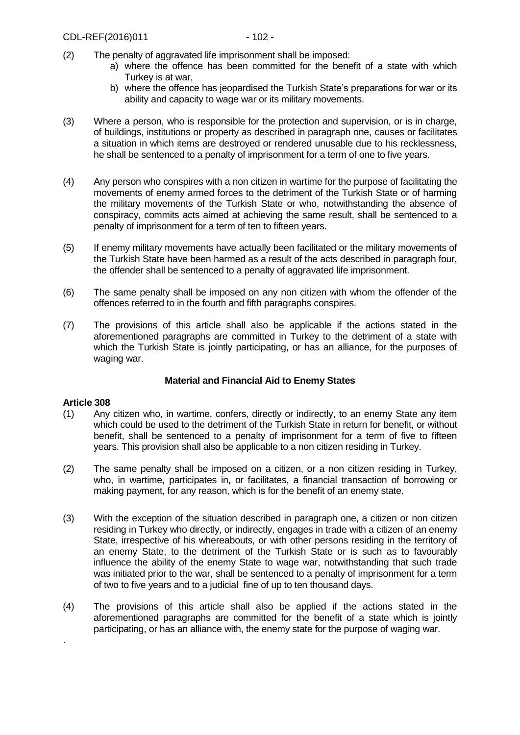- (2) The penalty of aggravated life imprisonment shall be imposed:
	- a) where the offence has been committed for the benefit of a state with which Turkey is at war,
	- b) where the offence has jeopardised the Turkish State's preparations for war or its ability and capacity to wage war or its military movements.
- (3) Where a person, who is responsible for the protection and supervision, or is in charge, of buildings, institutions or property as described in paragraph one, causes or facilitates a situation in which items are destroyed or rendered unusable due to his recklessness, he shall be sentenced to a penalty of imprisonment for a term of one to five years.
- (4) Any person who conspires with a non citizen in wartime for the purpose of facilitating the movements of enemy armed forces to the detriment of the Turkish State or of harming the military movements of the Turkish State or who, notwithstanding the absence of conspiracy, commits acts aimed at achieving the same result, shall be sentenced to a penalty of imprisonment for a term of ten to fifteen years.
- (5) If enemy military movements have actually been facilitated or the military movements of the Turkish State have been harmed as a result of the acts described in paragraph four, the offender shall be sentenced to a penalty of aggravated life imprisonment.
- (6) The same penalty shall be imposed on any non citizen with whom the offender of the offences referred to in the fourth and fifth paragraphs conspires.
- (7) The provisions of this article shall also be applicable if the actions stated in the aforementioned paragraphs are committed in Turkey to the detriment of a state with which the Turkish State is jointly participating, or has an alliance, for the purposes of waging war.

## **Material and Financial Aid to Enemy States**

### **Article 308**

.

- (1) Any citizen who, in wartime, confers, directly or indirectly, to an enemy State any item which could be used to the detriment of the Turkish State in return for benefit, or without benefit, shall be sentenced to a penalty of imprisonment for a term of five to fifteen years. This provision shall also be applicable to a non citizen residing in Turkey.
- (2) The same penalty shall be imposed on a citizen, or a non citizen residing in Turkey, who, in wartime, participates in, or facilitates, a financial transaction of borrowing or making payment, for any reason, which is for the benefit of an enemy state.
- (3) With the exception of the situation described in paragraph one, a citizen or non citizen residing in Turkey who directly, or indirectly, engages in trade with a citizen of an enemy State, irrespective of his whereabouts, or with other persons residing in the territory of an enemy State, to the detriment of the Turkish State or is such as to favourably influence the ability of the enemy State to wage war, notwithstanding that such trade was initiated prior to the war, shall be sentenced to a penalty of imprisonment for a term of two to five years and to a judicial fine of up to ten thousand days.
- (4) The provisions of this article shall also be applied if the actions stated in the aforementioned paragraphs are committed for the benefit of a state which is jointly participating, or has an alliance with, the enemy state for the purpose of waging war.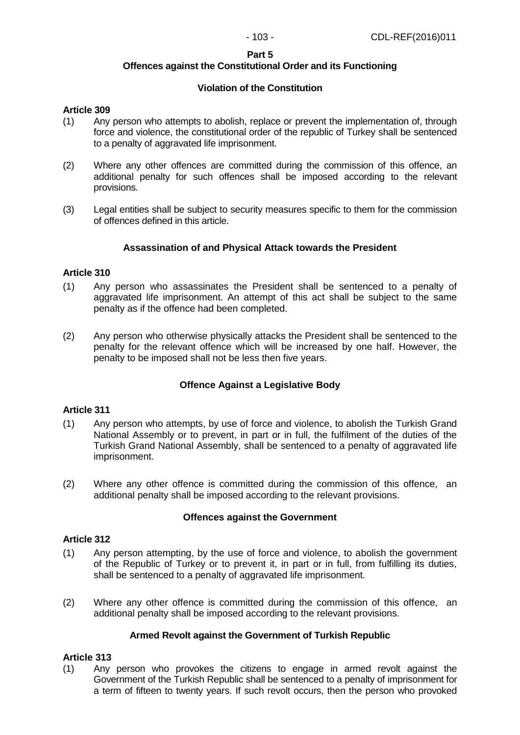### **Part 5**

## **Offences against the Constitutional Order and its Functioning**

## **Violation of the Constitution**

## **Article 309**

- (1) Any person who attempts to abolish, replace or prevent the implementation of, through force and violence, the constitutional order of the republic of Turkey shall be sentenced to a penalty of aggravated life imprisonment.
- (2) Where any other offences are committed during the commission of this offence, an additional penalty for such offences shall be imposed according to the relevant provisions.
- (3) Legal entities shall be subject to security measures specific to them for the commission of offences defined in this article.

## **Assassination of and Physical Attack towards the President**

## **Article 310**

- (1) Any person who assassinates the President shall be sentenced to a penalty of aggravated life imprisonment. An attempt of this act shall be subject to the same penalty as if the offence had been completed.
- (2) Any person who otherwise physically attacks the President shall be sentenced to the penalty for the relevant offence which will be increased by one half. However, the penalty to be imposed shall not be less then five years.

## **Offence Against a Legislative Body**

## **Article 311**

- (1) Any person who attempts, by use of force and violence, to abolish the Turkish Grand National Assembly or to prevent, in part or in full, the fulfilment of the duties of the Turkish Grand National Assembly, shall be sentenced to a penalty of aggravated life imprisonment.
- (2) Where any other offence is committed during the commission of this offence, an additional penalty shall be imposed according to the relevant provisions.

## **Offences against the Government**

## **Article 312**

- (1) Any person attempting, by the use of force and violence, to abolish the government of the Republic of Turkey or to prevent it, in part or in full, from fulfilling its duties, shall be sentenced to a penalty of aggravated life imprisonment.
- (2) Where any other offence is committed during the commission of this offence, an additional penalty shall be imposed according to the relevant provisions.

## **Armed Revolt against the Government of Turkish Republic**

## **Article 313**

(1) Any person who provokes the citizens to engage in armed revolt against the Government of the Turkish Republic shall be sentenced to a penalty of imprisonment for a term of fifteen to twenty years. If such revolt occurs, then the person who provoked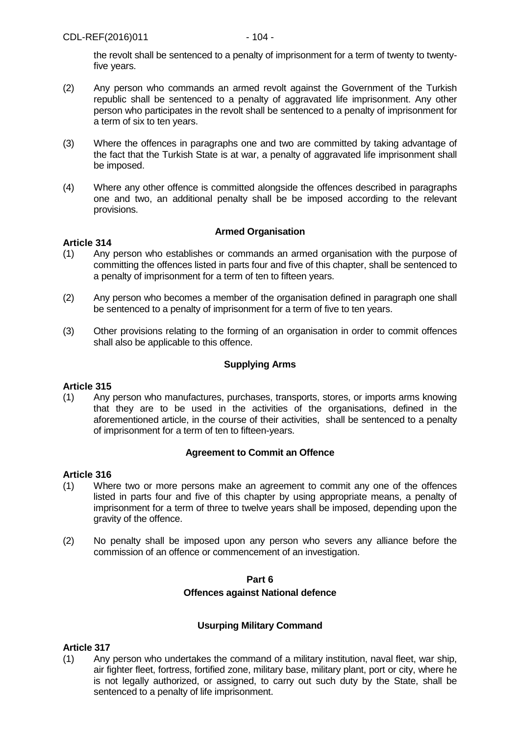the revolt shall be sentenced to a penalty of imprisonment for a term of twenty to twentyfive years.

- (2) Any person who commands an armed revolt against the Government of the Turkish republic shall be sentenced to a penalty of aggravated life imprisonment. Any other person who participates in the revolt shall be sentenced to a penalty of imprisonment for a term of six to ten years.
- (3) Where the offences in paragraphs one and two are committed by taking advantage of the fact that the Turkish State is at war, a penalty of aggravated life imprisonment shall be imposed.
- (4) Where any other offence is committed alongside the offences described in paragraphs one and two, an additional penalty shall be be imposed according to the relevant provisions.

# **Armed Organisation**

# **Article 314**

- (1) Any person who establishes or commands an armed organisation with the purpose of committing the offences listed in parts four and five of this chapter, shall be sentenced to a penalty of imprisonment for a term of ten to fifteen years.
- (2) Any person who becomes a member of the organisation defined in paragraph one shall be sentenced to a penalty of imprisonment for a term of five to ten years.
- (3) Other provisions relating to the forming of an organisation in order to commit offences shall also be applicable to this offence.

# **Supplying Arms**

## **Article 315**

(1) Any person who manufactures, purchases, transports, stores, or imports arms knowing that they are to be used in the activities of the organisations, defined in the aforementioned article, in the course of their activities, shall be sentenced to a penalty of imprisonment for a term of ten to fifteen-years.

## **Agreement to Commit an Offence**

## **Article 316**

- (1) Where two or more persons make an agreement to commit any one of the offences listed in parts four and five of this chapter by using appropriate means, a penalty of imprisonment for a term of three to twelve years shall be imposed, depending upon the gravity of the offence.
- (2) No penalty shall be imposed upon any person who severs any alliance before the commission of an offence or commencement of an investigation.

## **Part 6**

## **Offences against National defence**

# **Usurping Military Command**

# **Article 317**

(1) Any person who undertakes the command of a military institution, naval fleet, war ship, air fighter fleet, fortress, fortified zone, military base, military plant, port or city, where he is not legally authorized, or assigned, to carry out such duty by the State, shall be sentenced to a penalty of life imprisonment.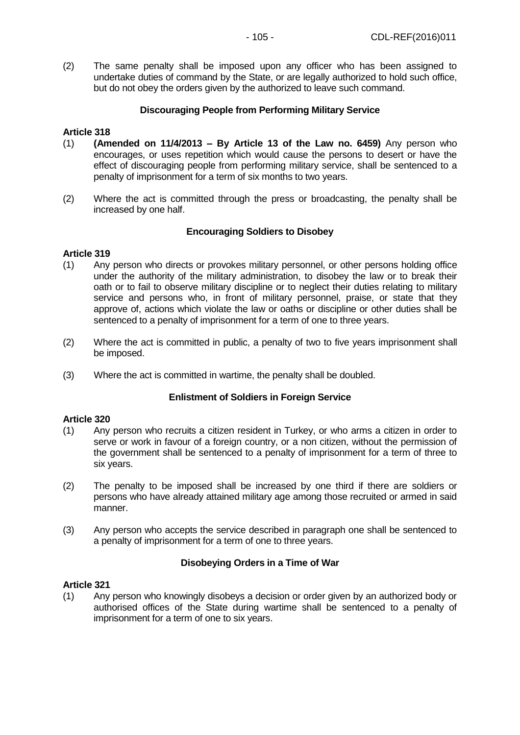(2) The same penalty shall be imposed upon any officer who has been assigned to undertake duties of command by the State, or are legally authorized to hold such office, but do not obey the orders given by the authorized to leave such command.

### **Discouraging People from Performing Military Service**

### **Article 318**

- (1) **(Amended on 11/4/2013 – By Article 13 of the Law no. 6459)** Any person who encourages, or uses repetition which would cause the persons to desert or have the effect of discouraging people from performing military service, shall be sentenced to a penalty of imprisonment for a term of six months to two years.
- (2) Where the act is committed through the press or broadcasting, the penalty shall be increased by one half.

### **Encouraging Soldiers to Disobey**

### **Article 319**

- (1) Any person who directs or provokes military personnel, or other persons holding office under the authority of the military administration, to disobey the law or to break their oath or to fail to observe military discipline or to neglect their duties relating to military service and persons who, in front of military personnel, praise, or state that they approve of, actions which violate the law or oaths or discipline or other duties shall be sentenced to a penalty of imprisonment for a term of one to three years.
- (2) Where the act is committed in public, a penalty of two to five years imprisonment shall be imposed.
- (3) Where the act is committed in wartime, the penalty shall be doubled.

### **Enlistment of Soldiers in Foreign Service**

### **Article 320**

- (1) Any person who recruits a citizen resident in Turkey, or who arms a citizen in order to serve or work in favour of a foreign country, or a non citizen, without the permission of the government shall be sentenced to a penalty of imprisonment for a term of three to six years.
- (2) The penalty to be imposed shall be increased by one third if there are soldiers or persons who have already attained military age among those recruited or armed in said manner.
- (3) Any person who accepts the service described in paragraph one shall be sentenced to a penalty of imprisonment for a term of one to three years.

### **Disobeying Orders in a Time of War**

### **Article 321**

(1) Any person who knowingly disobeys a decision or order given by an authorized body or authorised offices of the State during wartime shall be sentenced to a penalty of imprisonment for a term of one to six years.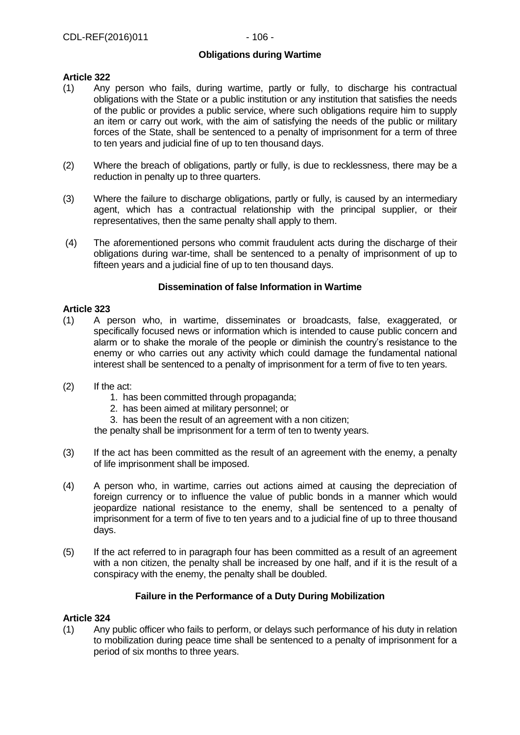## **Obligations during Wartime**

## **Article 322**

- (1) Any person who fails, during wartime, partly or fully, to discharge his contractual obligations with the State or a public institution or any institution that satisfies the needs of the public or provides a public service, where such obligations require him to supply an item or carry out work, with the aim of satisfying the needs of the public or military forces of the State, shall be sentenced to a penalty of imprisonment for a term of three to ten years and judicial fine of up to ten thousand days.
- (2) Where the breach of obligations, partly or fully, is due to recklessness, there may be a reduction in penalty up to three quarters.
- (3) Where the failure to discharge obligations, partly or fully, is caused by an intermediary agent, which has a contractual relationship with the principal supplier, or their representatives, then the same penalty shall apply to them.
- (4) The aforementioned persons who commit fraudulent acts during the discharge of their obligations during war-time, shall be sentenced to a penalty of imprisonment of up to fifteen years and a judicial fine of up to ten thousand days.

### **Dissemination of false Information in Wartime**

### **Article 323**

- (1) A person who, in wartime, disseminates or broadcasts, false, exaggerated, or specifically focused news or information which is intended to cause public concern and alarm or to shake the morale of the people or diminish the country's resistance to the enemy or who carries out any activity which could damage the fundamental national interest shall be sentenced to a penalty of imprisonment for a term of five to ten years.
- (2) If the act:
	- 1. has been committed through propaganda;
	- 2. has been aimed at military personnel; or
	- 3. has been the result of an agreement with a non citizen;

the penalty shall be imprisonment for a term of ten to twenty years.

- (3) If the act has been committed as the result of an agreement with the enemy, a penalty of life imprisonment shall be imposed.
- (4) A person who, in wartime, carries out actions aimed at causing the depreciation of foreign currency or to influence the value of public bonds in a manner which would jeopardize national resistance to the enemy, shall be sentenced to a penalty of imprisonment for a term of five to ten years and to a judicial fine of up to three thousand days.
- (5) If the act referred to in paragraph four has been committed as a result of an agreement with a non citizen, the penalty shall be increased by one half, and if it is the result of a conspiracy with the enemy, the penalty shall be doubled.

## **Failure in the Performance of a Duty During Mobilization**

## **Article 324**

(1) Any public officer who fails to perform, or delays such performance of his duty in relation to mobilization during peace time shall be sentenced to a penalty of imprisonment for a period of six months to three years.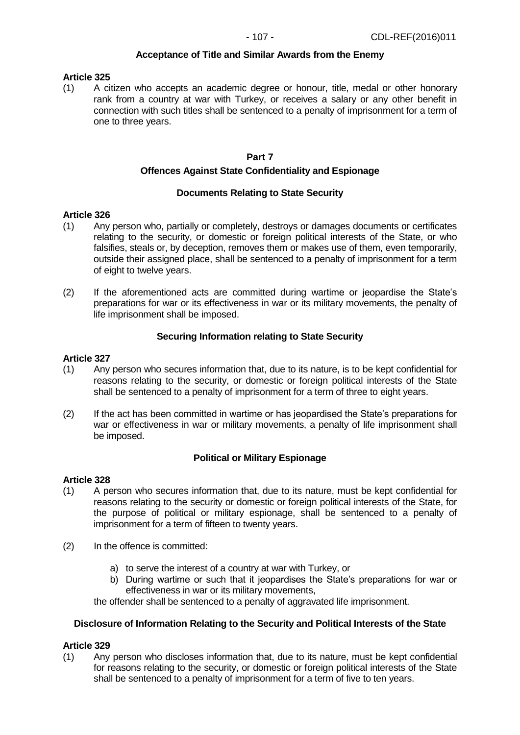### **Acceptance of Title and Similar Awards from the Enemy**

## **Article 325**

(1) A citizen who accepts an academic degree or honour, title, medal or other honorary rank from a country at war with Turkey, or receives a salary or any other benefit in connection with such titles shall be sentenced to a penalty of imprisonment for a term of one to three years.

## **Part 7**

### **Offences Against State Confidentiality and Espionage**

### **Documents Relating to State Security**

### **Article 326**

- (1) Any person who, partially or completely, destroys or damages documents or certificates relating to the security, or domestic or foreign political interests of the State, or who falsifies, steals or, by deception, removes them or makes use of them, even temporarily, outside their assigned place, shall be sentenced to a penalty of imprisonment for a term of eight to twelve years.
- (2) If the aforementioned acts are committed during wartime or jeopardise the State's preparations for war or its effectiveness in war or its military movements, the penalty of life imprisonment shall be imposed.

### **Securing Information relating to State Security**

### **Article 327**

- (1) Any person who secures information that, due to its nature, is to be kept confidential for reasons relating to the security, or domestic or foreign political interests of the State shall be sentenced to a penalty of imprisonment for a term of three to eight years.
- (2) If the act has been committed in wartime or has jeopardised the State's preparations for war or effectiveness in war or military movements, a penalty of life imprisonment shall be imposed.

### **Political or Military Espionage**

### **Article 328**

- (1) A person who secures information that, due to its nature, must be kept confidential for reasons relating to the security or domestic or foreign political interests of the State, for the purpose of political or military espionage, shall be sentenced to a penalty of imprisonment for a term of fifteen to twenty years.
- (2) In the offence is committed:
	- a) to serve the interest of a country at war with Turkey, or
	- b) During wartime or such that it jeopardises the State's preparations for war or effectiveness in war or its military movements,

the offender shall be sentenced to a penalty of aggravated life imprisonment.

### **Disclosure of Information Relating to the Security and Political Interests of the State**

### **Article 329**

(1) Any person who discloses information that, due to its nature, must be kept confidential for reasons relating to the security, or domestic or foreign political interests of the State shall be sentenced to a penalty of imprisonment for a term of five to ten years.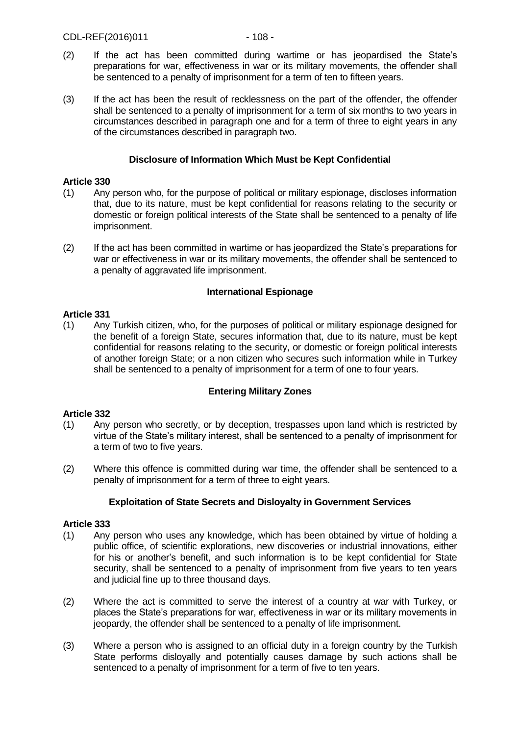- (2) If the act has been committed during wartime or has jeopardised the State's preparations for war, effectiveness in war or its military movements, the offender shall be sentenced to a penalty of imprisonment for a term of ten to fifteen years.
- (3) If the act has been the result of recklessness on the part of the offender, the offender shall be sentenced to a penalty of imprisonment for a term of six months to two years in circumstances described in paragraph one and for a term of three to eight years in any of the circumstances described in paragraph two.

## **Disclosure of Information Which Must be Kept Confidential**

## **Article 330**

- (1) Any person who, for the purpose of political or military espionage, discloses information that, due to its nature, must be kept confidential for reasons relating to the security or domestic or foreign political interests of the State shall be sentenced to a penalty of life imprisonment.
- (2) If the act has been committed in wartime or has jeopardized the State's preparations for war or effectiveness in war or its military movements, the offender shall be sentenced to a penalty of aggravated life imprisonment.

## **International Espionage**

## **Article 331**

(1) Any Turkish citizen, who, for the purposes of political or military espionage designed for the benefit of a foreign State, secures information that, due to its nature, must be kept confidential for reasons relating to the security, or domestic or foreign political interests of another foreign State; or a non citizen who secures such information while in Turkey shall be sentenced to a penalty of imprisonment for a term of one to four years.

## **Entering Military Zones**

## **Article 332**

- (1) Any person who secretly, or by deception, trespasses upon land which is restricted by virtue of the State's military interest, shall be sentenced to a penalty of imprisonment for a term of two to five years.
- (2) Where this offence is committed during war time, the offender shall be sentenced to a penalty of imprisonment for a term of three to eight years.

## **Exploitation of State Secrets and Disloyalty in Government Services**

- (1) Any person who uses any knowledge, which has been obtained by virtue of holding a public office, of scientific explorations, new discoveries or industrial innovations, either for his or another's benefit, and such information is to be kept confidential for State security, shall be sentenced to a penalty of imprisonment from five years to ten years and judicial fine up to three thousand days.
- (2) Where the act is committed to serve the interest of a country at war with Turkey, or places the State's preparations for war, effectiveness in war or its military movements in jeopardy, the offender shall be sentenced to a penalty of life imprisonment.
- (3) Where a person who is assigned to an official duty in a foreign country by the Turkish State performs disloyally and potentially causes damage by such actions shall be sentenced to a penalty of imprisonment for a term of five to ten years.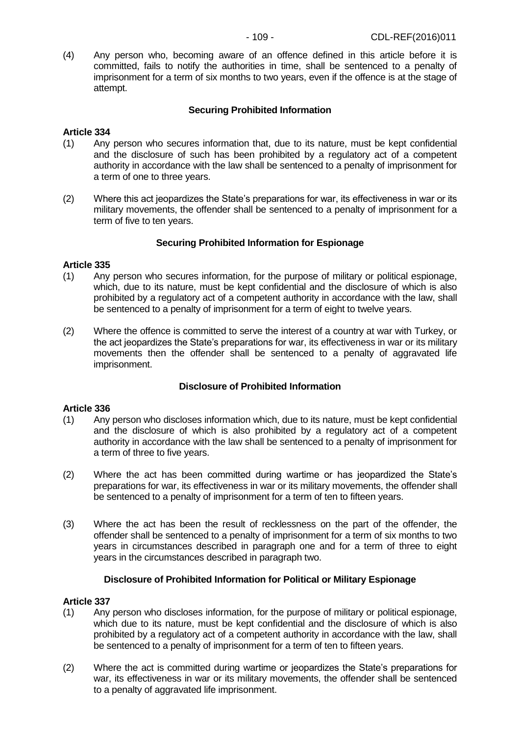(4) Any person who, becoming aware of an offence defined in this article before it is committed, fails to notify the authorities in time, shall be sentenced to a penalty of imprisonment for a term of six months to two years, even if the offence is at the stage of attempt.

# **Securing Prohibited Information**

# **Article 334**

- (1) Any person who secures information that, due to its nature, must be kept confidential and the disclosure of such has been prohibited by a regulatory act of a competent authority in accordance with the law shall be sentenced to a penalty of imprisonment for a term of one to three years.
- (2) Where this act jeopardizes the State's preparations for war, its effectiveness in war or its military movements, the offender shall be sentenced to a penalty of imprisonment for a term of five to ten years.

# **Securing Prohibited Information for Espionage**

### **Article 335**

- (1) Any person who secures information, for the purpose of military or political espionage, which, due to its nature, must be kept confidential and the disclosure of which is also prohibited by a regulatory act of a competent authority in accordance with the law, shall be sentenced to a penalty of imprisonment for a term of eight to twelve years.
- (2) Where the offence is committed to serve the interest of a country at war with Turkey, or the act jeopardizes the State's preparations for war, its effectiveness in war or its military movements then the offender shall be sentenced to a penalty of aggravated life imprisonment.

# **Disclosure of Prohibited Information**

#### **Article 336**

- (1) Any person who discloses information which, due to its nature, must be kept confidential and the disclosure of which is also prohibited by a regulatory act of a competent authority in accordance with the law shall be sentenced to a penalty of imprisonment for a term of three to five years.
- (2) Where the act has been committed during wartime or has jeopardized the State's preparations for war, its effectiveness in war or its military movements, the offender shall be sentenced to a penalty of imprisonment for a term of ten to fifteen years.
- (3) Where the act has been the result of recklessness on the part of the offender, the offender shall be sentenced to a penalty of imprisonment for a term of six months to two years in circumstances described in paragraph one and for a term of three to eight years in the circumstances described in paragraph two.

# **Disclosure of Prohibited Information for Political or Military Espionage**

#### **Article 337**

- (1) Any person who discloses information, for the purpose of military or political espionage, which due to its nature, must be kept confidential and the disclosure of which is also prohibited by a regulatory act of a competent authority in accordance with the law, shall be sentenced to a penalty of imprisonment for a term of ten to fifteen years.
- (2) Where the act is committed during wartime or jeopardizes the State's preparations for war, its effectiveness in war or its military movements, the offender shall be sentenced to a penalty of aggravated life imprisonment.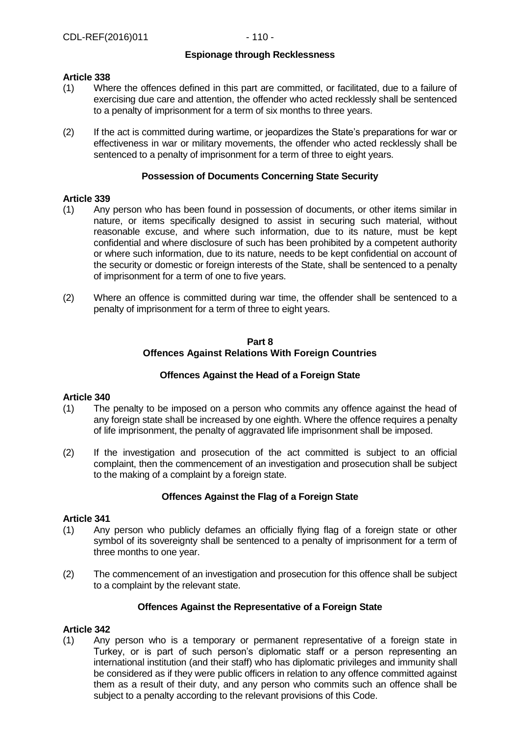### **Espionage through Recklessness**

### **Article 338**

- (1) Where the offences defined in this part are committed, or facilitated, due to a failure of exercising due care and attention, the offender who acted recklessly shall be sentenced to a penalty of imprisonment for a term of six months to three years.
- (2) If the act is committed during wartime, or jeopardizes the State's preparations for war or effectiveness in war or military movements, the offender who acted recklessly shall be sentenced to a penalty of imprisonment for a term of three to eight years.

### **Possession of Documents Concerning State Security**

### **Article 339**

- (1) Any person who has been found in possession of documents, or other items similar in nature, or items specifically designed to assist in securing such material, without reasonable excuse, and where such information, due to its nature, must be kept confidential and where disclosure of such has been prohibited by a competent authority or where such information, due to its nature, needs to be kept confidential on account of the security or domestic or foreign interests of the State, shall be sentenced to a penalty of imprisonment for a term of one to five years.
- (2) Where an offence is committed during war time, the offender shall be sentenced to a penalty of imprisonment for a term of three to eight years.

### **Part 8 Offences Against Relations With Foreign Countries**

#### **Offences Against the Head of a Foreign State**

#### **Article 340**

- (1) The penalty to be imposed on a person who commits any offence against the head of any foreign state shall be increased by one eighth. Where the offence requires a penalty of life imprisonment, the penalty of aggravated life imprisonment shall be imposed.
- (2) If the investigation and prosecution of the act committed is subject to an official complaint, then the commencement of an investigation and prosecution shall be subject to the making of a complaint by a foreign state.

#### **Offences Against the Flag of a Foreign State**

#### **Article 341**

- (1) Any person who publicly defames an officially flying flag of a foreign state or other symbol of its sovereignty shall be sentenced to a penalty of imprisonment for a term of three months to one year.
- (2) The commencement of an investigation and prosecution for this offence shall be subject to a complaint by the relevant state.

#### **Offences Against the Representative of a Foreign State**

#### **Article 342**

(1) Any person who is a temporary or permanent representative of a foreign state in Turkey, or is part of such person's diplomatic staff or a person representing an international institution (and their staff) who has diplomatic privileges and immunity shall be considered as if they were public officers in relation to any offence committed against them as a result of their duty, and any person who commits such an offence shall be subject to a penalty according to the relevant provisions of this Code.